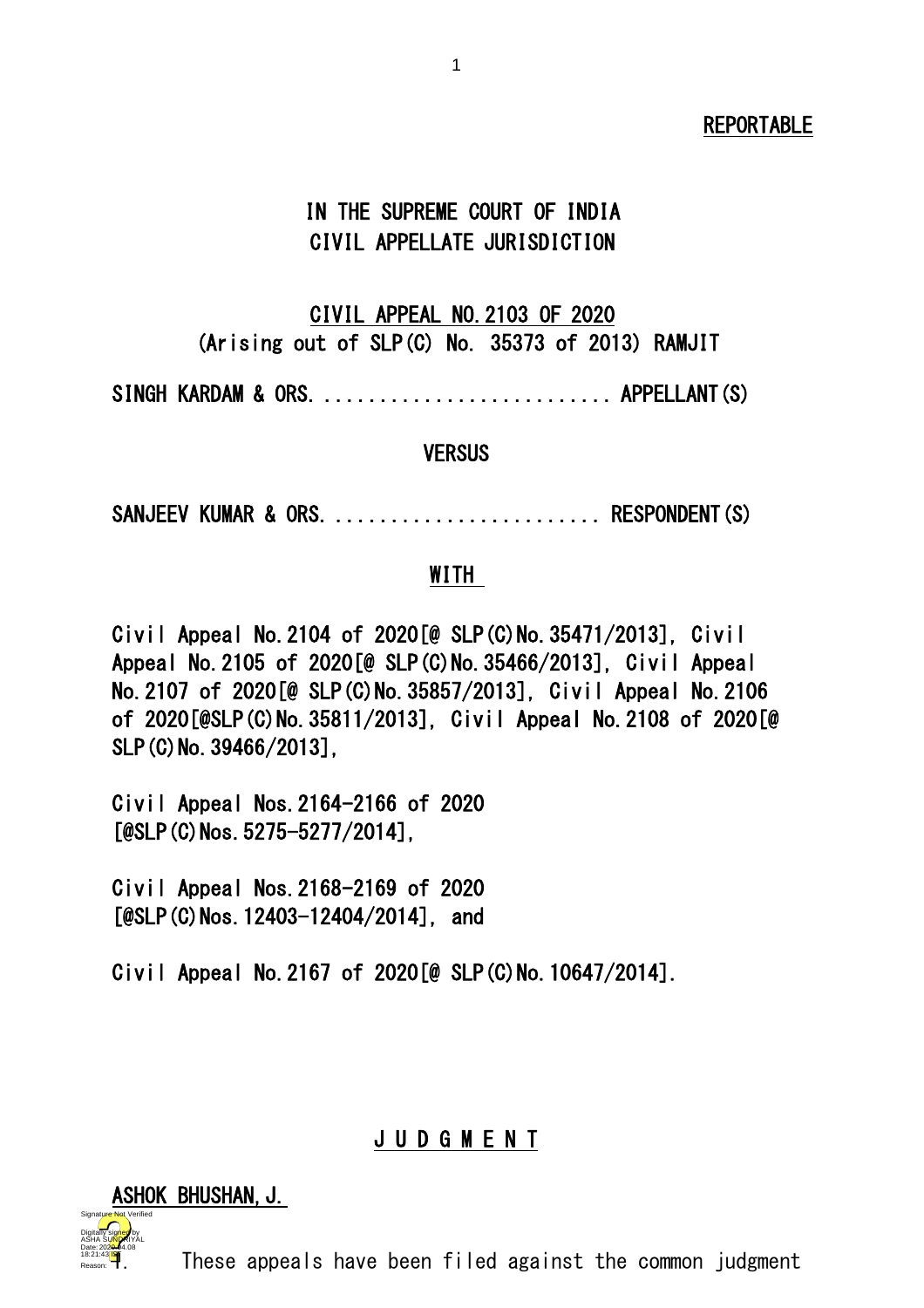### REPORTABLE

# IN THE SUPREME COURT OF INDIA CIVIL APPELLATE JURISDICTION

# CIVIL APPEAL NO.2103 OF 2020 (Arising out of SLP(C) No. 35373 of 2013) RAMJIT

SINGH KARDAM & ORS. ............................... APPELLANT(S)

#### **VERSUS**

SANJEEV KUMAR & ORS. ........................... RESPONDENT(S)

#### WITH

Civil Appeal No.2104 of 2020[@ SLP(C)No.35471/2013], Civil Appeal No.2105 of 2020[@ SLP(C)No.35466/2013], Civil Appeal No.2107 of 2020[@ SLP(C)No.35857/2013], Civil Appeal No.2106 of 2020[@SLP(C)No.35811/2013], Civil Appeal No.2108 of 2020[@ SLP(C) No. 39466/2013].

Civil Appeal Nos.2164-2166 of 2020 [@SLP(C)Nos.5275-5277/2014],

Civil Appeal Nos.2168-2169 of 2020 [@SLP(C)Nos. 12403-12404/2014], and

Civil Appeal No.2167 of 2020[@ SLP(C)No.10647/2014].

#### J U D G M E N T

#### ASHOK BHUSHAN, J.

18:21:43<sup>18</sup> Date: 2020.04.08 Signature Not Verified Digitally signed by ASHA SU<mark>NDR</mark>IYAL

These appeals have been filed against the common judgment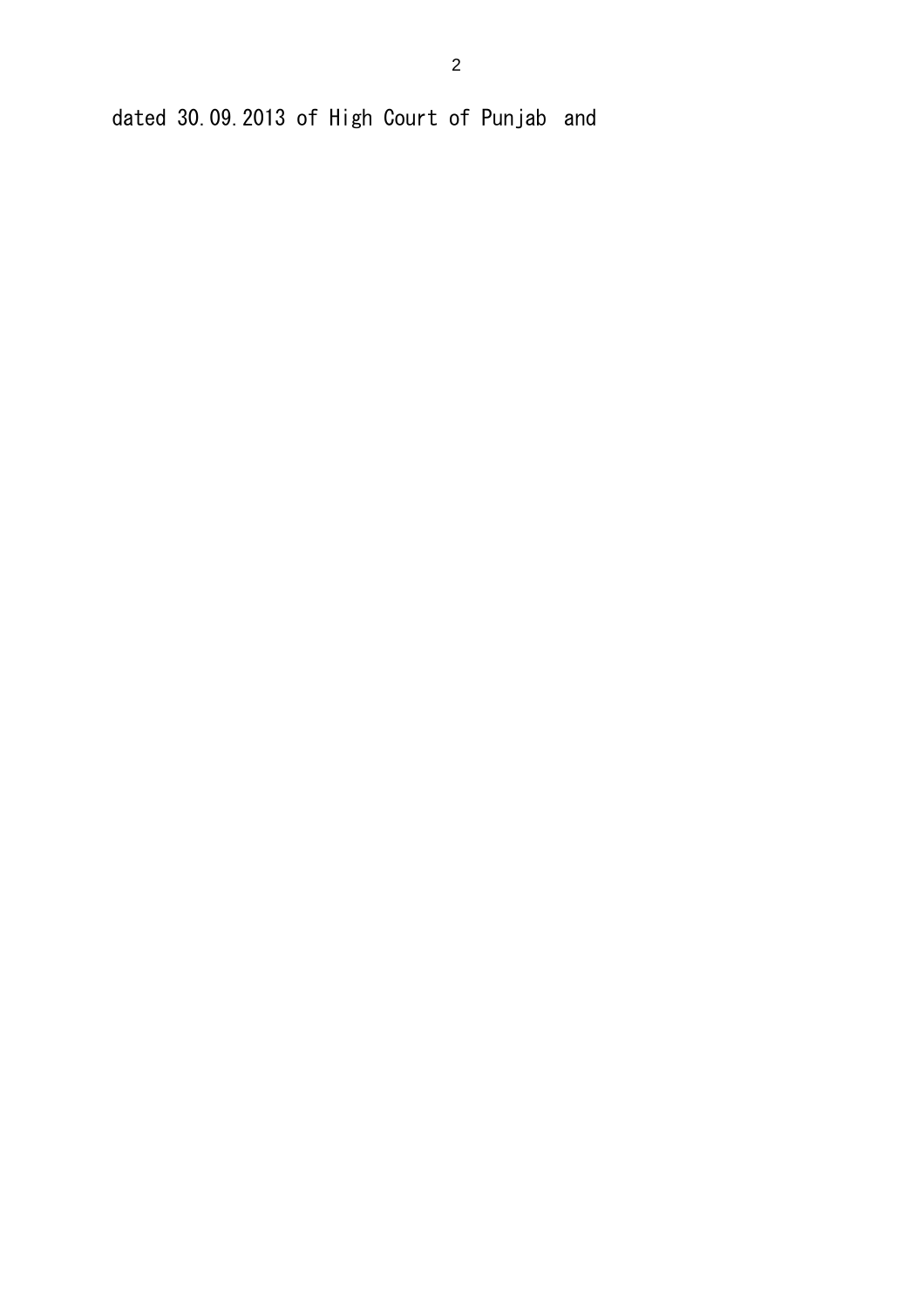dated 30.09.2013 of High Court of Punjab and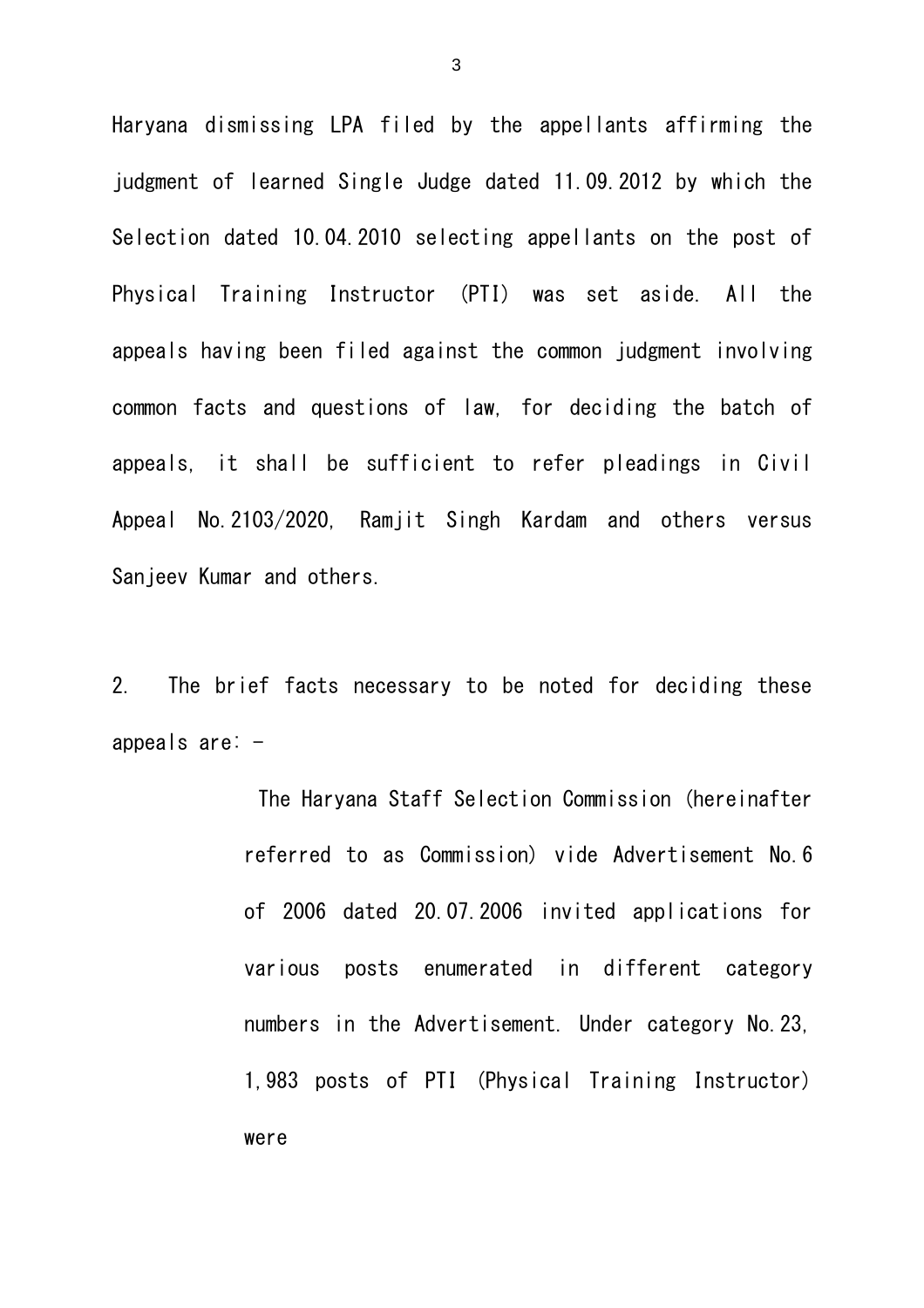Haryana dismissing LPA filed by the appellants affirming the judgment of learned Single Judge dated 11.09.2012 by which the Selection dated 10.04.2010 selecting appellants on the post of Physical Training Instructor (PTI) was set aside. All the appeals having been filed against the common judgment involving common facts and questions of law, for deciding the batch of appeals, it shall be sufficient to refer pleadings in Civil Appeal No.2103/2020, Ramjit Singh Kardam and others versus Sanjeev Kumar and others.

2. The brief facts necessary to be noted for deciding these appeals are: -

> The Haryana Staff Selection Commission (hereinafter referred to as Commission) vide Advertisement No.6 of 2006 dated 20.07.2006 invited applications for various posts enumerated in different category numbers in the Advertisement. Under category No.23, 1,983 posts of PTI (Physical Training Instructor) were

3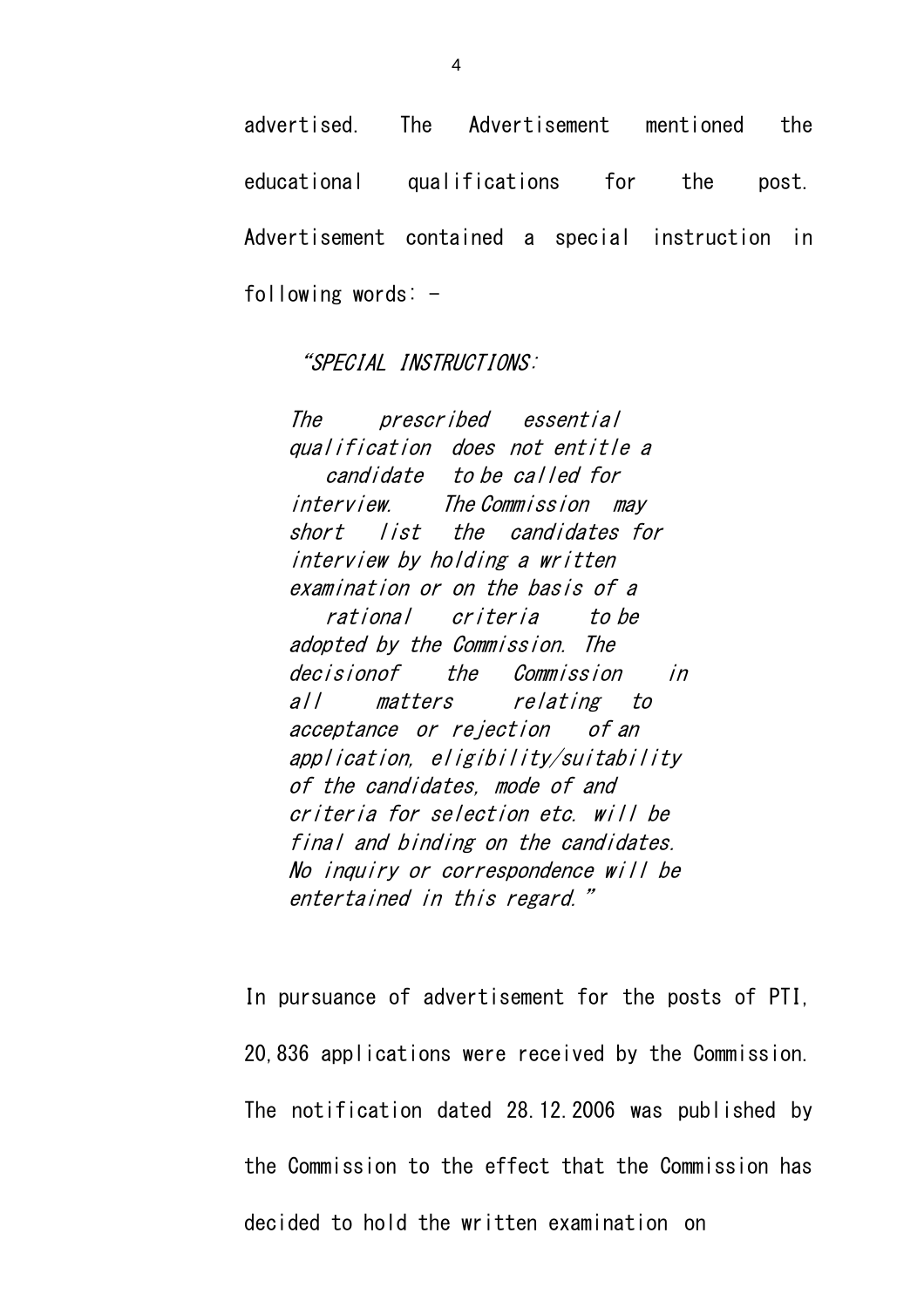advertised. The Advertisement mentioned the educational qualifications for the post. Advertisement contained a special instruction in following words:  $-$ 

#### "SPECIAL INSTRUCTIONS:

The prescribed essential qualification does not entitle a candidate to be called for interview. The Commission may short list the candidates for interview by holding a written examination or on the basis of a rational criteria to be adopted by the Commission. The decisionof the Commission in all matters relating to acceptance or rejection of an application, eligibility/suitability of the candidates, mode of and criteria for selection etc. will be final and binding on the candidates. No inquiry or correspondence will be entertained in this regard."

In pursuance of advertisement for the posts of PTI, 20,836 applications were received by the Commission. The notification dated 28.12.2006 was published by the Commission to the effect that the Commission has decided to hold the written examination on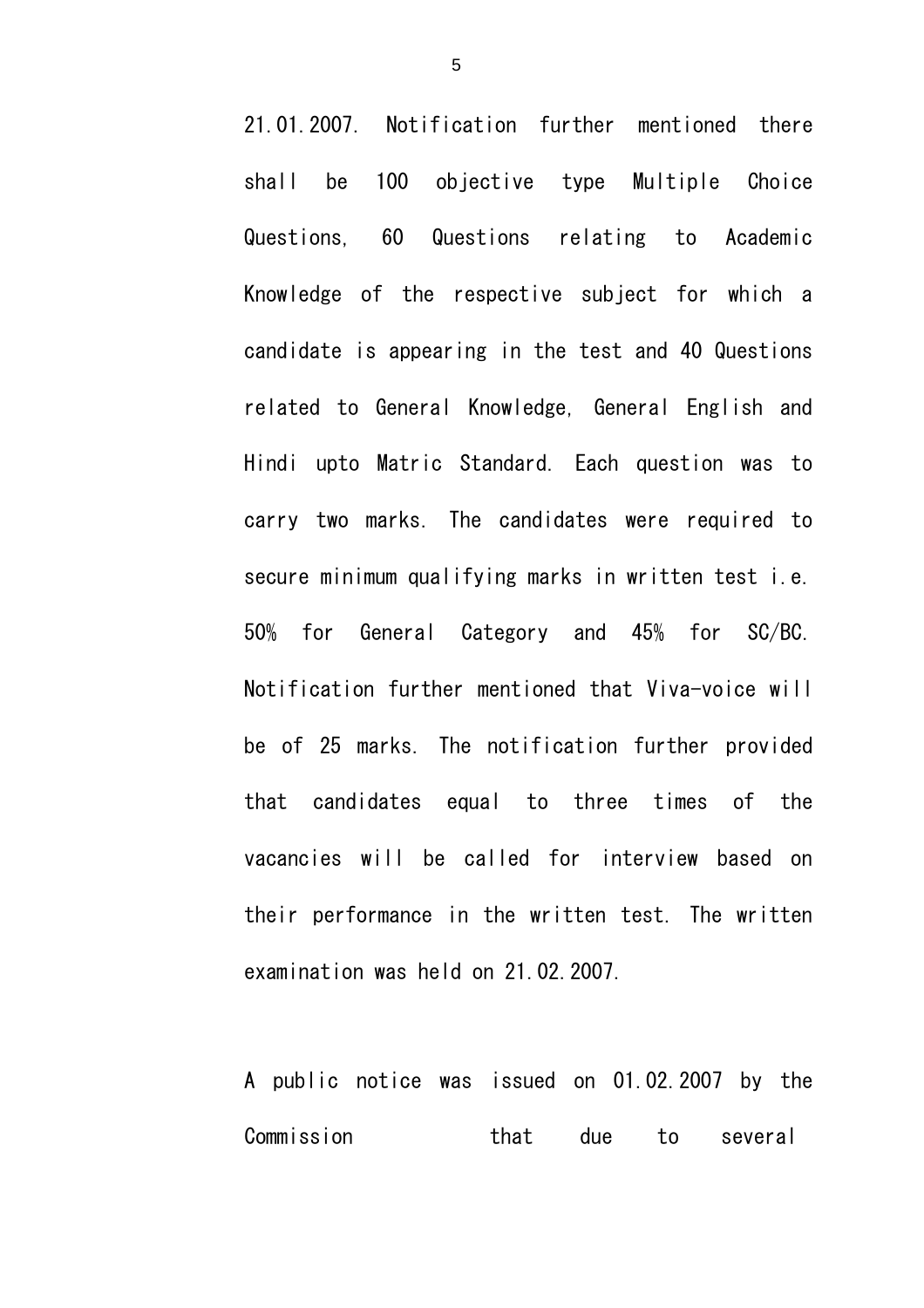21.01.2007. Notification further mentioned there shall be 100 objective type Multiple Choice Questions, 60 Questions relating to Academic Knowledge of the respective subject for which a candidate is appearing in the test and 40 Questions related to General Knowledge, General English and Hindi upto Matric Standard. Each question was to carry two marks. The candidates were required to secure minimum qualifying marks in written test i.e. 50% for General Category and 45% for SC/BC. Notification further mentioned that Viva-voice will be of 25 marks. The notification further provided that candidates equal to three times of the vacancies will be called for interview based on their performance in the written test. The written examination was held on 21.02.2007.

A public notice was issued on 01.02.2007 by the Commission that due to several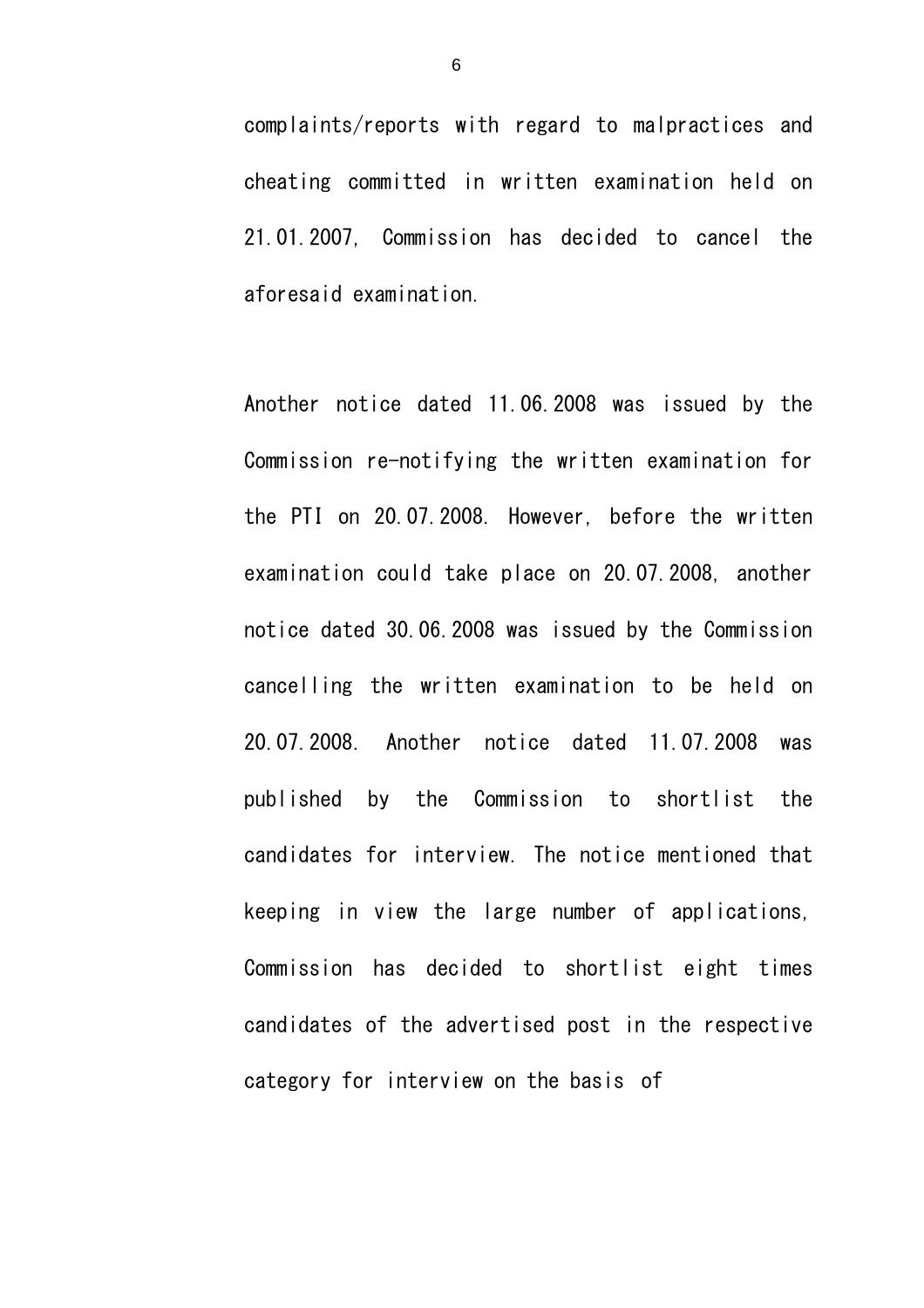complaints/reports with regard to malpractices and cheating committed in written examination held on 21.01.2007, Commission has decided to cancel the aforesaid examination.

Another notice dated 11.06.2008 was issued by the Commission re-notifying the written examination for the PTI on 20.07.2008. However, before the written examination could take place on 20.07.2008, another notice dated 30.06.2008 was issued by the Commission cancelling the written examination to be held on 20.07.2008. Another notice dated 11.07.2008 was published by the Commission to shortlist the candidates for interview. The notice mentioned that keeping in view the large number of applications, Commission has decided to shortlist eight times candidates of the advertised post in the respective category for interview on the basis of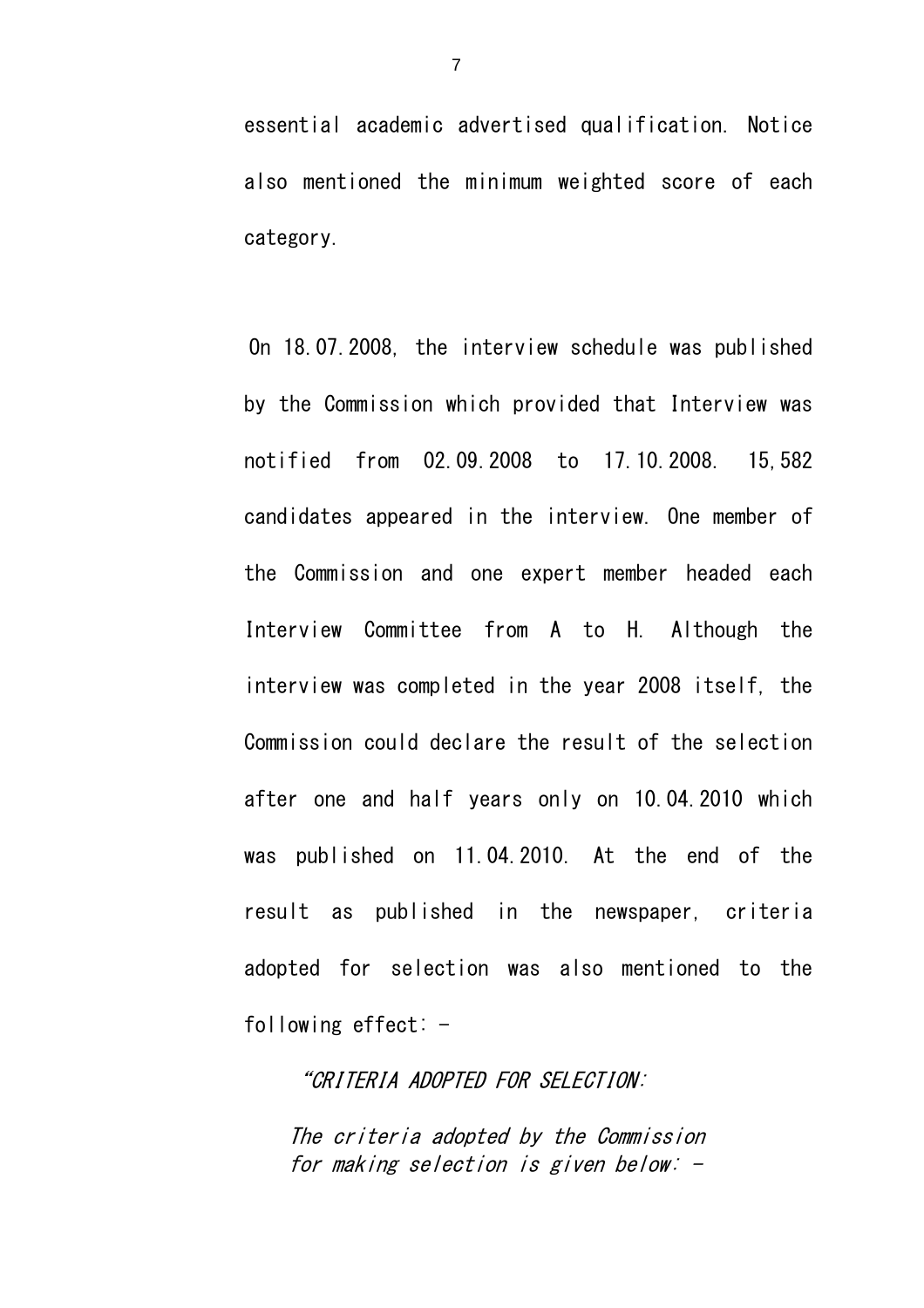essential academic advertised qualification. Notice also mentioned the minimum weighted score of each category.

On 18.07.2008, the interview schedule was published by the Commission which provided that Interview was notified from 02.09.2008 to 17.10.2008. 15,582 candidates appeared in the interview. One member of the Commission and one expert member headed each Interview Committee from A to H. Although the interview was completed in the year 2008 itself, the Commission could declare the result of the selection after one and half years only on 10.04.2010 which was published on 11.04.2010. At the end of the result as published in the newspaper, criteria adopted for selection was also mentioned to the following effect:  $-$ 

"CRITERIA ADOPTED FOR SELECTION:

The criteria adopted by the Commission for making selection is given below: -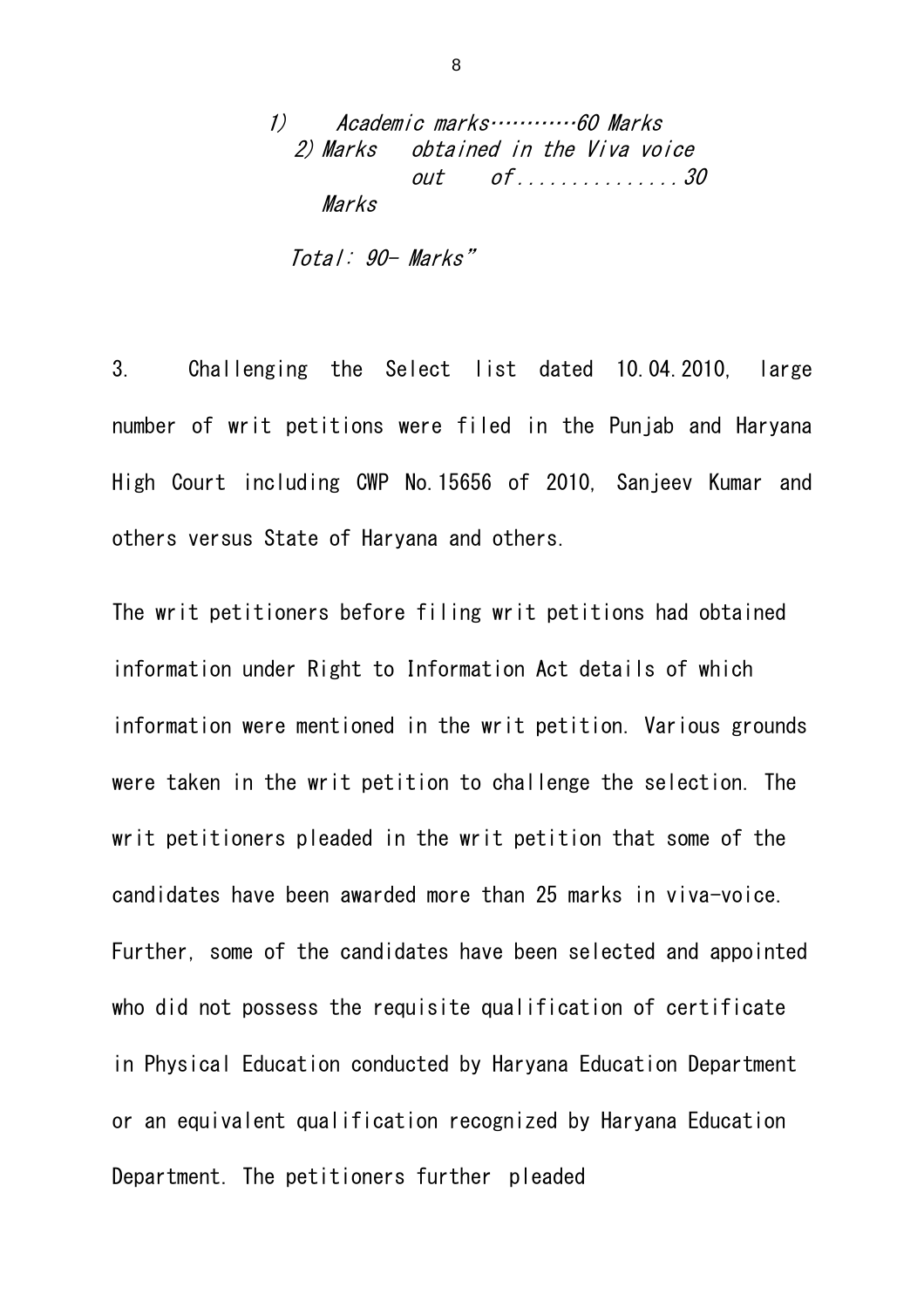1) Academic marks…………60 Marks 2) Marks obtained in the Viva voice out of ...............30 Marks

Total: 90- Marks"

3. Challenging the Select list dated 10.04.2010, large number of writ petitions were filed in the Punjab and Haryana High Court including CWP No.15656 of 2010, Sanjeev Kumar and others versus State of Haryana and others.

The writ petitioners before filing writ petitions had obtained information under Right to Information Act details of which information were mentioned in the writ petition. Various grounds were taken in the writ petition to challenge the selection. The writ petitioners pleaded in the writ petition that some of the candidates have been awarded more than 25 marks in viva-voice. Further, some of the candidates have been selected and appointed who did not possess the requisite qualification of certificate in Physical Education conducted by Haryana Education Department or an equivalent qualification recognized by Haryana Education Department. The petitioners further pleaded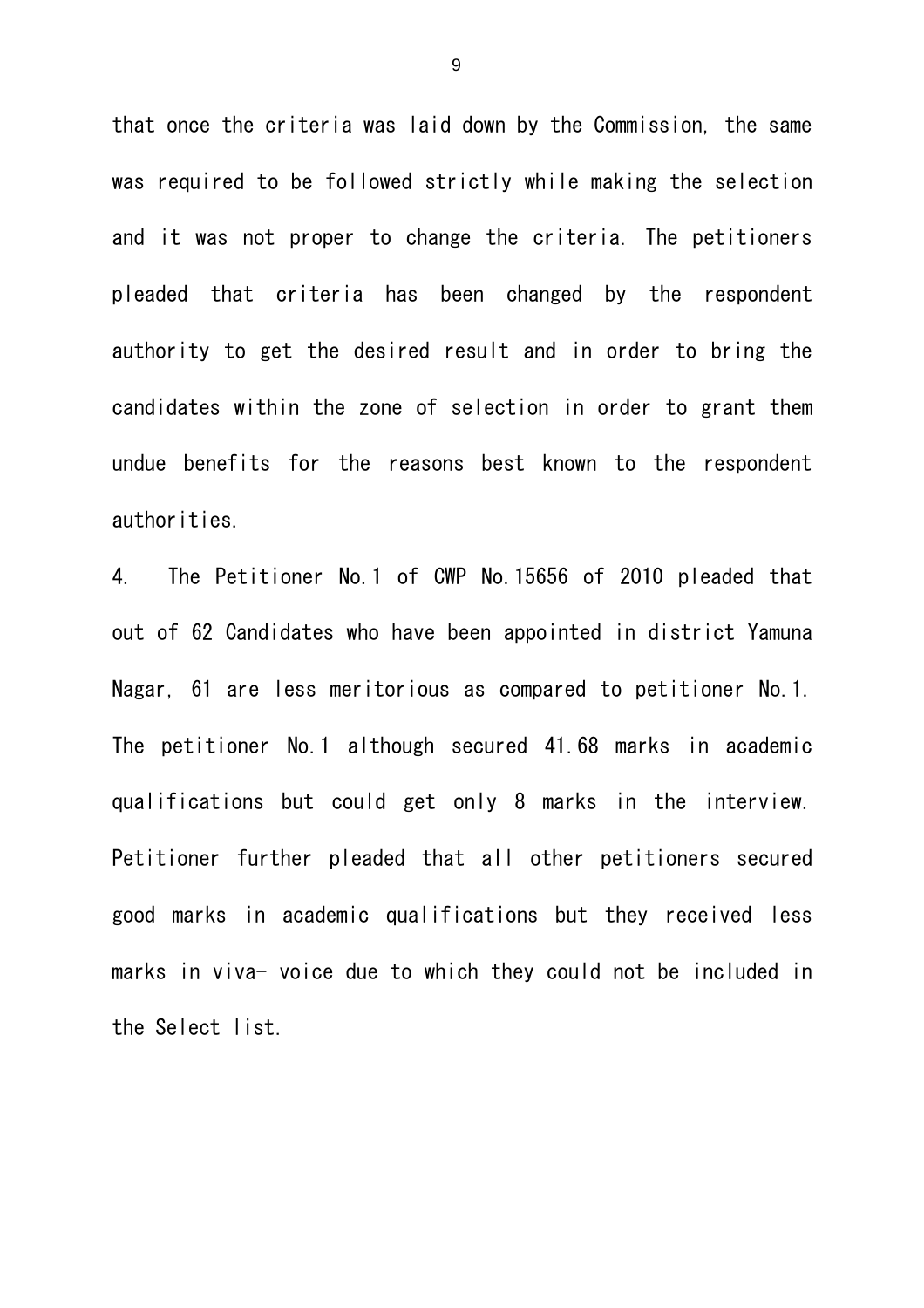that once the criteria was laid down by the Commission, the same was required to be followed strictly while making the selection and it was not proper to change the criteria. The petitioners pleaded that criteria has been changed by the respondent authority to get the desired result and in order to bring the candidates within the zone of selection in order to grant them undue benefits for the reasons best known to the respondent authorities.

4. The Petitioner No.1 of CWP No.15656 of 2010 pleaded that out of 62 Candidates who have been appointed in district Yamuna Nagar, 61 are less meritorious as compared to petitioner No.1. The petitioner No.1 although secured 41.68 marks in academic qualifications but could get only 8 marks in the interview. Petitioner further pleaded that all other petitioners secured good marks in academic qualifications but they received less marks in viva- voice due to which they could not be included in the Select list.

9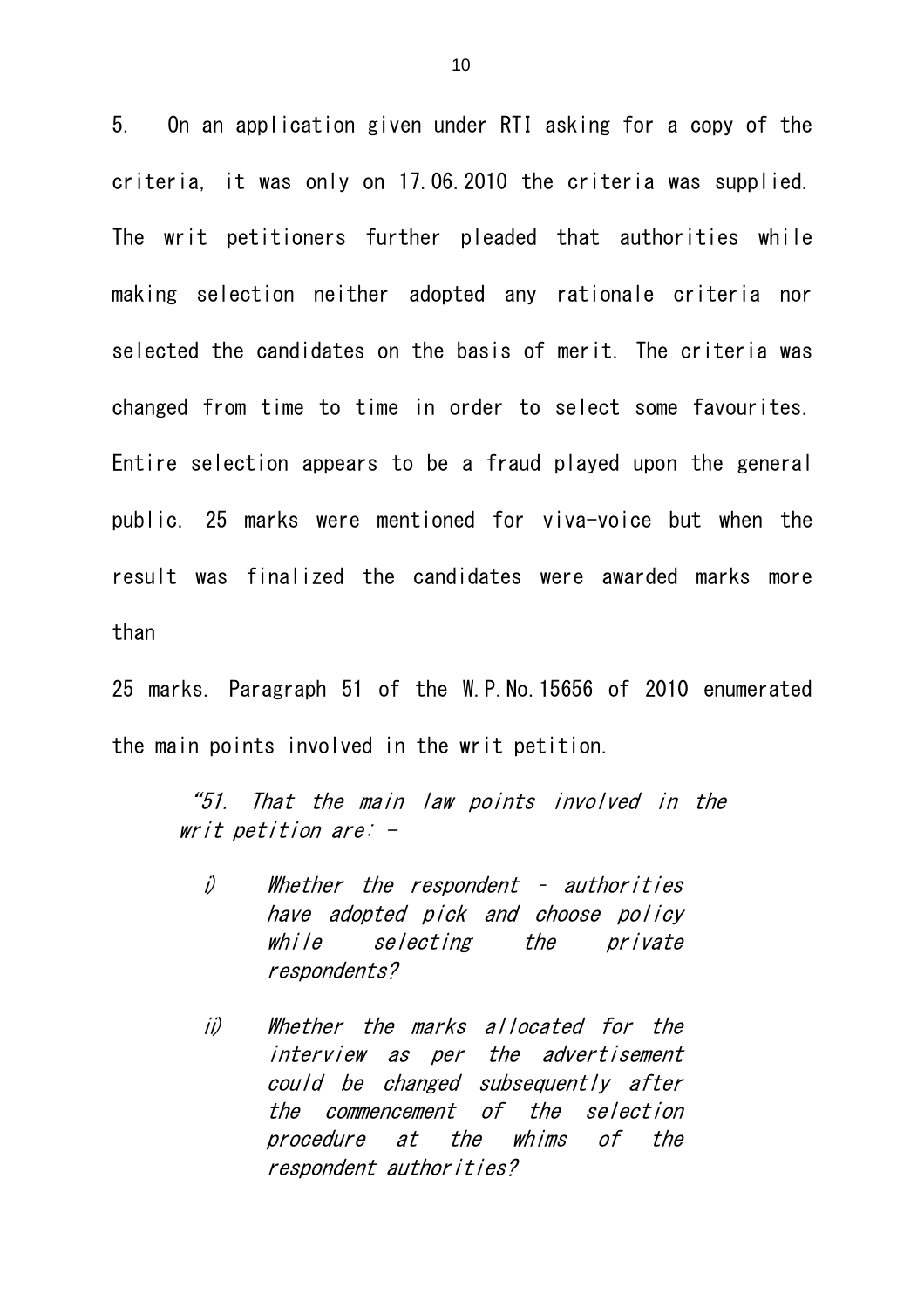5. On an application given under RTI asking for a copy of the criteria, it was only on 17.06.2010 the criteria was supplied. The writ petitioners further pleaded that authorities while making selection neither adopted any rationale criteria nor selected the candidates on the basis of merit. The criteria was changed from time to time in order to select some favourites. Entire selection appears to be a fraud played upon the general public. 25 marks were mentioned for viva-voice but when the result was finalized the candidates were awarded marks more than

25 marks. Paragraph 51 of the W.P.No.15656 of 2010 enumerated the main points involved in the writ petition.

"51. That the main law points involved in the writ petition are: -

i) Whether the respondent – authorities have adopted pick and choose policy while selecting the private respondents?

ii) Whether the marks allocated for the interview as per the advertisement could be changed subsequently after the commencement of the selection procedure at the whims of the respondent authorities?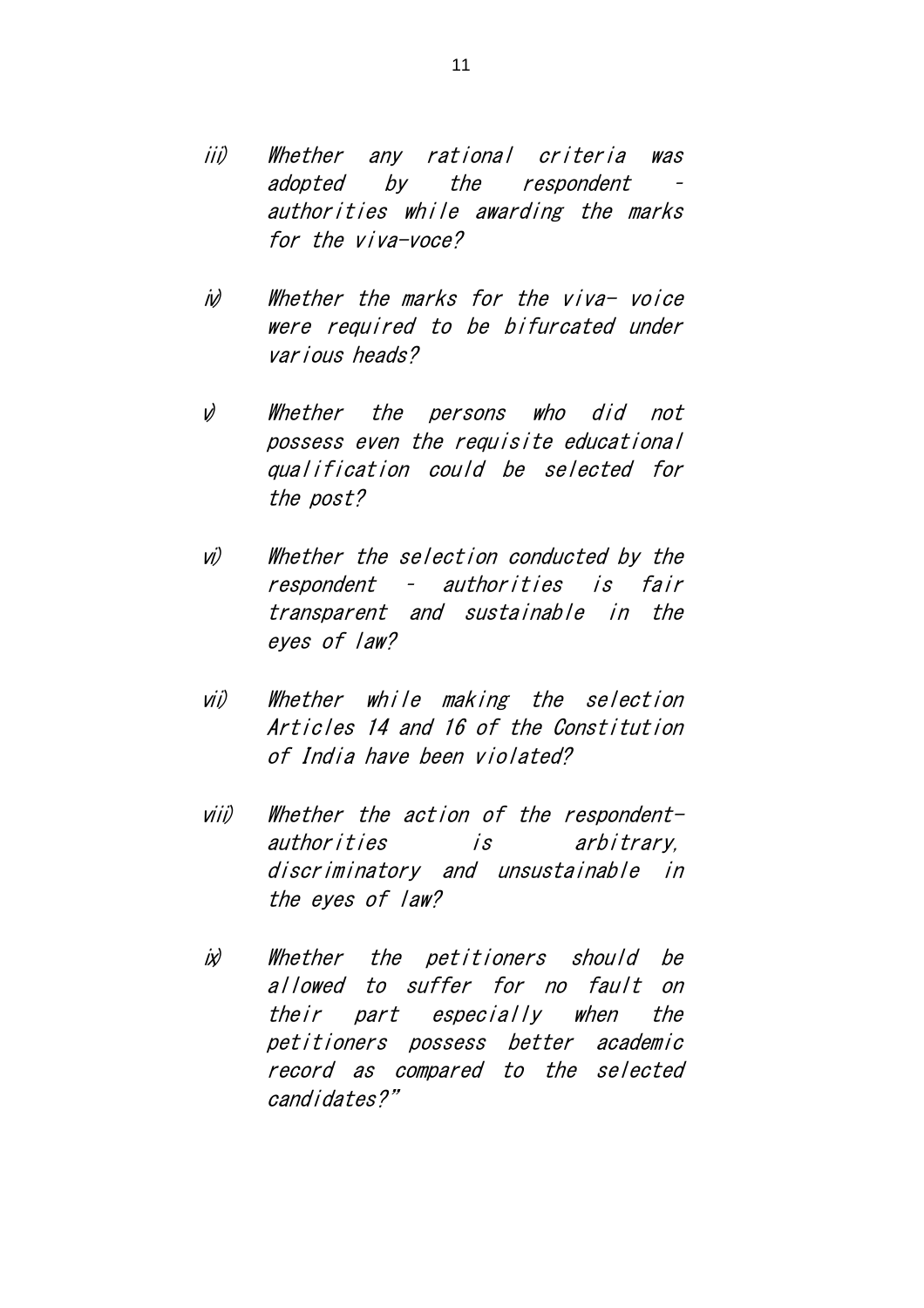- iii) Whether any rational criteria was adopted by the respondent authorities while awarding the marks for the viva-voce?
- iv) Whether the marks for the viva- voice were required to be bifurcated under various heads?
- v) Whether the persons who did not possess even the requisite educational qualification could be selected for the post?
- vi) Whether the selection conducted by the respondent – authorities is fair transparent and sustainable in the eyes of law?
- vii) Whether while making the selection Articles 14 and 16 of the Constitution of India have been violated?
- viii) Whether the action of the respondentauthorities is arbitrary, discriminatory and unsustainable in the eyes of law?
- ix) Whether the petitioners should be allowed to suffer for no fault on their part especially when the petitioners possess better academic record as compared to the selected candidates?"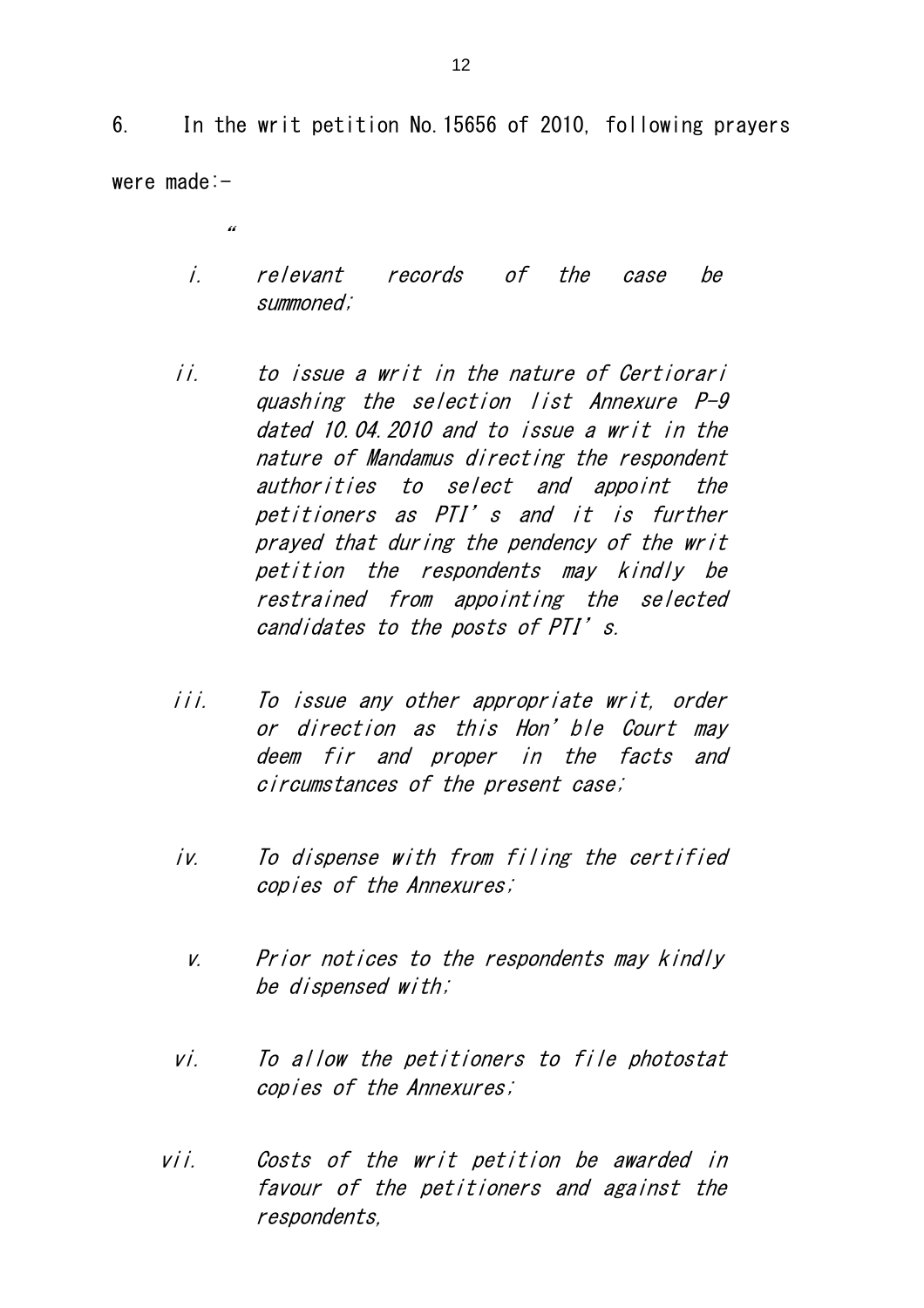6. In the writ petition No.15656 of 2010, following prayers were made:-

 $^{\prime\prime}$ 

- i. relevant records of the case be summoned;
- ii. to issue a writ in the nature of Certiorari quashing the selection list Annexure P-9 dated 10.04.2010 and to issue a writ in the nature of Mandamus directing the respondent authorities to select and appoint the petitioners as PTI's and it is further prayed that during the pendency of the writ petition the respondents may kindly be restrained from appointing the selected candidates to the posts of PTI's.
- iii. To issue any other appropriate writ, order or direction as this Hon'ble Court may deem fir and proper in the facts and circumstances of the present case;
- iv. To dispense with from filing the certified copies of the Annexures;
	- v. Prior notices to the respondents may kindly be dispensed with;
- vi. To allow the petitioners to file photostat copies of the Annexures;
- vii. Costs of the writ petition be awarded in favour of the petitioners and against the respondents,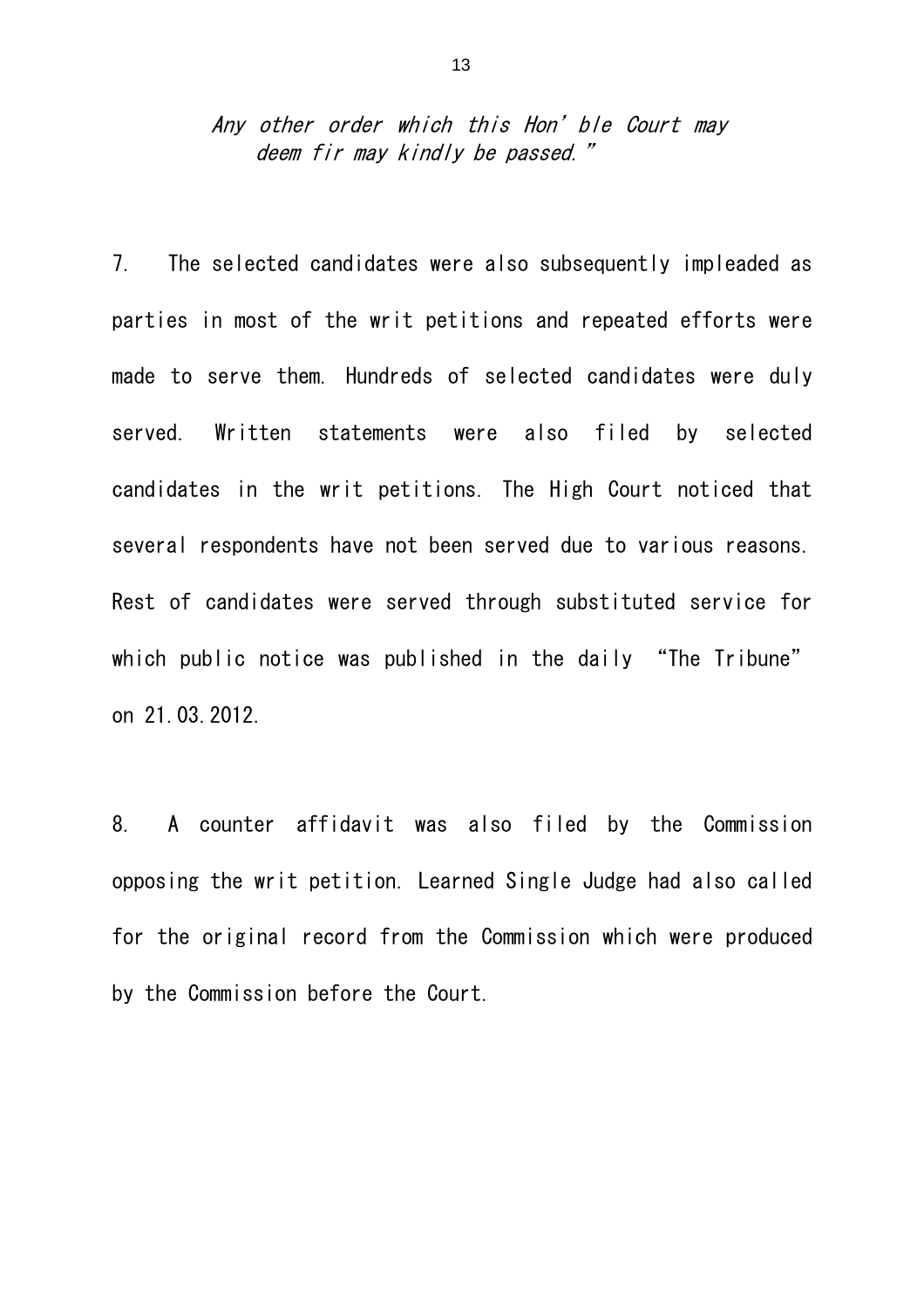### Any other order which this Hon' ble Court may deem fir may kindly be passed."

7. The selected candidates were also subsequently impleaded as parties in most of the writ petitions and repeated efforts were made to serve them. Hundreds of selected candidates were duly served. Written statements were also filed by selected candidates in the writ petitions. The High Court noticed that several respondents have not been served due to various reasons. Rest of candidates were served through substituted service for which public notice was published in the daily "The Tribune" on 21.03.2012.

8. A counter affidavit was also filed by the Commission opposing the writ petition. Learned Single Judge had also called for the original record from the Commission which were produced by the Commission before the Court.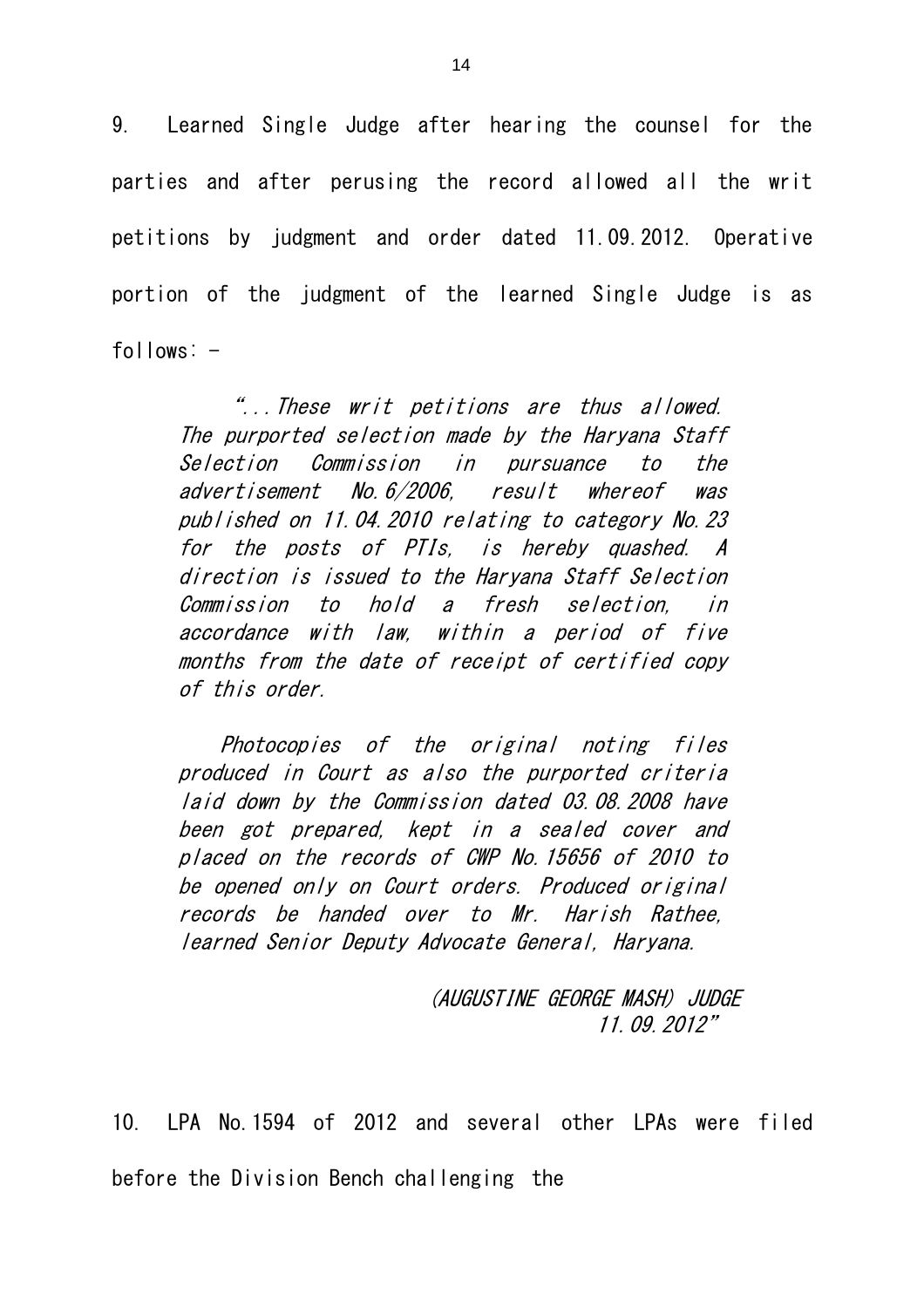9. Learned Single Judge after hearing the counsel for the parties and after perusing the record allowed all the writ petitions by judgment and order dated 11.09.2012. Operative portion of the judgment of the learned Single Judge is as  $follows: -$ 

"...These writ petitions are thus allowed. The purported selection made by the Haryana Staff Selection Commission in pursuance to the advertisement No.6/2006, result whereof was published on 11.04.2010 relating to category No.23 for the posts of PTIs, is hereby quashed. A direction is issued to the Haryana Staff Selection Commission to hold a fresh selection, in accordance with law, within a period of five months from the date of receipt of certified copy of this order.

Photocopies of the original noting files produced in Court as also the purported criteria laid down by the Commission dated 03.08.2008 have been got prepared, kept in a sealed cover and placed on the records of CWP No.15656 of 2010 to be opened only on Court orders. Produced original records be handed over to Mr. Harish Rathee, learned Senior Deputy Advocate General, Haryana.

> (AUGUSTINE GEORGE MASH) JUDGE 11.09.2012"

10. LPA No.1594 of 2012 and several other LPAs were filed before the Division Bench challenging the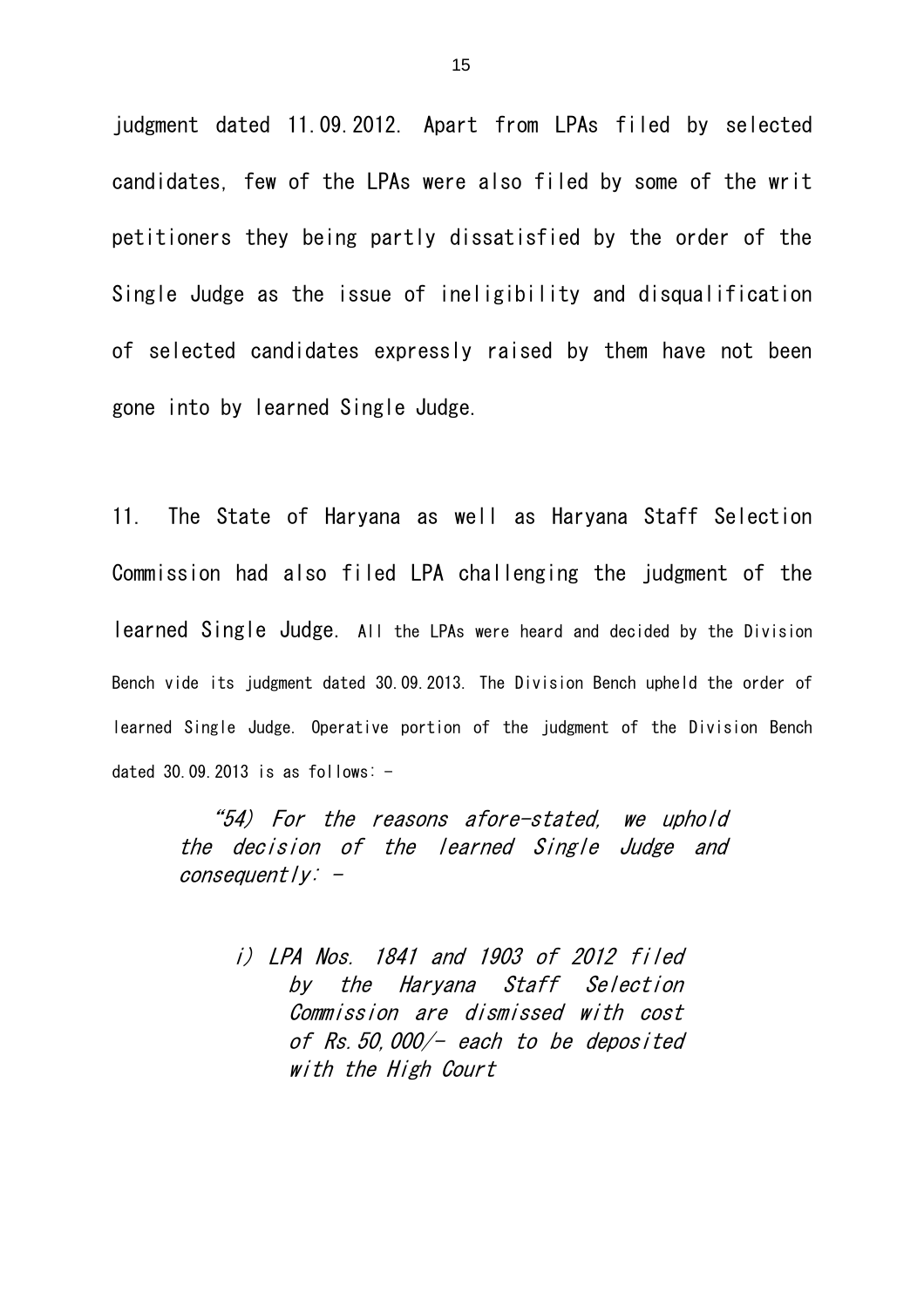judgment dated 11.09.2012. Apart from LPAs filed by selected candidates, few of the LPAs were also filed by some of the writ petitioners they being partly dissatisfied by the order of the Single Judge as the issue of ineligibility and disqualification of selected candidates expressly raised by them have not been gone into by learned Single Judge.

11. The State of Haryana as well as Haryana Staff Selection Commission had also filed LPA challenging the judgment of the learned Single Judge. All the LPAs were heard and decided by the Division Bench vide its judgment dated 30.09.2013. The Division Bench upheld the order of learned Single Judge. Operative portion of the judgment of the Division Bench dated 30.09.2013 is as follows:  $-$ 

"54) For the reasons afore-stated, we uphold the decision of the learned Single Judge and  $consequent/V: -$ 

> i) LPA Nos. 1841 and 1903 of 2012 filed by the Haryana Staff Selection Commission are dismissed with cost of Rs.50,000/- each to be deposited with the High Court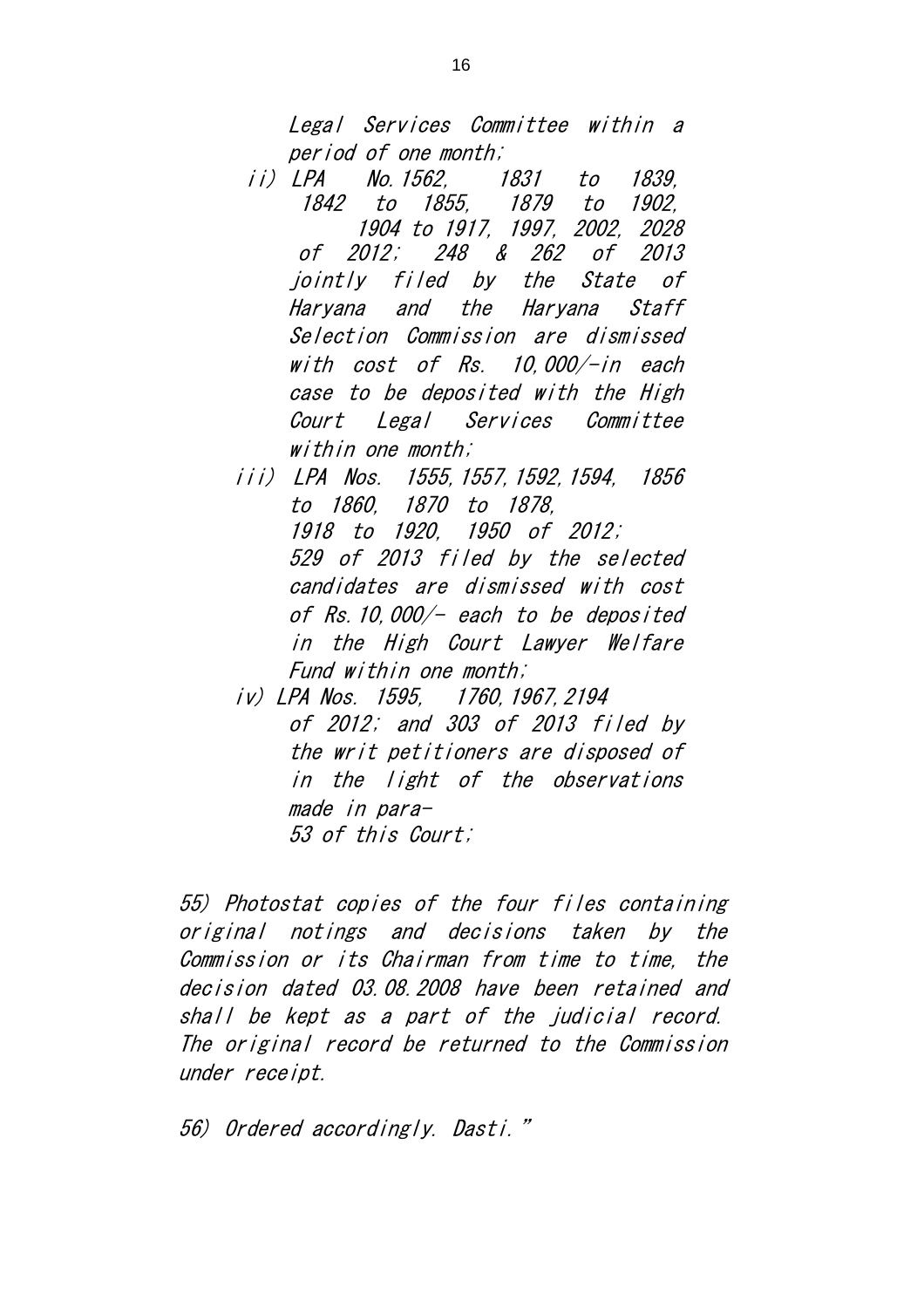Legal Services Committee within a period of one month;

- ii) LPA No.1562, 1831 to 1839, 1842 to 1855, 1879 to 1902, 1904 to 1917, 1997, 2002, 2028 of 2012; 248 & 262 of 2013 jointly filed by the State of Haryana and the Haryana Staff Selection Commission are dismissed with cost of Rs. 10,000/-in each case to be deposited with the High Court Legal Services Committee within one month;
- iii) LPA Nos. 1555,1557,1592,1594, 1856 to 1860, 1870 to 1878, 1918 to 1920, 1950 of 2012; 529 of 2013 filed by the selected candidates are dismissed with cost of Rs.10,000/- each to be deposited in the High Court Lawyer Welfare Fund within one month;
- iv) LPA Nos. 1595, 1760,1967,2194 of 2012; and 303 of 2013 filed by the writ petitioners are disposed of in the light of the observations made in para-53 of this Court;

55) Photostat copies of the four files containing original notings and decisions taken by the Commission or its Chairman from time to time, the decision dated 03.08.2008 have been retained and shall be kept as a part of the judicial record. The original record be returned to the Commission under receipt.

56) Ordered accordingly. Dasti."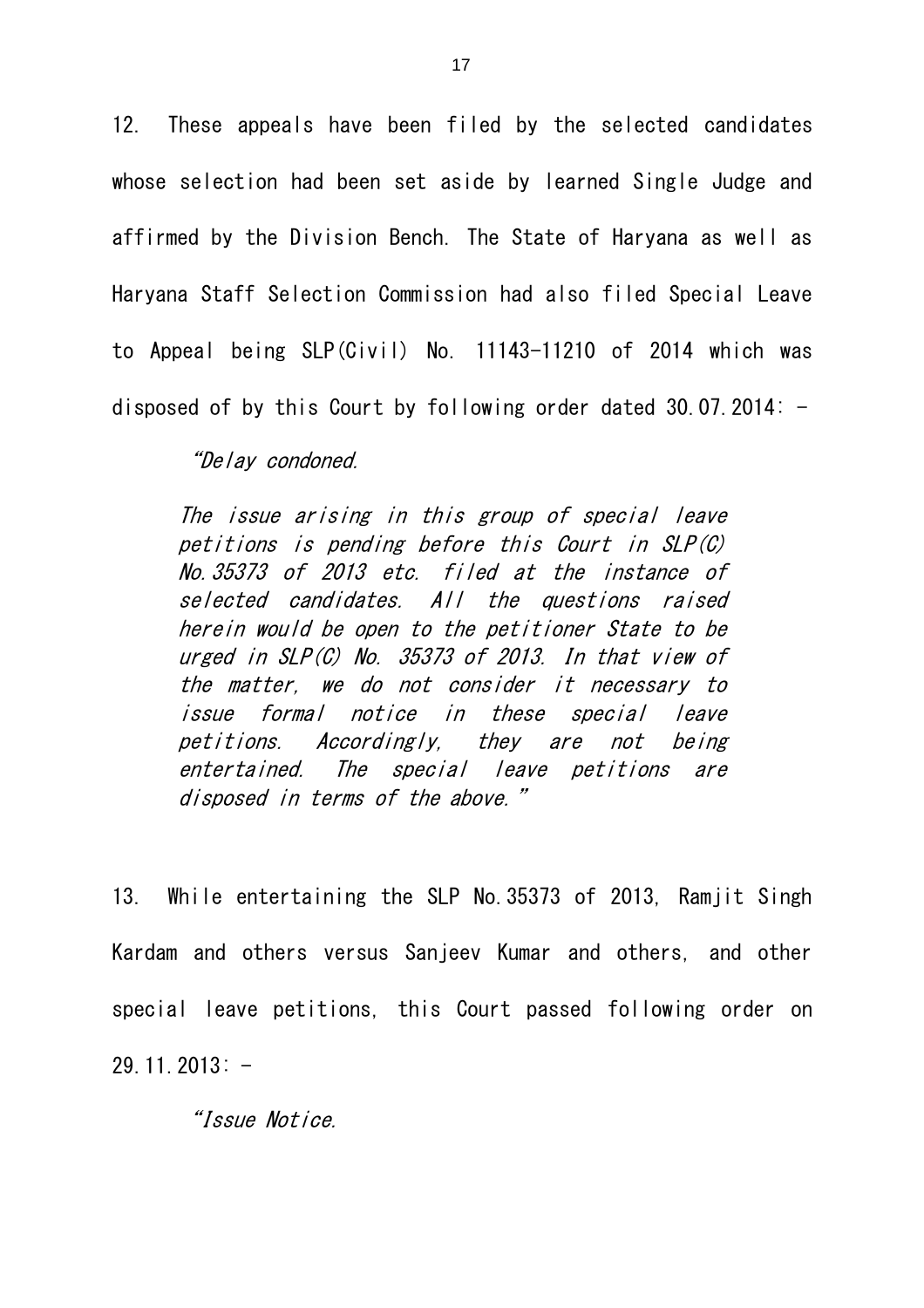12. These appeals have been filed by the selected candidates whose selection had been set aside by learned Single Judge and affirmed by the Division Bench. The State of Haryana as well as Haryana Staff Selection Commission had also filed Special Leave to Appeal being SLP(Civil) No. 11143-11210 of 2014 which was disposed of by this Court by following order dated 30.07.2014:  $-$ 

"Delay condoned.

The issue arising in this group of special leave petitions is pending before this Court in SLP(C) No.35373 of 2013 etc. filed at the instance of selected candidates. All the questions raised herein would be open to the petitioner State to be urged in SLP(C) No. 35373 of 2013. In that view of the matter, we do not consider it necessary to issue formal notice in these special leave petitions. Accordingly, they are not being entertained. The special leave petitions are disposed in terms of the above."

13. While entertaining the SLP No.35373 of 2013, Ramjit Singh Kardam and others versus Sanjeev Kumar and others, and other special leave petitions, this Court passed following order on  $29.11.2013: -$ 

"Issue Notice.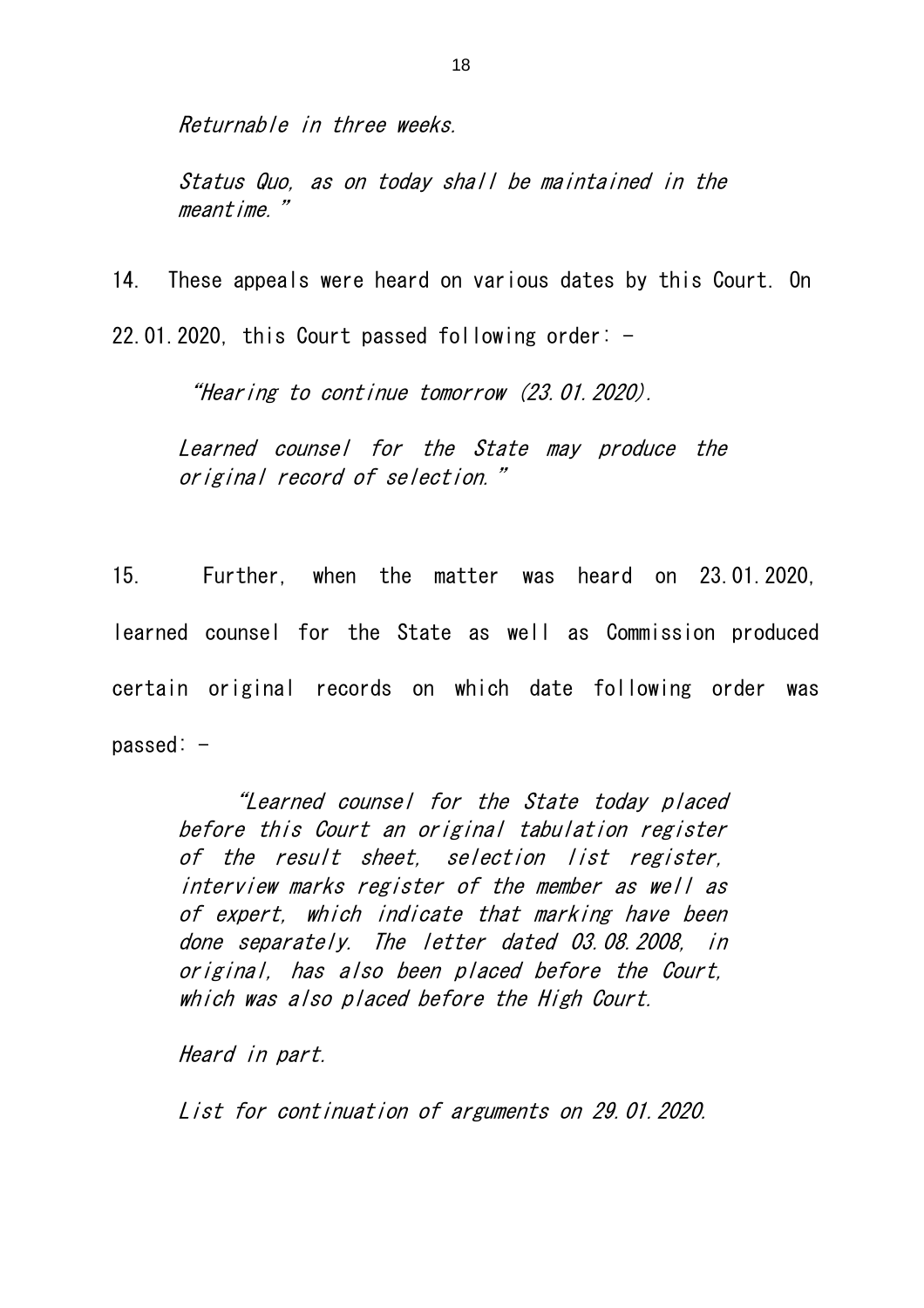Returnable in three weeks.

Status Quo, as on today shall be maintained in the meantime."

14. These appeals were heard on various dates by this Court. On 22.01.2020, this Court passed following order:  $-$ 

"Hearing to continue tomorrow (23.01.2020).

Learned counsel for the State may produce the original record of selection."

15. Further, when the matter was heard on 23.01.2020, learned counsel for the State as well as Commission produced certain original records on which date following order was  $passed: -$ 

"Learned counsel for the State today placed before this Court an original tabulation register of the result sheet, selection list register, interview marks register of the member as well as of expert, which indicate that marking have been done separately. The letter dated 03.08.2008, in original, has also been placed before the Court, which was also placed before the High Court.

Heard in part.

List for continuation of arguments on 29.01.2020.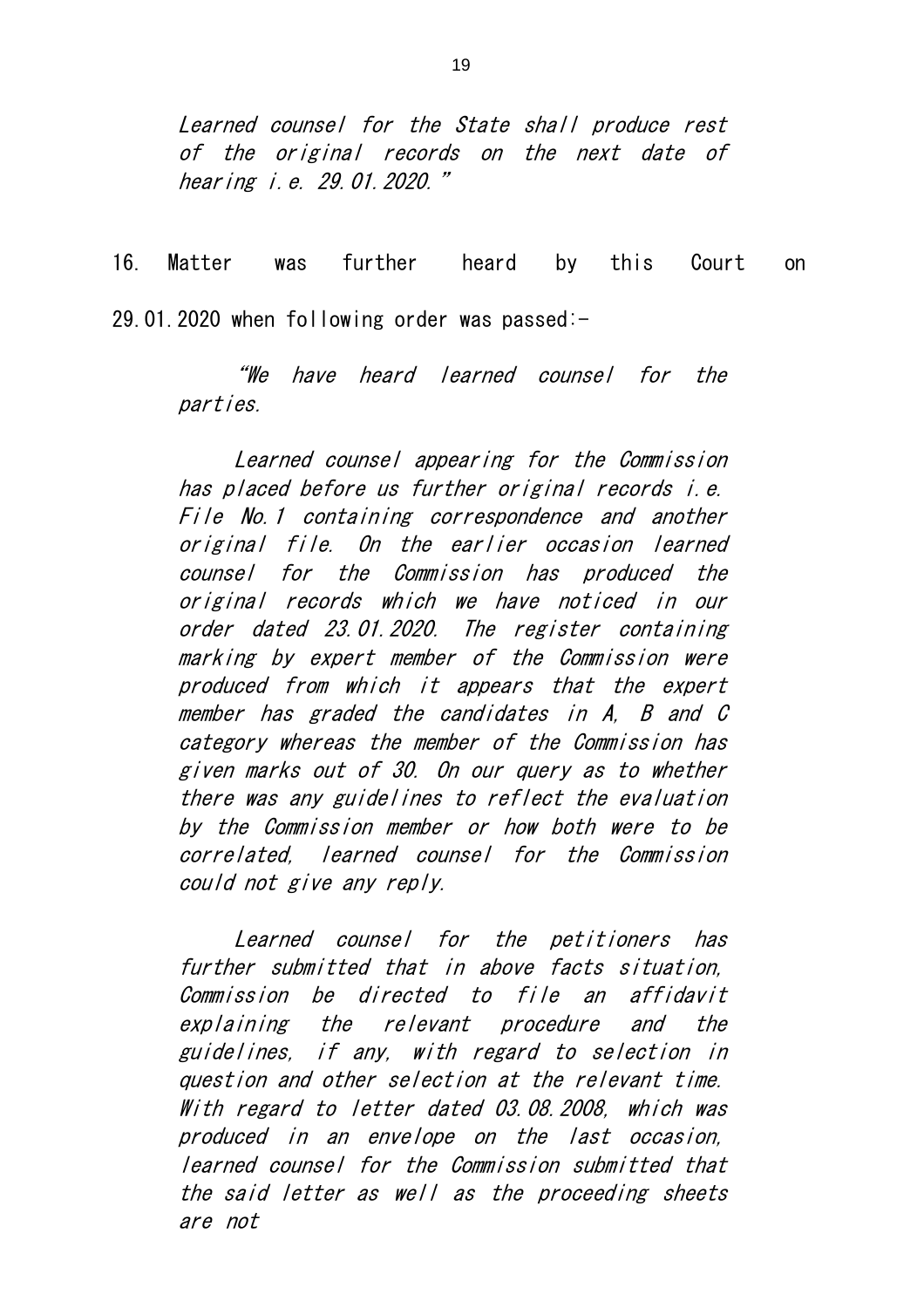Learned counsel for the State shall produce rest of the original records on the next date of hearing i.e. 29.01.2020."

16. Matter was further heard by this Court on 29.01.2020 when following order was passed:-

"We have heard learned counsel for the parties.

Learned counsel appearing for the Commission has placed before us further original records i.e. File No.1 containing correspondence and another original file. On the earlier occasion learned counsel for the Commission has produced the original records which we have noticed in our order dated 23.01.2020. The register containing marking by expert member of the Commission were produced from which it appears that the expert member has graded the candidates in A, B and C category whereas the member of the Commission has given marks out of 30. On our query as to whether there was any guidelines to reflect the evaluation by the Commission member or how both were to be correlated, learned counsel for the Commission could not give any reply.

Learned counsel for the petitioners has further submitted that in above facts situation, Commission be directed to file an affidavit explaining the relevant procedure and the guidelines, if any, with regard to selection in question and other selection at the relevant time. With regard to letter dated 03.08.2008, which was produced in an envelope on the last occasion, learned counsel for the Commission submitted that the said letter as well as the proceeding sheets are not

19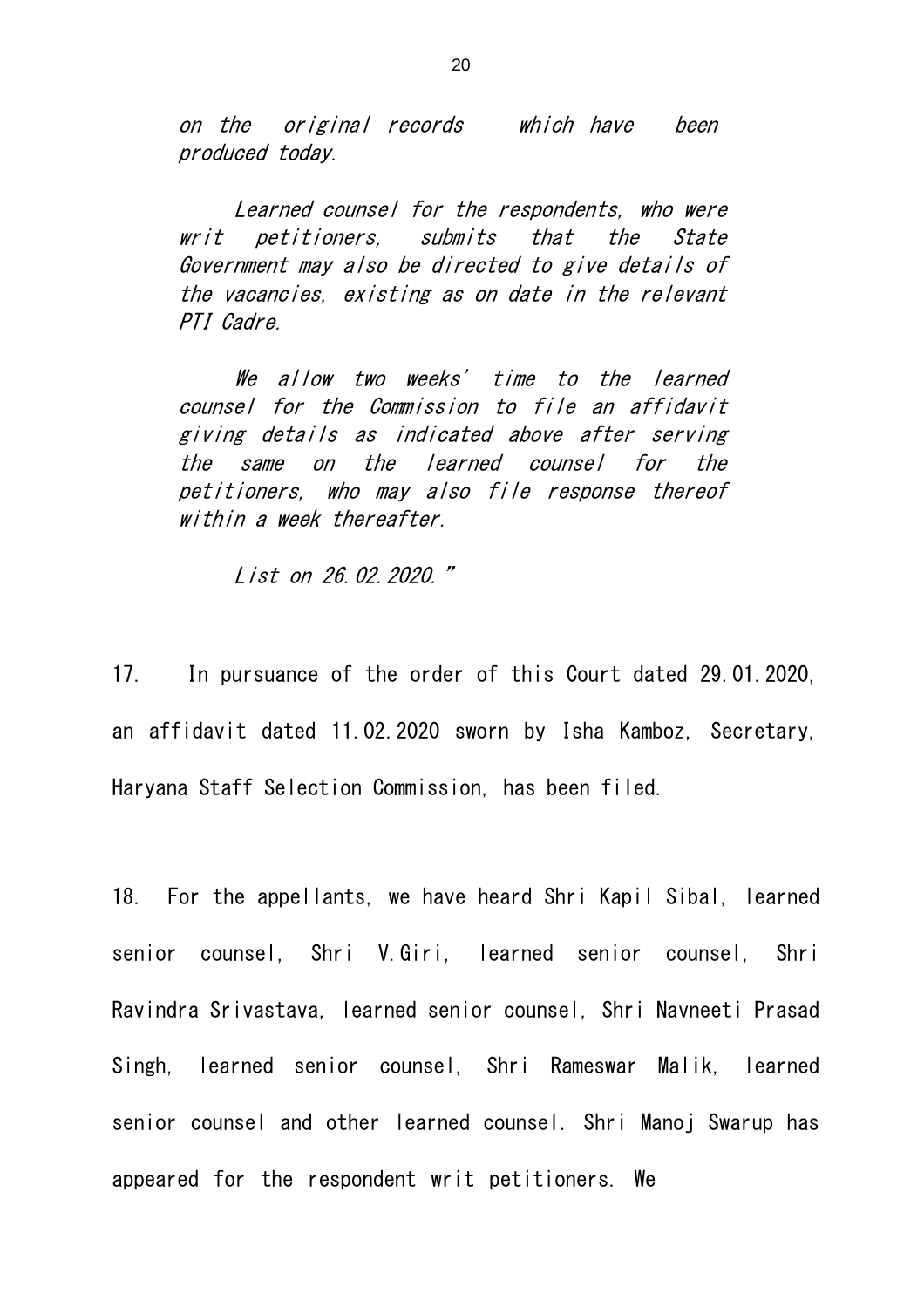on the original records which have been produced today.

Learned counsel for the respondents, who were writ petitioners, submits that the State Government may also be directed to give details of the vacancies, existing as on date in the relevant PTI Cadre.

We allow two weeks' time to the learned counsel for the Commission to file an affidavit giving details as indicated above after serving the same on the learned counsel for the petitioners, who may also file response thereof within a week thereafter.

List on 26.02.2020."

17. In pursuance of the order of this Court dated 29.01.2020, an affidavit dated 11.02.2020 sworn by Isha Kamboz, Secretary, Haryana Staff Selection Commission, has been filed.

18. For the appellants, we have heard Shri Kapil Sibal, learned senior counsel, Shri V.Giri, learned senior counsel, Shri Ravindra Srivastava, learned senior counsel, Shri Navneeti Prasad Singh, learned senior counsel, Shri Rameswar Malik, learned senior counsel and other learned counsel. Shri Manoj Swarup has appeared for the respondent writ petitioners. We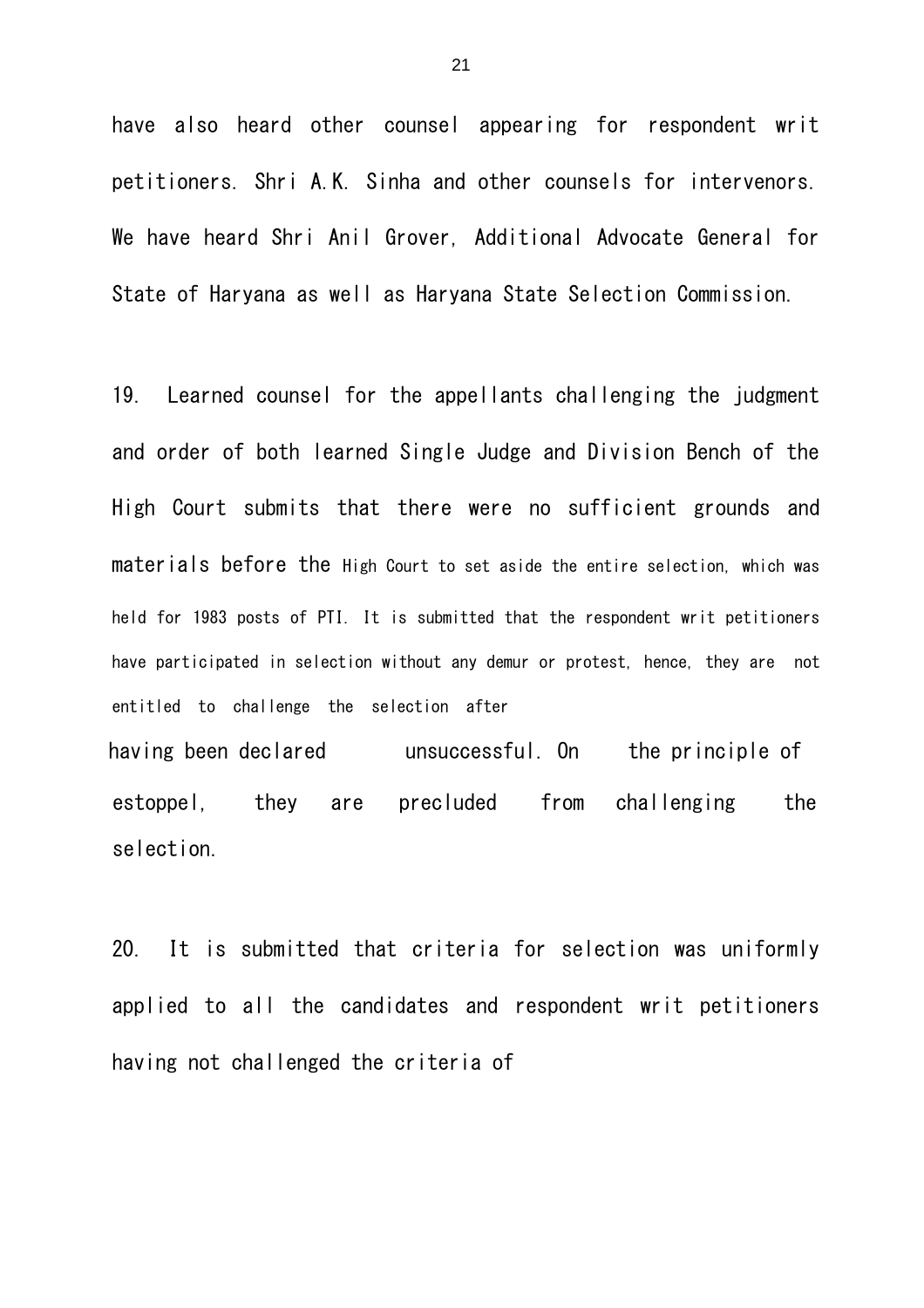have also heard other counsel appearing for respondent writ petitioners. Shri A.K. Sinha and other counsels for intervenors. We have heard Shri Anil Grover, Additional Advocate General for State of Haryana as well as Haryana State Selection Commission.

19. Learned counsel for the appellants challenging the judgment and order of both learned Single Judge and Division Bench of the High Court submits that there were no sufficient grounds and materials before the High Court to set aside the entire selection, which was held for 1983 posts of PTI. It is submitted that the respondent writ petitioners have participated in selection without any demur or protest, hence, they are not entitled to challenge the selection after having been declared unsuccessful. On the principle of

estoppel, they are precluded from challenging the selection.

20. It is submitted that criteria for selection was uniformly applied to all the candidates and respondent writ petitioners having not challenged the criteria of

21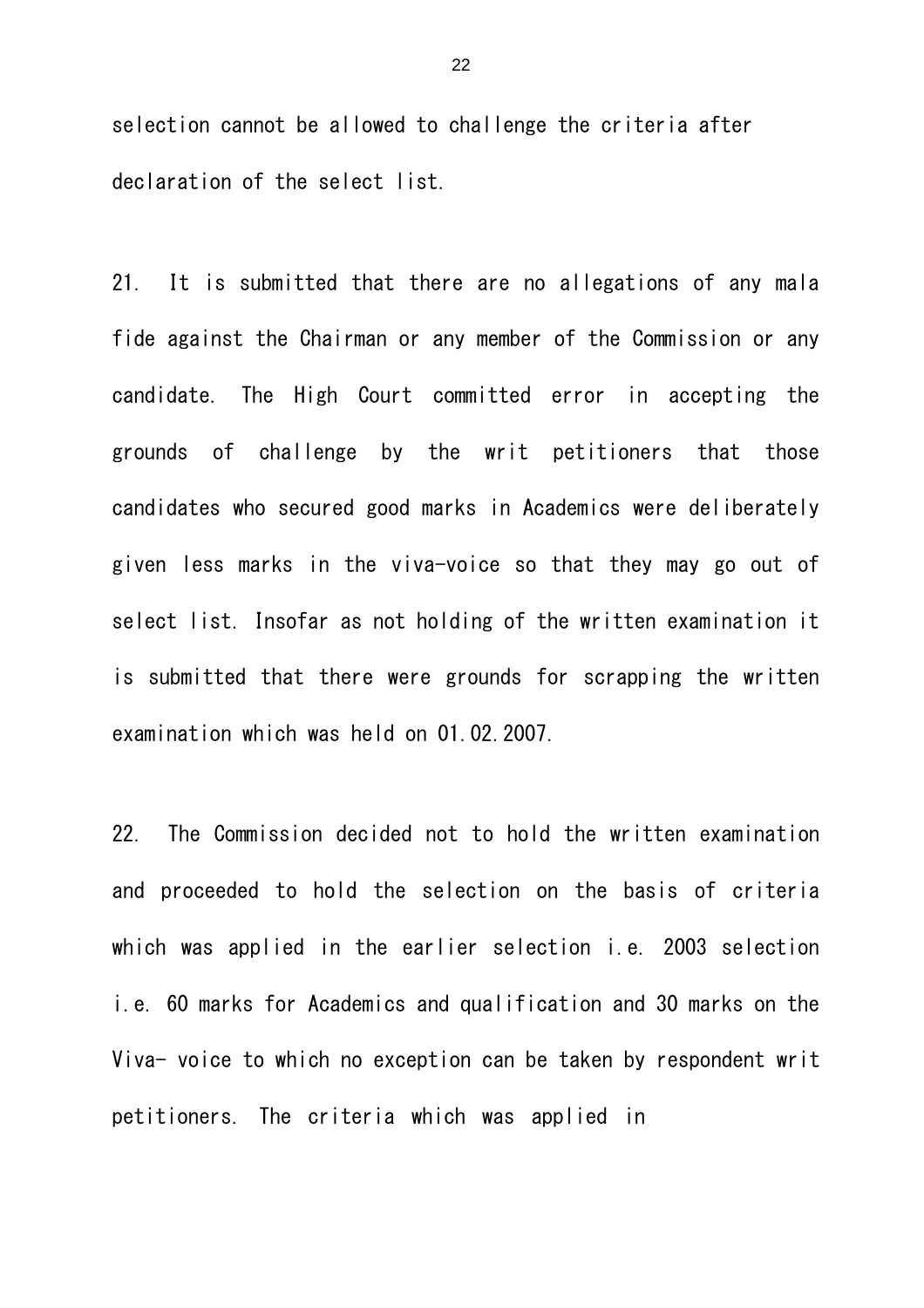selection cannot be allowed to challenge the criteria after declaration of the select list.

21. It is submitted that there are no allegations of any mala fide against the Chairman or any member of the Commission or any candidate. The High Court committed error in accepting the grounds of challenge by the writ petitioners that those candidates who secured good marks in Academics were deliberately given less marks in the viva-voice so that they may go out of select list. Insofar as not holding of the written examination it is submitted that there were grounds for scrapping the written examination which was held on 01.02.2007.

22. The Commission decided not to hold the written examination and proceeded to hold the selection on the basis of criteria which was applied in the earlier selection i.e. 2003 selection i.e. 60 marks for Academics and qualification and 30 marks on the Viva- voice to which no exception can be taken by respondent writ petitioners. The criteria which was applied in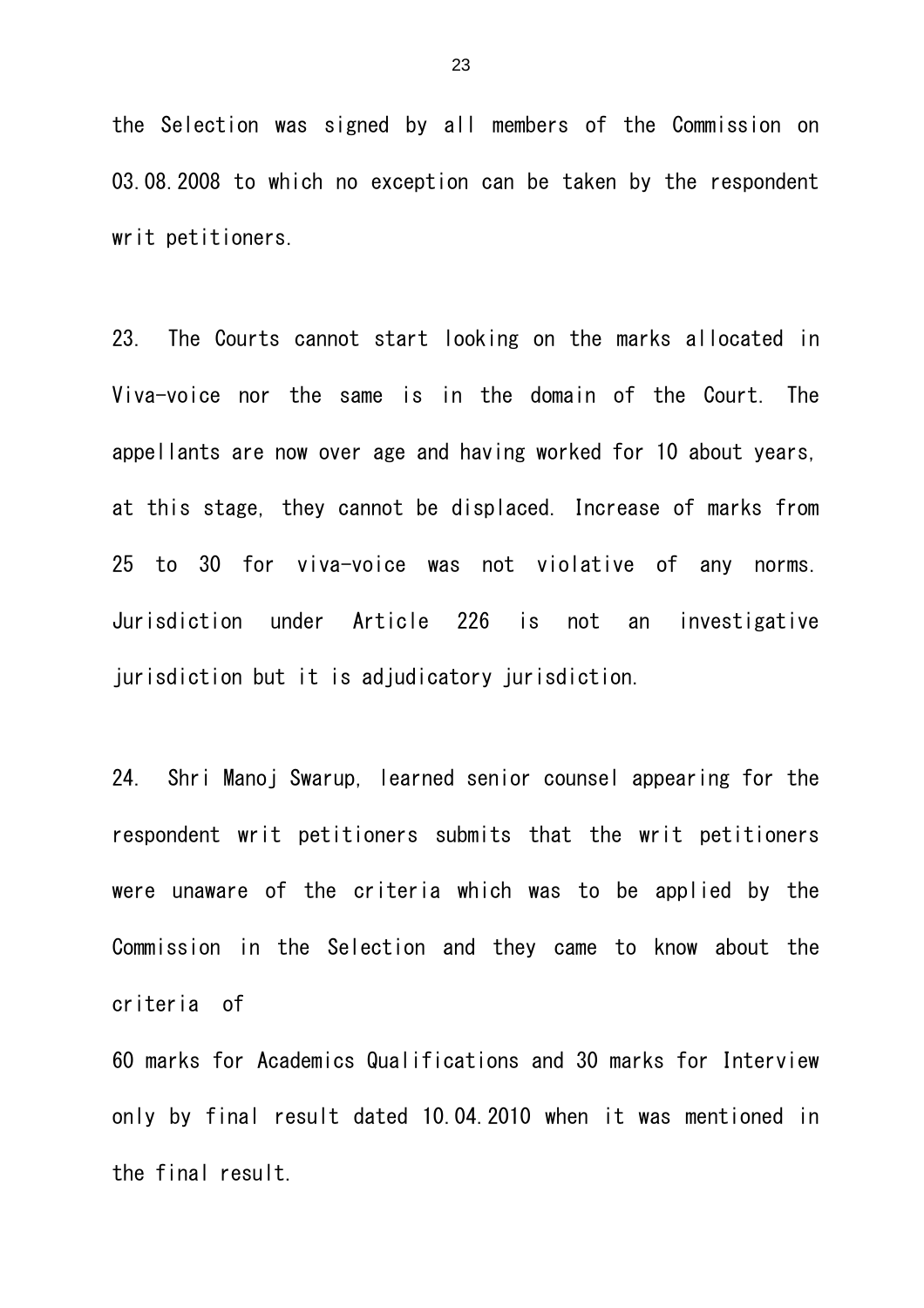the Selection was signed by all members of the Commission on 03.08.2008 to which no exception can be taken by the respondent writ petitioners.

23. The Courts cannot start looking on the marks allocated in Viva-voice nor the same is in the domain of the Court. The appellants are now over age and having worked for 10 about years, at this stage, they cannot be displaced. Increase of marks from 25 to 30 for viva-voice was not violative of any norms. Jurisdiction under Article 226 is not an investigative jurisdiction but it is adjudicatory jurisdiction.

24. Shri Manoj Swarup, learned senior counsel appearing for the respondent writ petitioners submits that the writ petitioners were unaware of the criteria which was to be applied by the Commission in the Selection and they came to know about the criteria of

60 marks for Academics Qualifications and 30 marks for Interview only by final result dated 10.04.2010 when it was mentioned in the final result.

23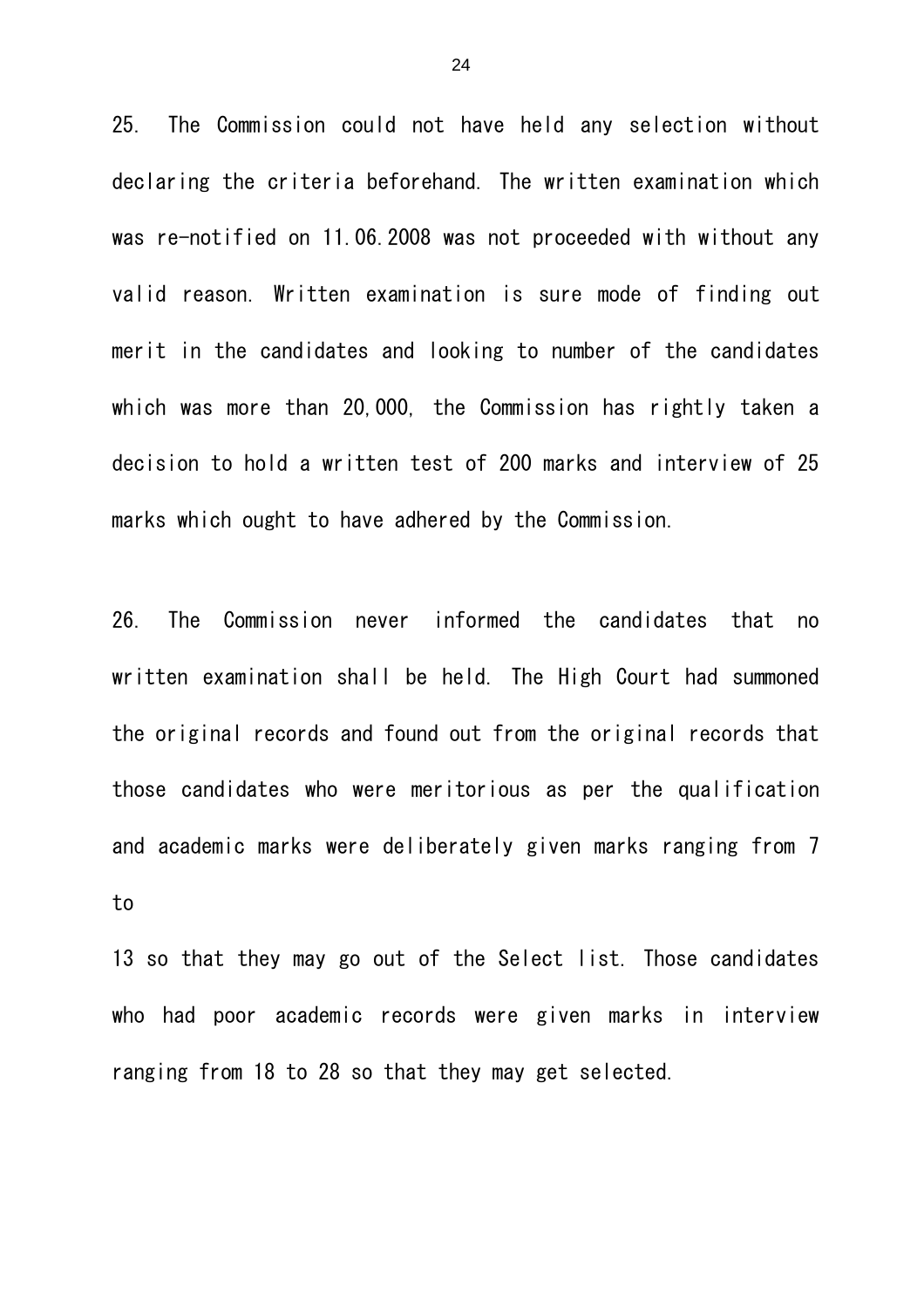25. The Commission could not have held any selection without declaring the criteria beforehand. The written examination which was re-notified on 11.06.2008 was not proceeded with without any valid reason. Written examination is sure mode of finding out merit in the candidates and looking to number of the candidates which was more than 20,000, the Commission has rightly taken a decision to hold a written test of 200 marks and interview of 25 marks which ought to have adhered by the Commission.

26. The Commission never informed the candidates that no written examination shall be held. The High Court had summoned the original records and found out from the original records that those candidates who were meritorious as per the qualification and academic marks were deliberately given marks ranging from 7 to

13 so that they may go out of the Select list. Those candidates who had poor academic records were given marks in interview ranging from 18 to 28 so that they may get selected.

24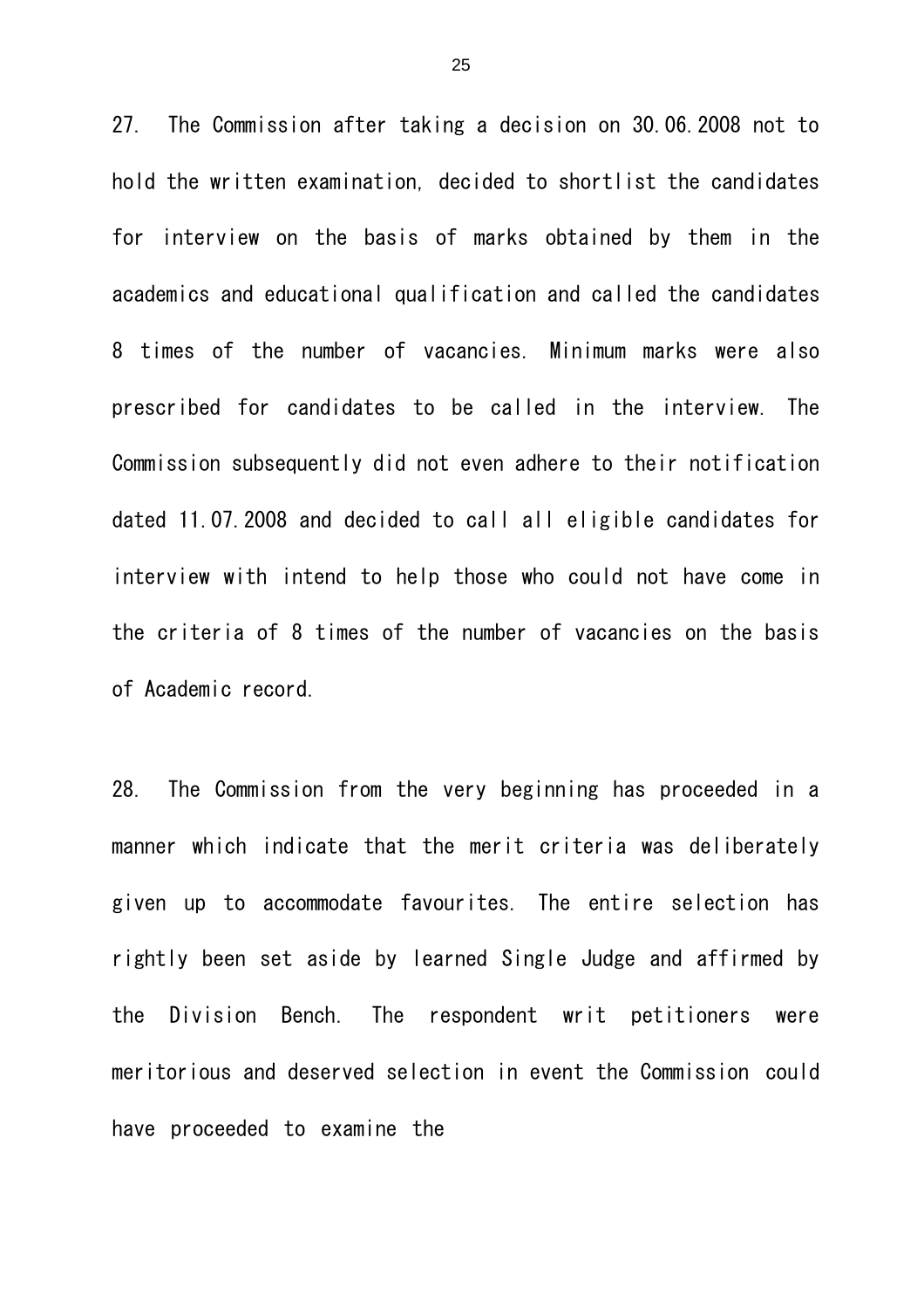27. The Commission after taking a decision on 30.06.2008 not to hold the written examination, decided to shortlist the candidates for interview on the basis of marks obtained by them in the academics and educational qualification and called the candidates 8 times of the number of vacancies. Minimum marks were also prescribed for candidates to be called in the interview. The Commission subsequently did not even adhere to their notification dated 11.07.2008 and decided to call all eligible candidates for interview with intend to help those who could not have come in the criteria of 8 times of the number of vacancies on the basis of Academic record.

28. The Commission from the very beginning has proceeded in a manner which indicate that the merit criteria was deliberately given up to accommodate favourites. The entire selection has rightly been set aside by learned Single Judge and affirmed by the Division Bench. The respondent writ petitioners were meritorious and deserved selection in event the Commission could have proceeded to examine the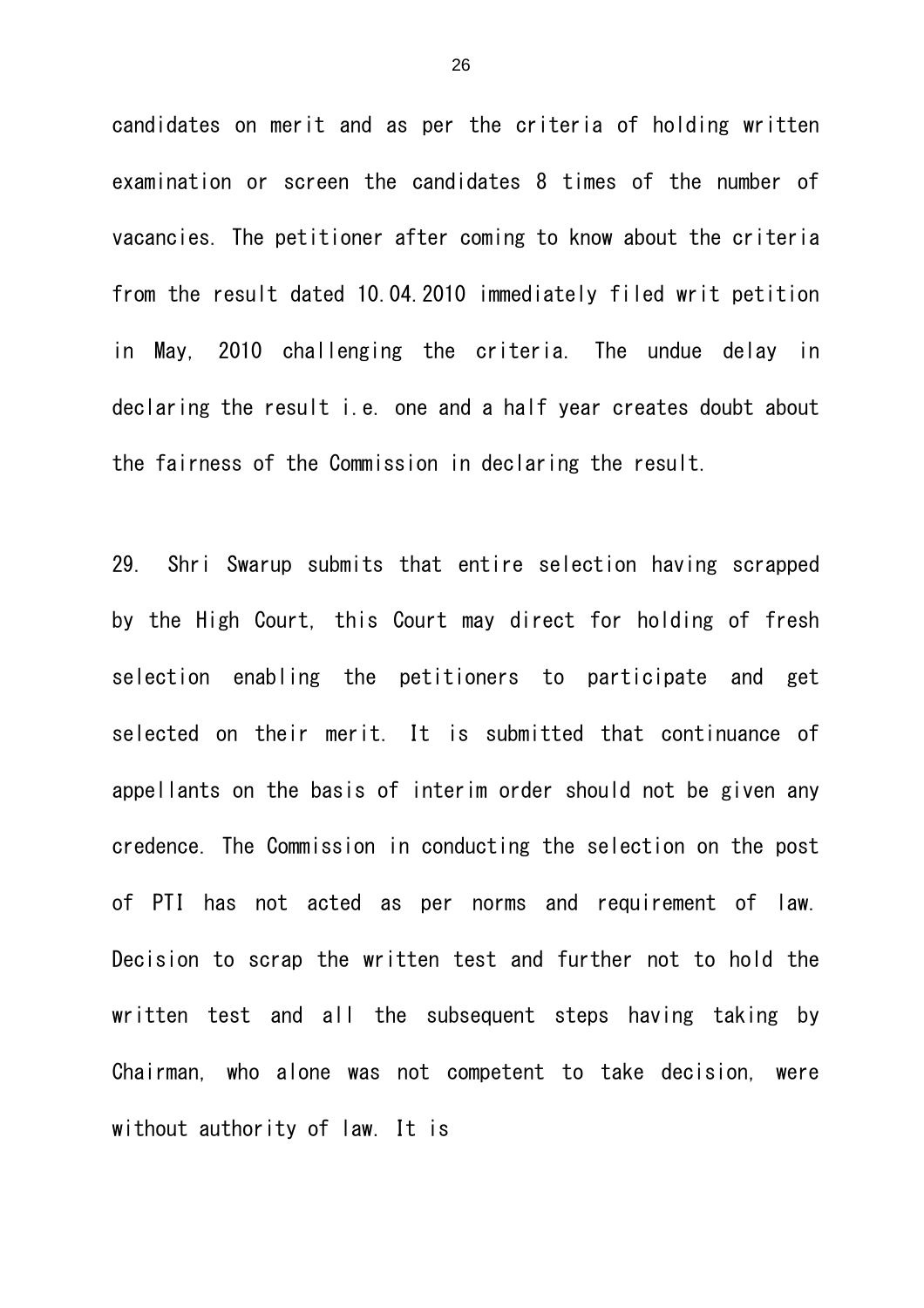candidates on merit and as per the criteria of holding written examination or screen the candidates 8 times of the number of vacancies. The petitioner after coming to know about the criteria from the result dated 10.04.2010 immediately filed writ petition in May, 2010 challenging the criteria. The undue delay in declaring the result i.e. one and a half year creates doubt about the fairness of the Commission in declaring the result.

29. Shri Swarup submits that entire selection having scrapped by the High Court, this Court may direct for holding of fresh selection enabling the petitioners to participate and get selected on their merit. It is submitted that continuance of appellants on the basis of interim order should not be given any credence. The Commission in conducting the selection on the post of PTI has not acted as per norms and requirement of law. Decision to scrap the written test and further not to hold the written test and all the subsequent steps having taking by Chairman, who alone was not competent to take decision, were without authority of law. It is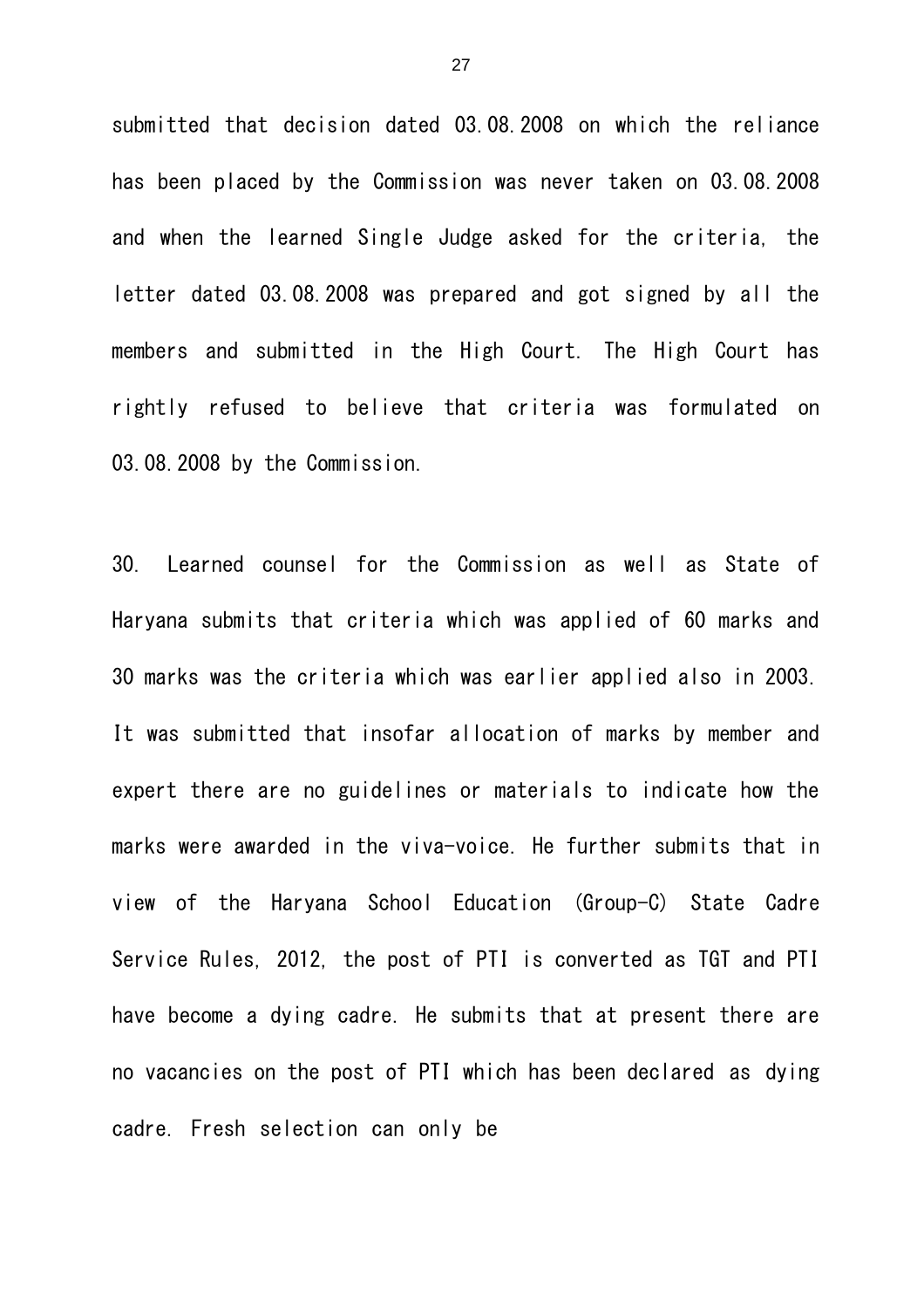submitted that decision dated 03.08.2008 on which the reliance has been placed by the Commission was never taken on 03.08.2008 and when the learned Single Judge asked for the criteria, the letter dated 03.08.2008 was prepared and got signed by all the members and submitted in the High Court. The High Court has rightly refused to believe that criteria was formulated on 03.08.2008 by the Commission.

30. Learned counsel for the Commission as well as State of Haryana submits that criteria which was applied of 60 marks and 30 marks was the criteria which was earlier applied also in 2003. It was submitted that insofar allocation of marks by member and expert there are no guidelines or materials to indicate how the marks were awarded in the viva-voice. He further submits that in view of the Haryana School Education (Group-C) State Cadre Service Rules, 2012, the post of PTI is converted as TGT and PTI have become a dying cadre. He submits that at present there are no vacancies on the post of PTI which has been declared as dying cadre. Fresh selection can only be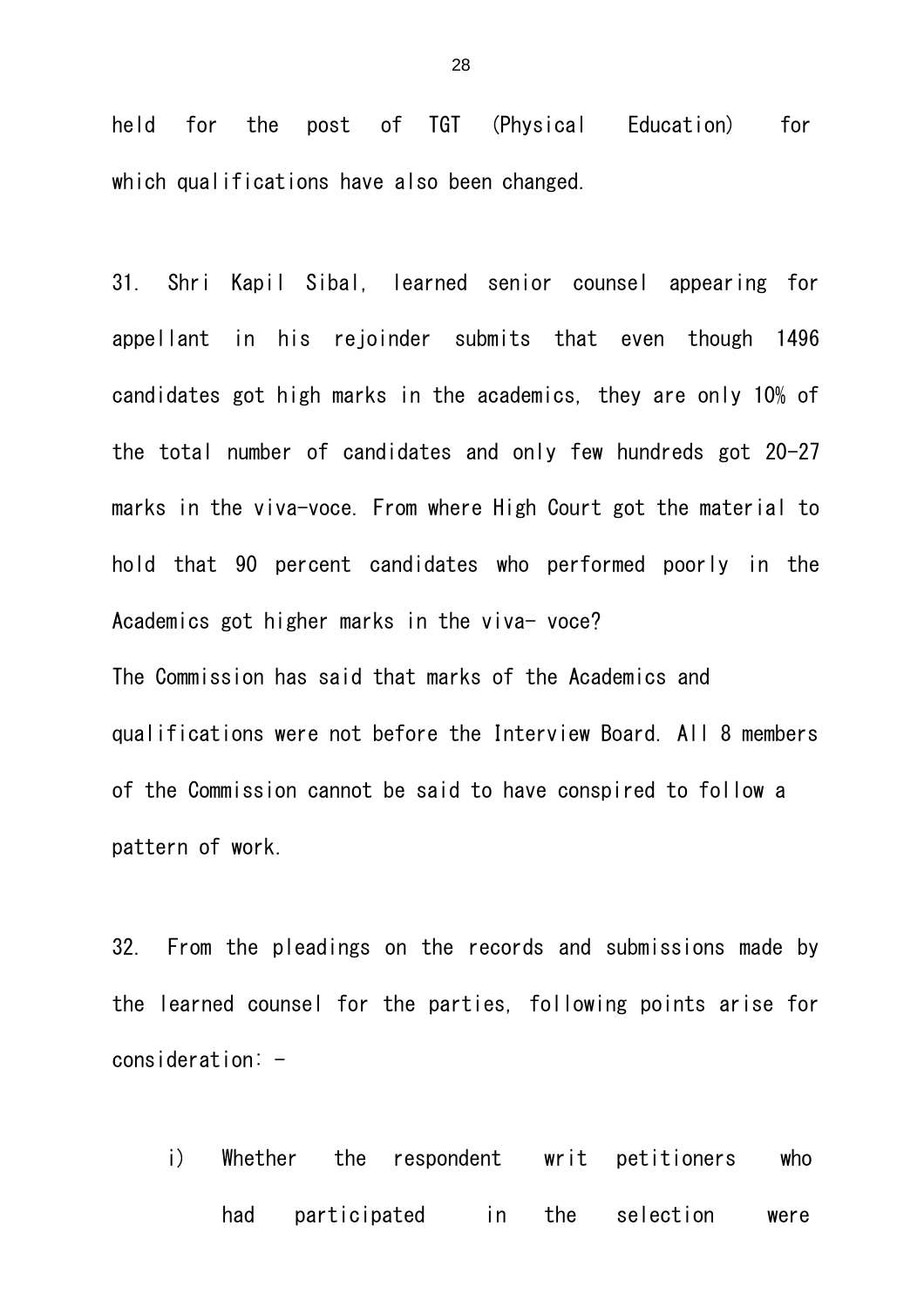held for the post of TGT (Physical Education) for which qualifications have also been changed.

31. Shri Kapil Sibal, learned senior counsel appearing for appellant in his rejoinder submits that even though 1496 candidates got high marks in the academics, they are only 10% of the total number of candidates and only few hundreds got 20-27 marks in the viva-voce. From where High Court got the material to hold that 90 percent candidates who performed poorly in the Academics got higher marks in the viva- voce? The Commission has said that marks of the Academics and qualifications were not before the Interview Board. All 8 members of the Commission cannot be said to have conspired to follow a

pattern of work.

32. From the pleadings on the records and submissions made by the learned counsel for the parties, following points arise for  $consideration: -$ 

i) Whether the respondent writ petitioners who had participated in the selection were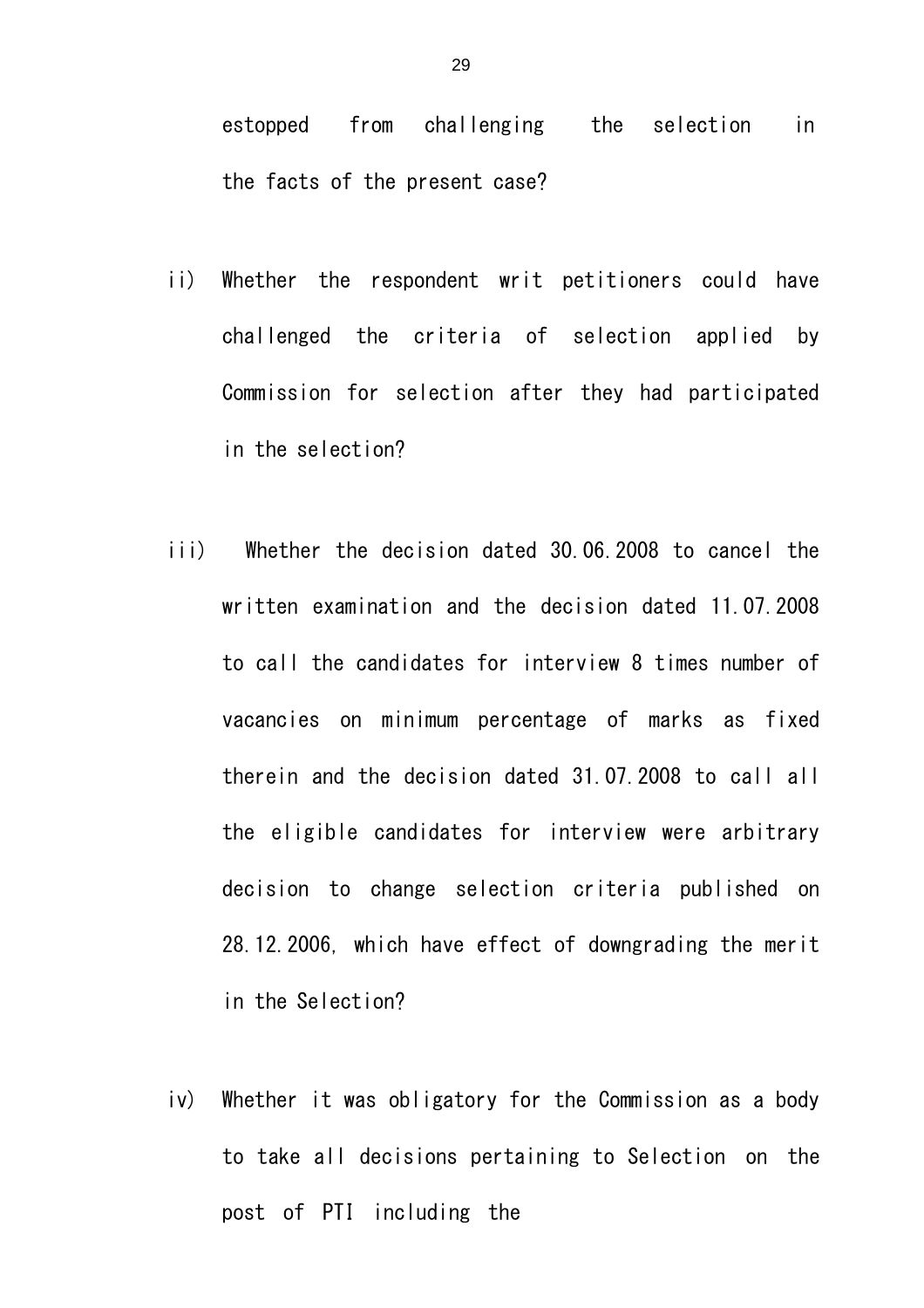estopped from challenging the selection in the facts of the present case?

- ii) Whether the respondent writ petitioners could have challenged the criteria of selection applied by Commission for selection after they had participated in the selection?
- iii) Whether the decision dated 30.06.2008 to cancel the written examination and the decision dated 11.07.2008 to call the candidates for interview 8 times number of vacancies on minimum percentage of marks as fixed therein and the decision dated 31.07.2008 to call all the eligible candidates for interview were arbitrary decision to change selection criteria published on 28.12.2006, which have effect of downgrading the merit in the Selection?
- iv) Whether it was obligatory for the Commission as a body to take all decisions pertaining to Selection on the post of PTI including the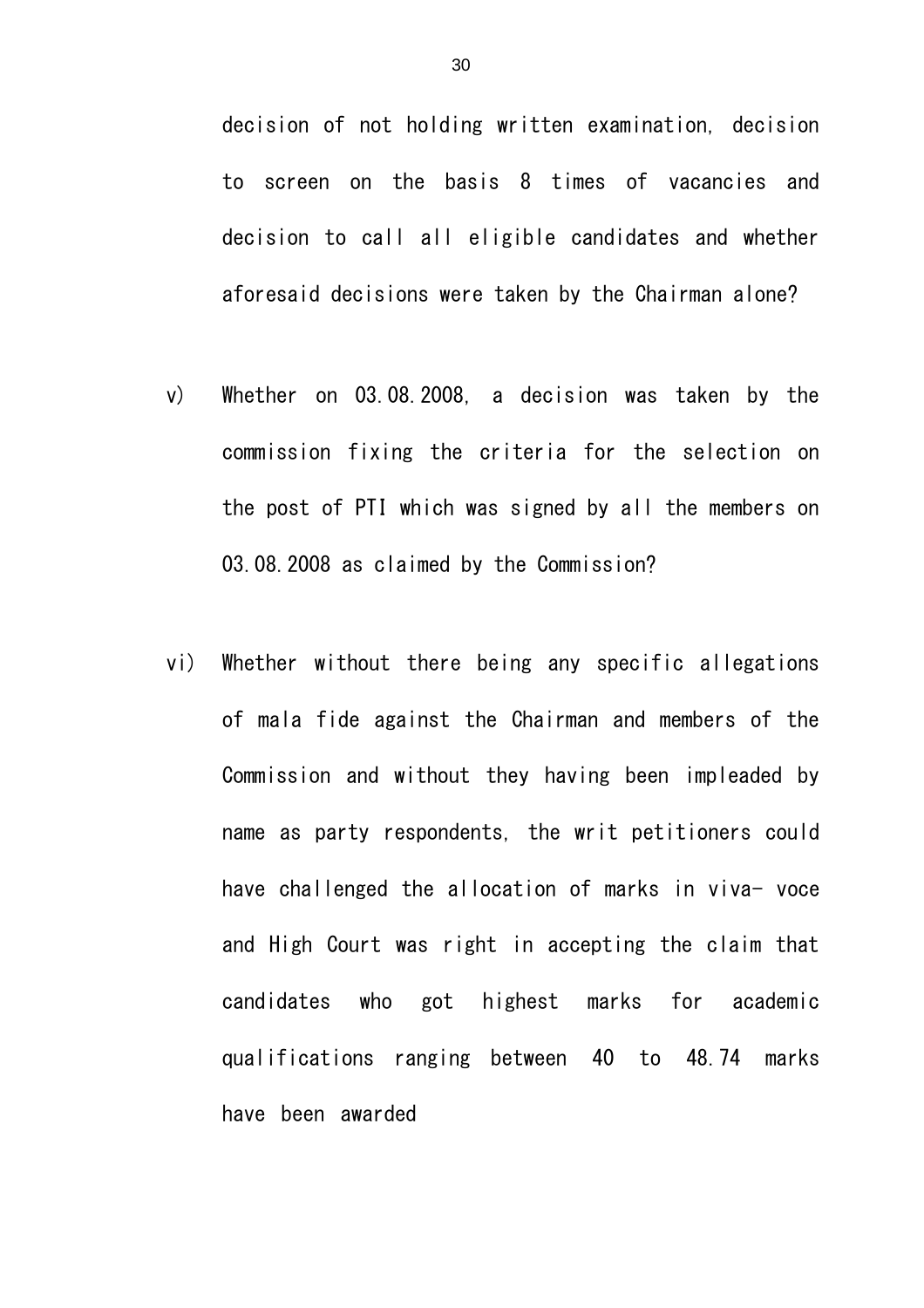decision of not holding written examination, decision to screen on the basis 8 times of vacancies and decision to call all eligible candidates and whether aforesaid decisions were taken by the Chairman alone?

- v) Whether on 03.08.2008, a decision was taken by the commission fixing the criteria for the selection on the post of PTI which was signed by all the members on 03.08.2008 as claimed by the Commission?
- vi) Whether without there being any specific allegations of mala fide against the Chairman and members of the Commission and without they having been impleaded by name as party respondents, the writ petitioners could have challenged the allocation of marks in viva- voce and High Court was right in accepting the claim that candidates who got highest marks for academic qualifications ranging between 40 to 48.74 marks have been awarded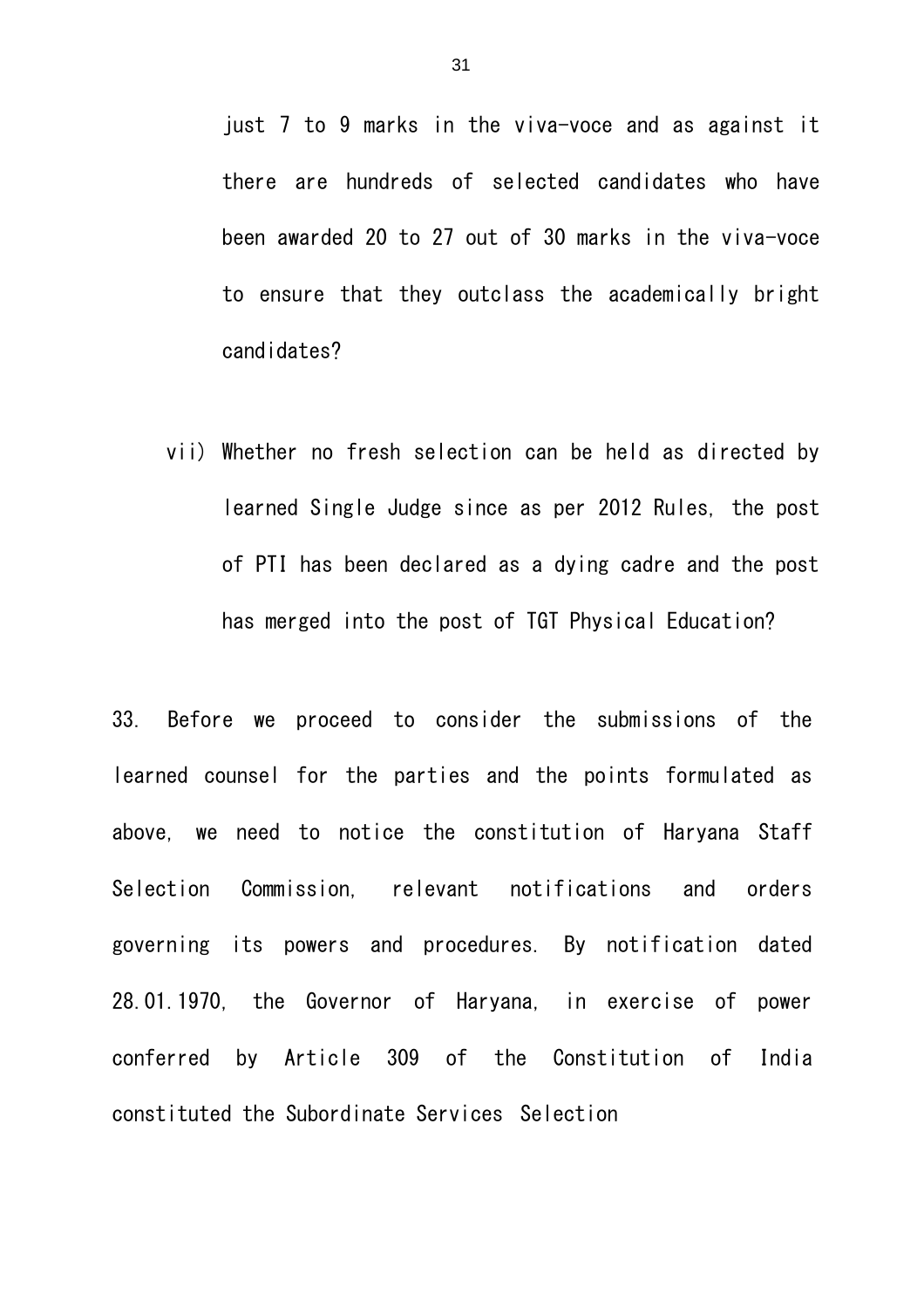just 7 to 9 marks in the viva-voce and as against it there are hundreds of selected candidates who have been awarded 20 to 27 out of 30 marks in the viva-voce to ensure that they outclass the academically bright candidates?

vii) Whether no fresh selection can be held as directed by learned Single Judge since as per 2012 Rules, the post of PTI has been declared as a dying cadre and the post has merged into the post of TGT Physical Education?

33. Before we proceed to consider the submissions of the learned counsel for the parties and the points formulated as above, we need to notice the constitution of Haryana Staff Selection Commission, relevant notifications and orders governing its powers and procedures. By notification dated 28.01.1970, the Governor of Haryana, in exercise of power conferred by Article 309 of the Constitution of India constituted the Subordinate Services Selection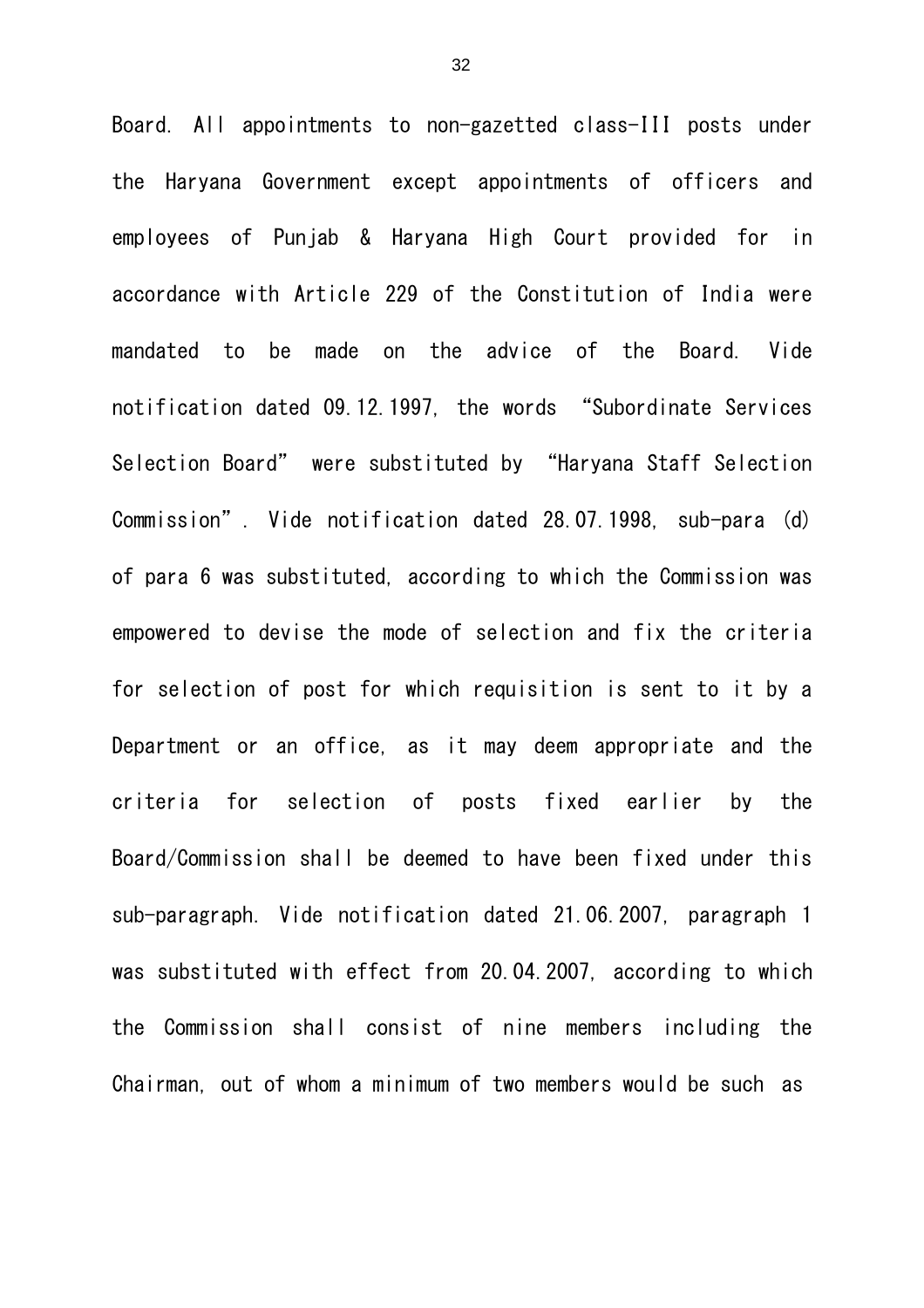Board. All appointments to non-gazetted class-III posts under the Haryana Government except appointments of officers and employees of Punjab & Haryana High Court provided for in accordance with Article 229 of the Constitution of India were mandated to be made on the advice of the Board. Vide notification dated 09.12.1997, the words "Subordinate Services Selection Board" were substituted by "Haryana Staff Selection Commission". Vide notification dated 28.07.1998, sub-para (d) of para 6 was substituted, according to which the Commission was empowered to devise the mode of selection and fix the criteria for selection of post for which requisition is sent to it by a Department or an office, as it may deem appropriate and the criteria for selection of posts fixed earlier by the Board/Commission shall be deemed to have been fixed under this sub-paragraph. Vide notification dated 21.06.2007, paragraph 1 was substituted with effect from 20.04.2007, according to which the Commission shall consist of nine members including the Chairman, out of whom a minimum of two members would be such as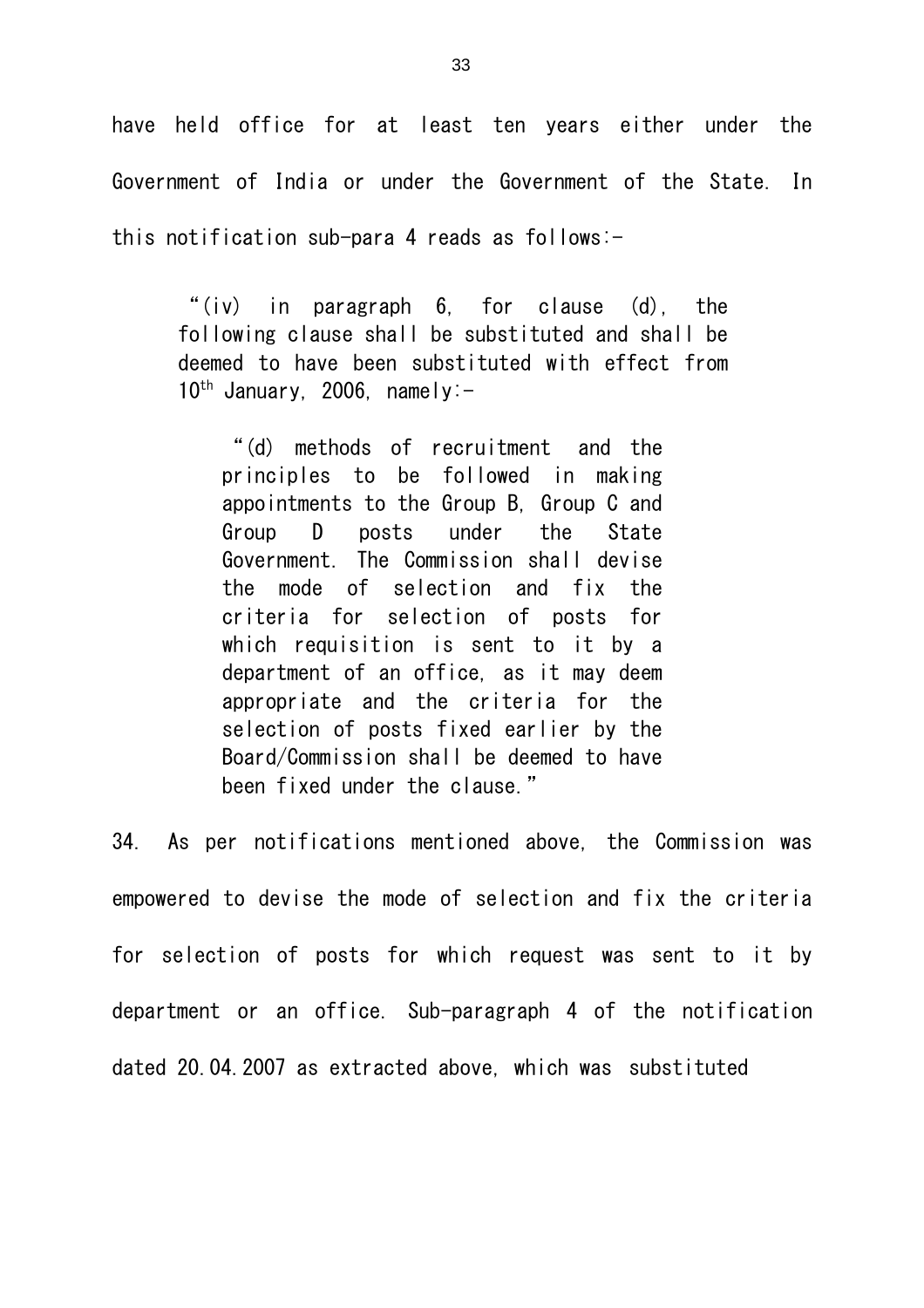have held office for at least ten years either under the Government of India or under the Government of the State. In this notification sub-para 4 reads as follows:-

"(iv) in paragraph 6, for clause (d), the following clause shall be substituted and shall be deemed to have been substituted with effect from  $10^{th}$  January, 2006, namely:-

"(d) methods of recruitment and the principles to be followed in making appointments to the Group B, Group C and Group D posts under the State Government. The Commission shall devise the mode of selection and fix the criteria for selection of posts for which requisition is sent to it by a department of an office, as it may deem appropriate and the criteria for the selection of posts fixed earlier by the Board/Commission shall be deemed to have been fixed under the clause."

34. As per notifications mentioned above, the Commission was empowered to devise the mode of selection and fix the criteria for selection of posts for which request was sent to it by department or an office. Sub-paragraph 4 of the notification dated 20.04.2007 as extracted above, which was substituted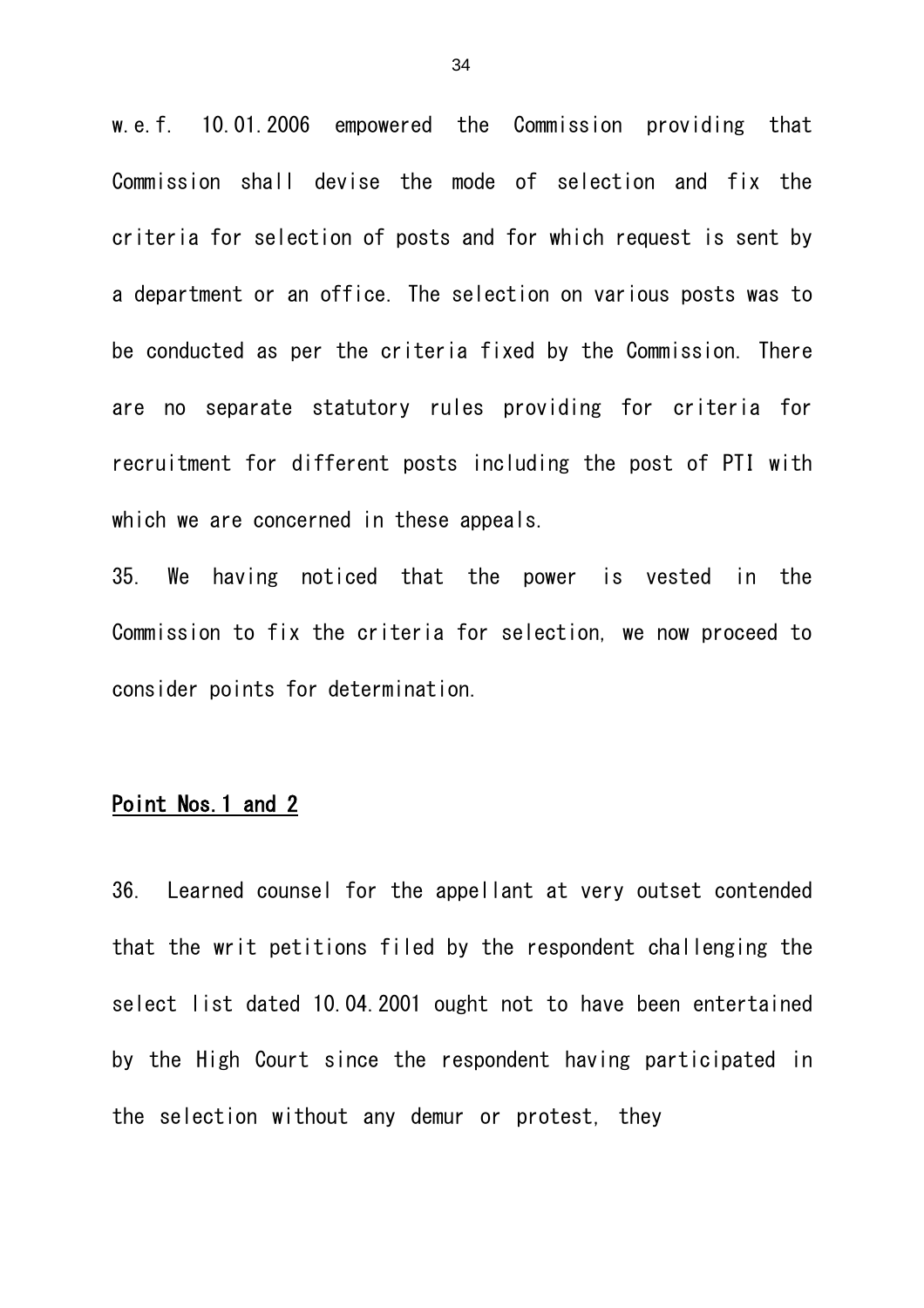w.e.f. 10.01.2006 empowered the Commission providing that Commission shall devise the mode of selection and fix the criteria for selection of posts and for which request is sent by a department or an office. The selection on various posts was to be conducted as per the criteria fixed by the Commission. There are no separate statutory rules providing for criteria for recruitment for different posts including the post of PTI with which we are concerned in these appeals.

35. We having noticed that the power is vested in the Commission to fix the criteria for selection, we now proceed to consider points for determination.

### Point Nos.1 and 2

36. Learned counsel for the appellant at very outset contended that the writ petitions filed by the respondent challenging the select list dated 10.04.2001 ought not to have been entertained by the High Court since the respondent having participated in the selection without any demur or protest, they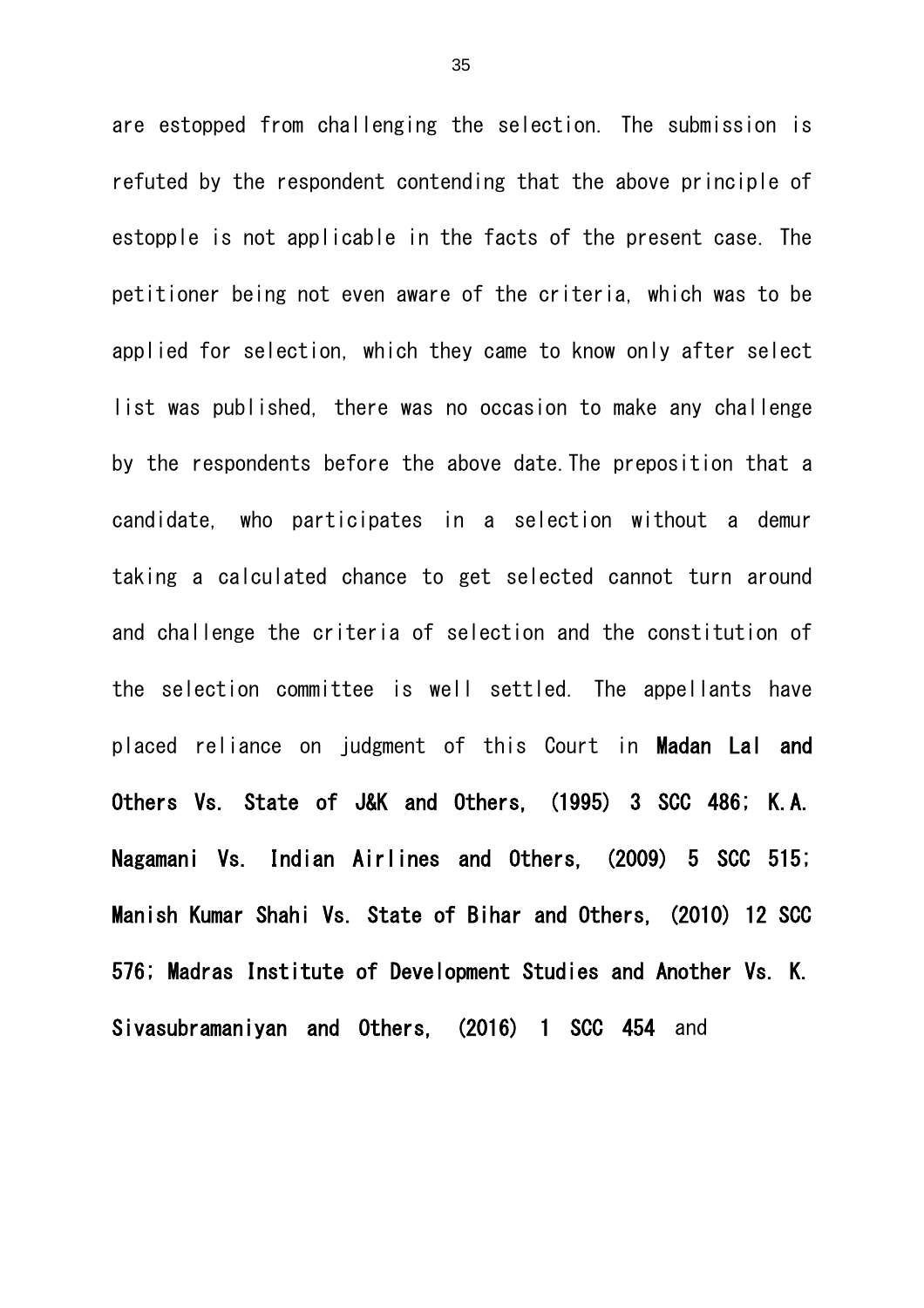are estopped from challenging the selection. The submission is refuted by the respondent contending that the above principle of estopple is not applicable in the facts of the present case. The petitioner being not even aware of the criteria, which was to be applied for selection, which they came to know only after select list was published, there was no occasion to make any challenge by the respondents before the above date.The preposition that a candidate, who participates in a selection without a demur taking a calculated chance to get selected cannot turn around and challenge the criteria of selection and the constitution of the selection committee is well settled. The appellants have placed reliance on judgment of this Court in Madan Lal and Others Vs. State of J&K and Others, (1995) 3 SCC 486; K.A. Nagamani Vs. Indian Airlines and Others, (2009) 5 SCC 515; Manish Kumar Shahi Vs. State of Bihar and Others, (2010) 12 SCC 576; Madras Institute of Development Studies and Another Vs. K. Sivasubramaniyan and Others, (2016) 1 SCC 454 and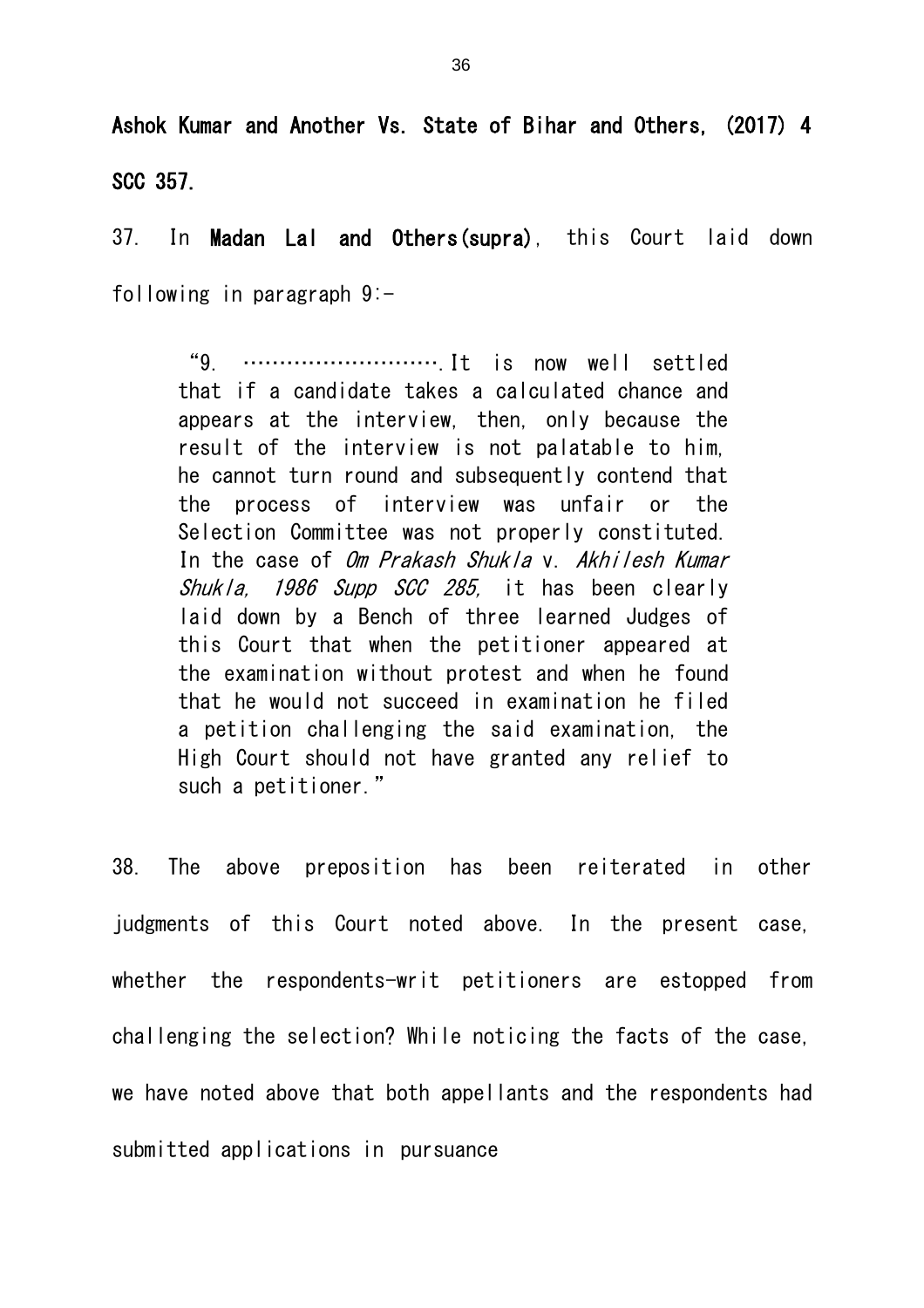Ashok Kumar and Another Vs. State of Bihar and Others, (2017) 4 SCC 357.

37. In Madan Lal and Others(supra), this Court laid down following in paragraph 9:-

"9. ……………………….It is now well settled that if a candidate takes a calculated chance and appears at the interview, then, only because the result of the interview is not palatable to him, he cannot turn round and subsequently contend that the process of interview was unfair or the Selection Committee was not properly constituted. In the case of Om Prakash Shukla v. Akhilesh Kumar Shukla, 1986 Supp SCC 285, it has been clearly laid down by a Bench of three learned Judges of this Court that when the petitioner appeared at the examination without protest and when he found that he would not succeed in examination he filed a petition challenging the said examination, the High Court should not have granted any relief to such a petitioner."

38. The above preposition has been reiterated in other judgments of this Court noted above. In the present case, whether the respondents-writ petitioners are estopped from challenging the selection? While noticing the facts of the case, we have noted above that both appellants and the respondents had submitted applications in pursuance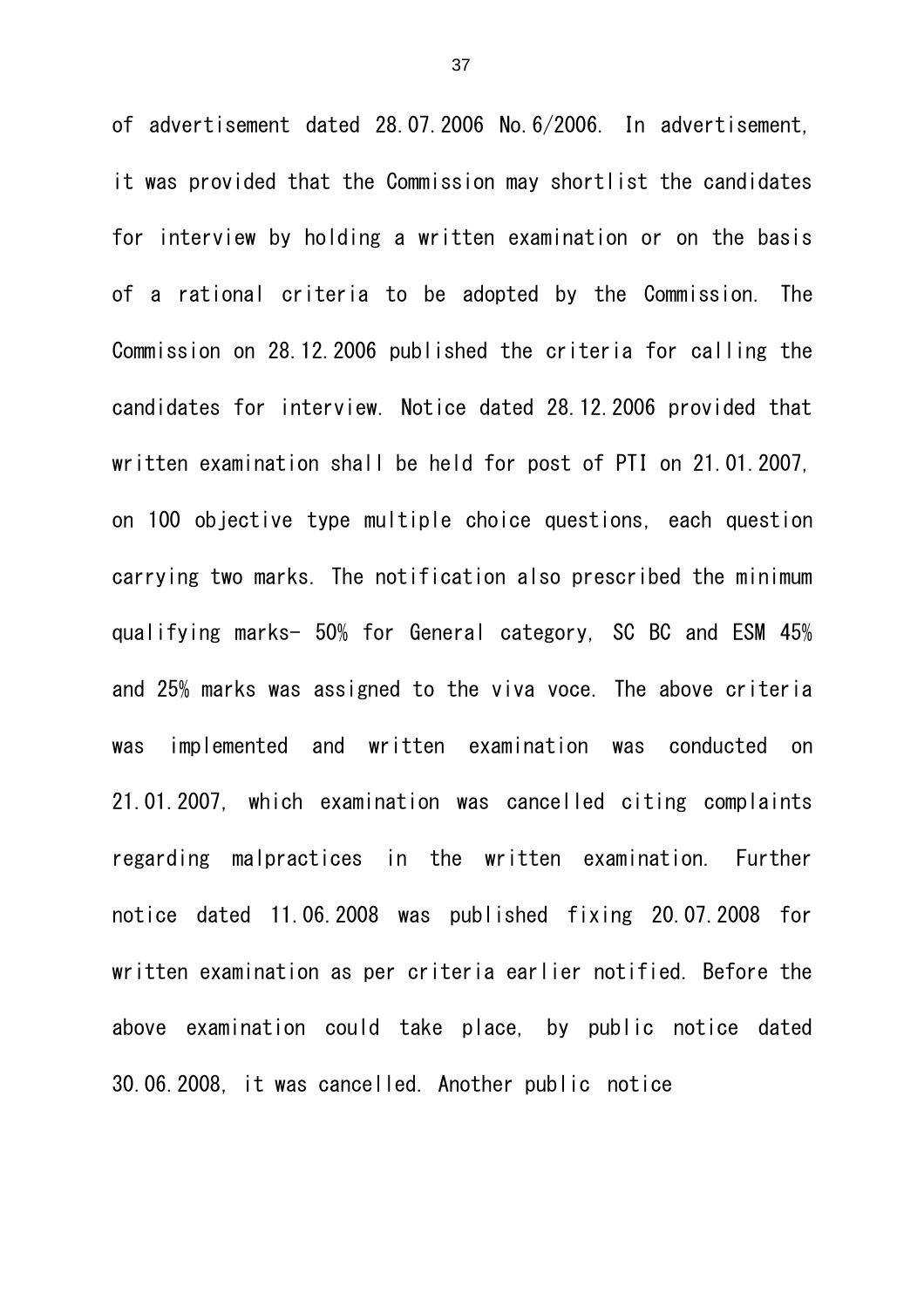of advertisement dated 28.07.2006 No.6/2006. In advertisement, it was provided that the Commission may shortlist the candidates for interview by holding a written examination or on the basis of a rational criteria to be adopted by the Commission. The Commission on 28.12.2006 published the criteria for calling the candidates for interview. Notice dated 28.12.2006 provided that written examination shall be held for post of PTI on 21.01.2007, on 100 objective type multiple choice questions, each question carrying two marks. The notification also prescribed the minimum qualifying marks- 50% for General category, SC BC and ESM 45% and 25% marks was assigned to the viva voce. The above criteria was implemented and written examination was conducted on 21.01.2007, which examination was cancelled citing complaints regarding malpractices in the written examination. Further notice dated 11.06.2008 was published fixing 20.07.2008 for written examination as per criteria earlier notified. Before the above examination could take place, by public notice dated 30.06.2008, it was cancelled. Another public notice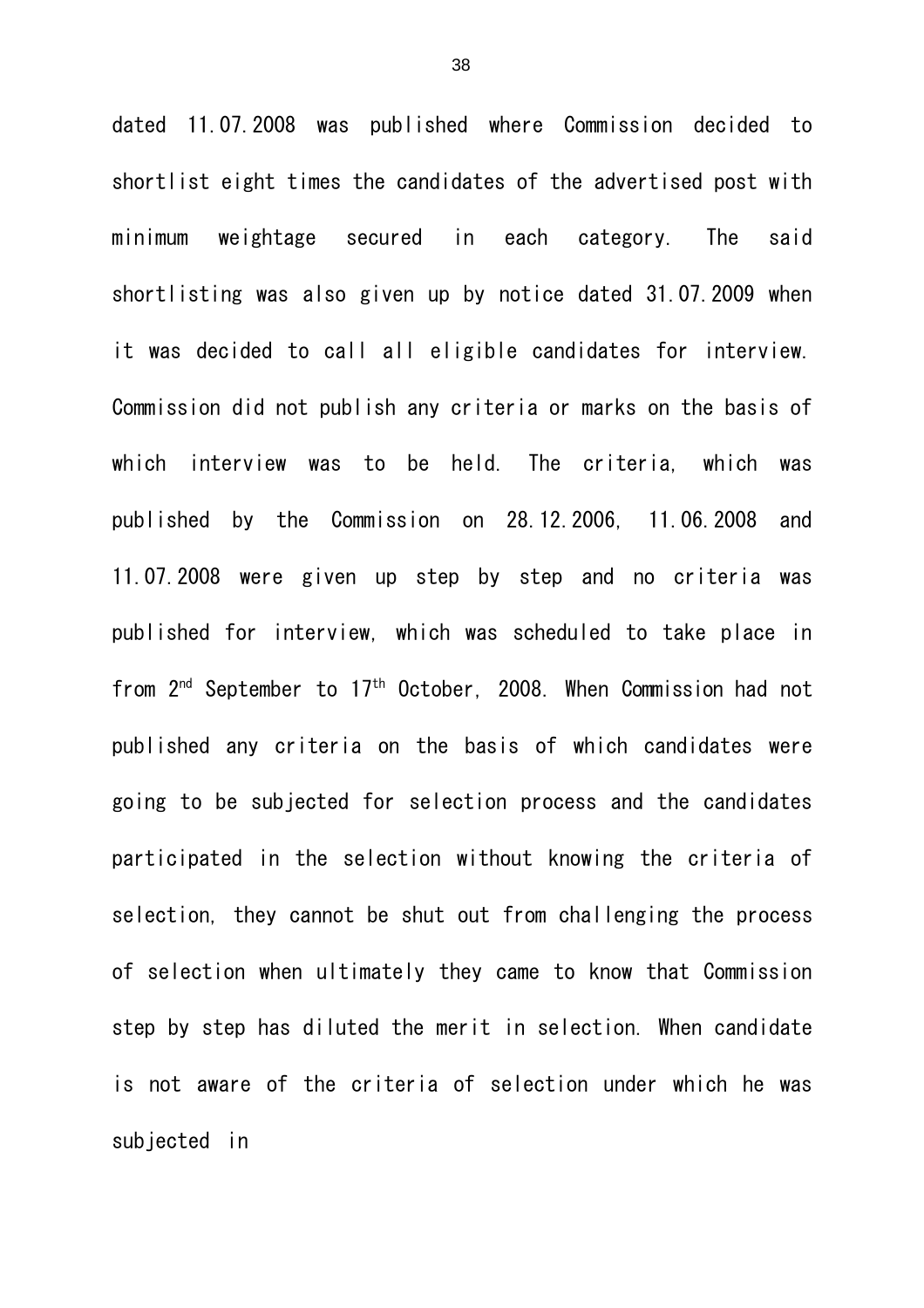dated 11.07.2008 was published where Commission decided to shortlist eight times the candidates of the advertised post with minimum weightage secured in each category. The said shortlisting was also given up by notice dated 31.07.2009 when it was decided to call all eligible candidates for interview. Commission did not publish any criteria or marks on the basis of which interview was to be held. The criteria, which was published by the Commission on 28.12.2006, 11.06.2008 and 11.07.2008 were given up step by step and no criteria was published for interview, which was scheduled to take place in from 2nd September to 17th October, 2008. When Commission had not published any criteria on the basis of which candidates were going to be subjected for selection process and the candidates participated in the selection without knowing the criteria of selection, they cannot be shut out from challenging the process of selection when ultimately they came to know that Commission step by step has diluted the merit in selection. When candidate is not aware of the criteria of selection under which he was subjected in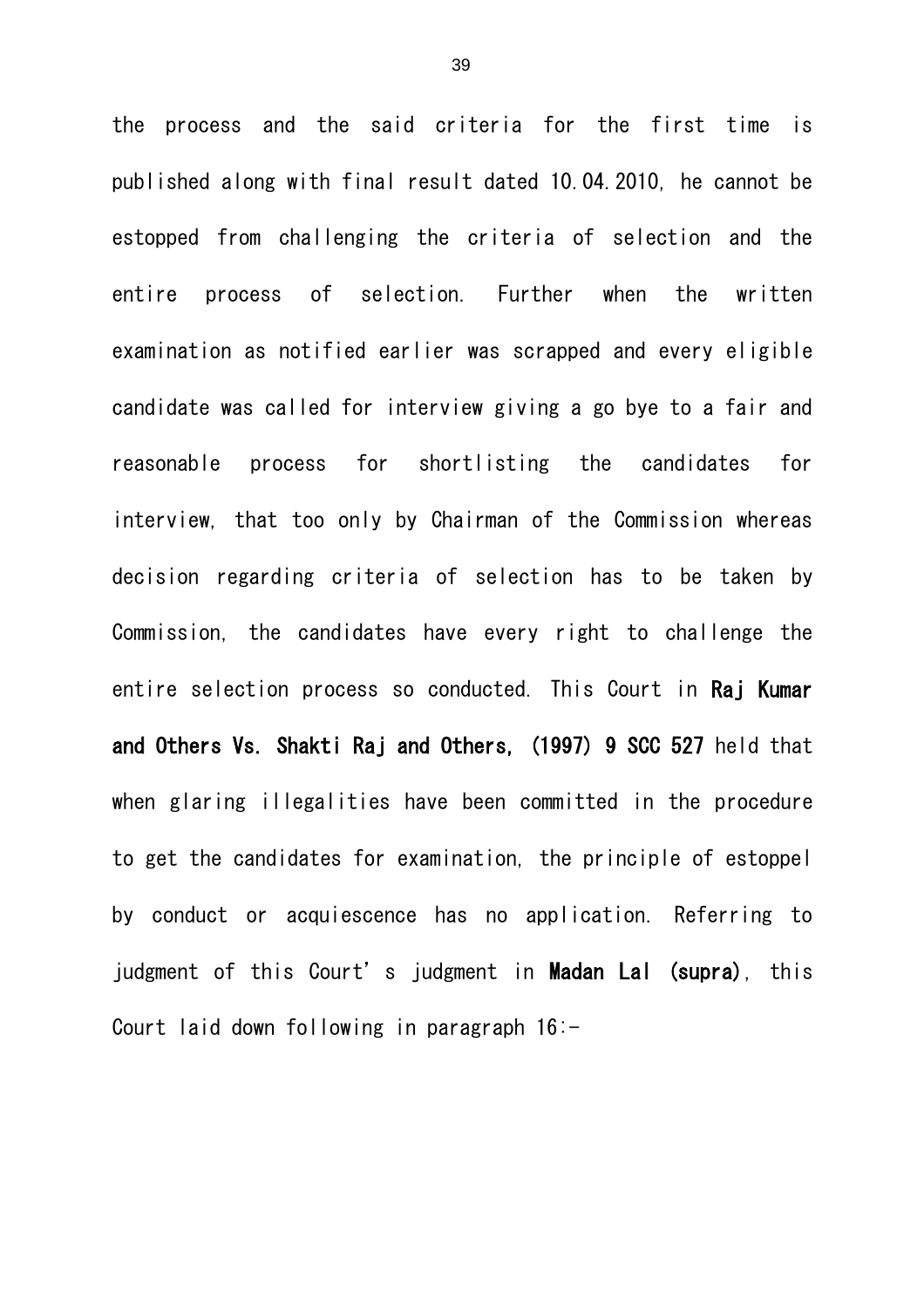the process and the said criteria for the first time is published along with final result dated 10.04.2010, he cannot be estopped from challenging the criteria of selection and the entire process of selection. Further when the written examination as notified earlier was scrapped and every eligible candidate was called for interview giving a go bye to a fair and reasonable process for shortlisting the candidates for interview, that too only by Chairman of the Commission whereas decision regarding criteria of selection has to be taken by Commission, the candidates have every right to challenge the entire selection process so conducted. This Court in Raj Kumar and Others Vs. Shakti Raj and Others, (1997) 9 SCC 527 held that when glaring illegalities have been committed in the procedure to get the candidates for examination, the principle of estoppel by conduct or acquiescence has no application. Referring to judgment of this Court's judgment in Madan Lal (supra), this Court laid down following in paragraph 16:-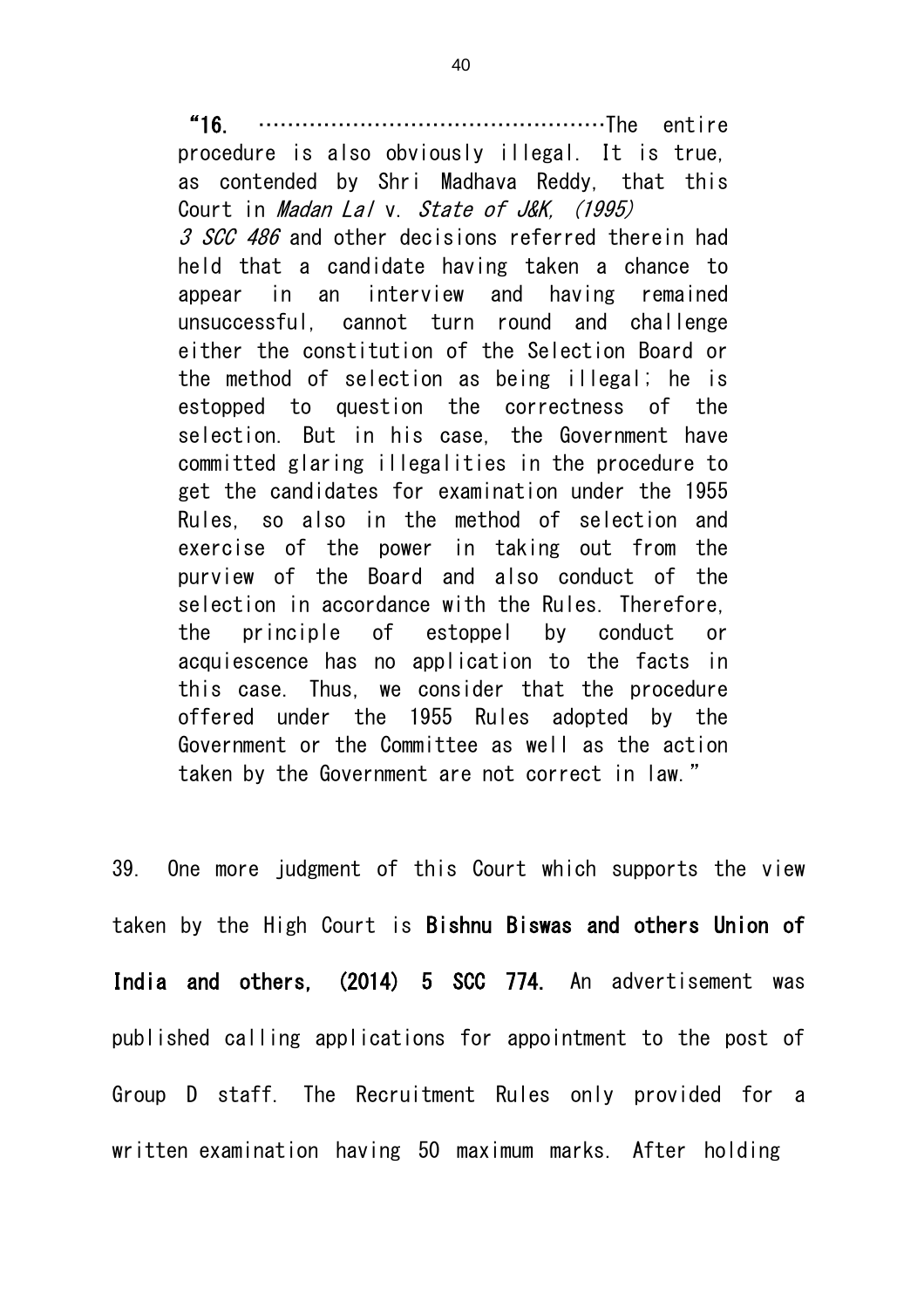"16. …………………………………………The entire

procedure is also obviously illegal. It is true, as contended by Shri Madhava Reddy, that this Court in *Madan Lal* v. State of J&K, (1995) 3 SCC 486 and other decisions referred therein had held that a candidate having taken a chance to appear in an interview and having remained unsuccessful, cannot turn round and challenge either the constitution of the Selection Board or the method of selection as being illegal; he is estopped to question the correctness of the selection. But in his case, the Government have committed glaring illegalities in the procedure to get the candidates for examination under the 1955 Rules, so also in the method of selection and exercise of the power in taking out from the purview of the Board and also conduct of the selection in accordance with the Rules. Therefore, the principle of estoppel by conduct or acquiescence has no application to the facts in this case. Thus, we consider that the procedure offered under the 1955 Rules adopted by the Government or the Committee as well as the action taken by the Government are not correct in law."

39. One more judgment of this Court which supports the view taken by the High Court is Bishnu Biswas and others Union of India and others, (2014) 5 SCC 774. An advertisement was published calling applications for appointment to the post of Group D staff. The Recruitment Rules only provided for a written examination having 50 maximum marks. After holding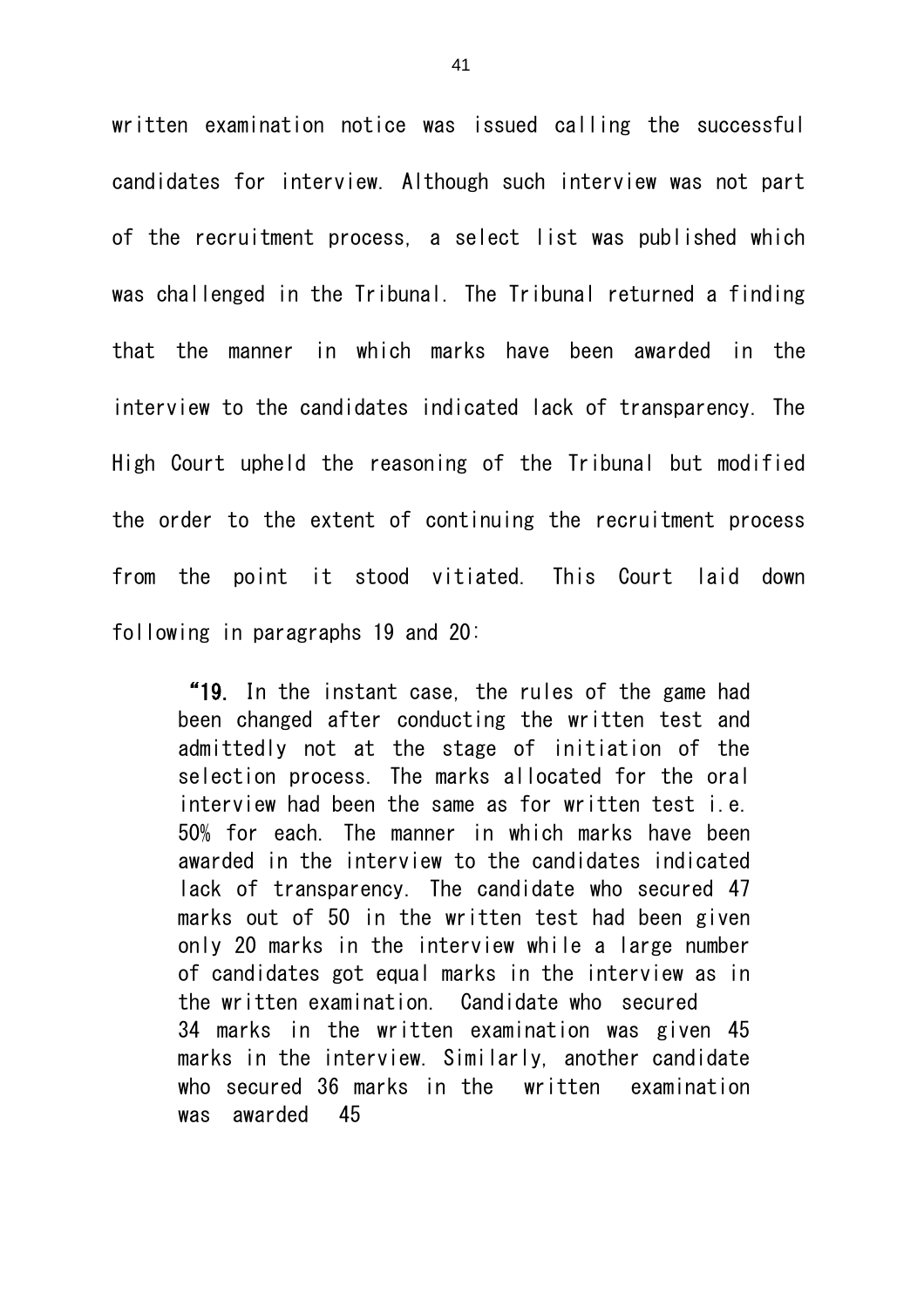written examination notice was issued calling the successful candidates for interview. Although such interview was not part of the recruitment process, a select list was published which was challenged in the Tribunal. The Tribunal returned a finding that the manner in which marks have been awarded in the interview to the candidates indicated lack of transparency. The High Court upheld the reasoning of the Tribunal but modified the order to the extent of continuing the recruitment process from the point it stood vitiated. This Court laid down following in paragraphs 19 and 20:

"19. In the instant case, the rules of the game had been changed after conducting the written test and admittedly not at the stage of initiation of the selection process. The marks allocated for the oral interview had been the same as for written test i.e. 50% for each. The manner in which marks have been awarded in the interview to the candidates indicated lack of transparency. The candidate who secured 47 marks out of 50 in the written test had been given only 20 marks in the interview while a large number of candidates got equal marks in the interview as in the written examination. Candidate who secured 34 marks in the written examination was given 45 marks in the interview. Similarly, another candidate who secured 36 marks in the written examination was awarded 45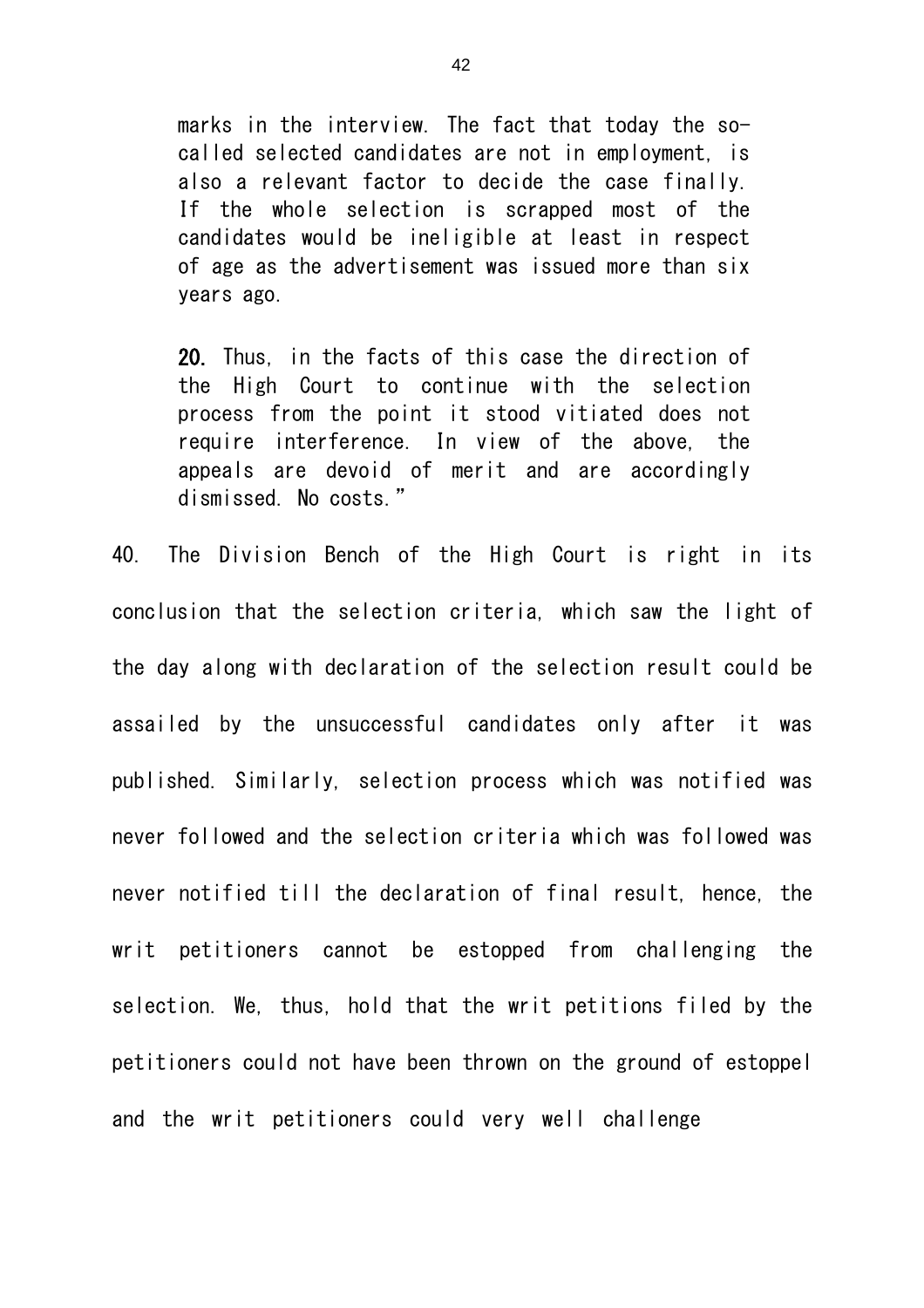marks in the interview. The fact that today the socalled selected candidates are not in employment, is also a relevant factor to decide the case finally. If the whole selection is scrapped most of the candidates would be ineligible at least in respect of age as the advertisement was issued more than six years ago.

20. Thus, in the facts of this case the direction of the High Court to continue with the selection process from the point it stood vitiated does not require interference. In view of the above, the appeals are devoid of merit and are accordingly dismissed. No costs."

40. The Division Bench of the High Court is right in its conclusion that the selection criteria, which saw the light of the day along with declaration of the selection result could be assailed by the unsuccessful candidates only after it was published. Similarly, selection process which was notified was never followed and the selection criteria which was followed was never notified till the declaration of final result, hence, the writ petitioners cannot be estopped from challenging the selection. We, thus, hold that the writ petitions filed by the petitioners could not have been thrown on the ground of estoppel and the writ petitioners could very well challenge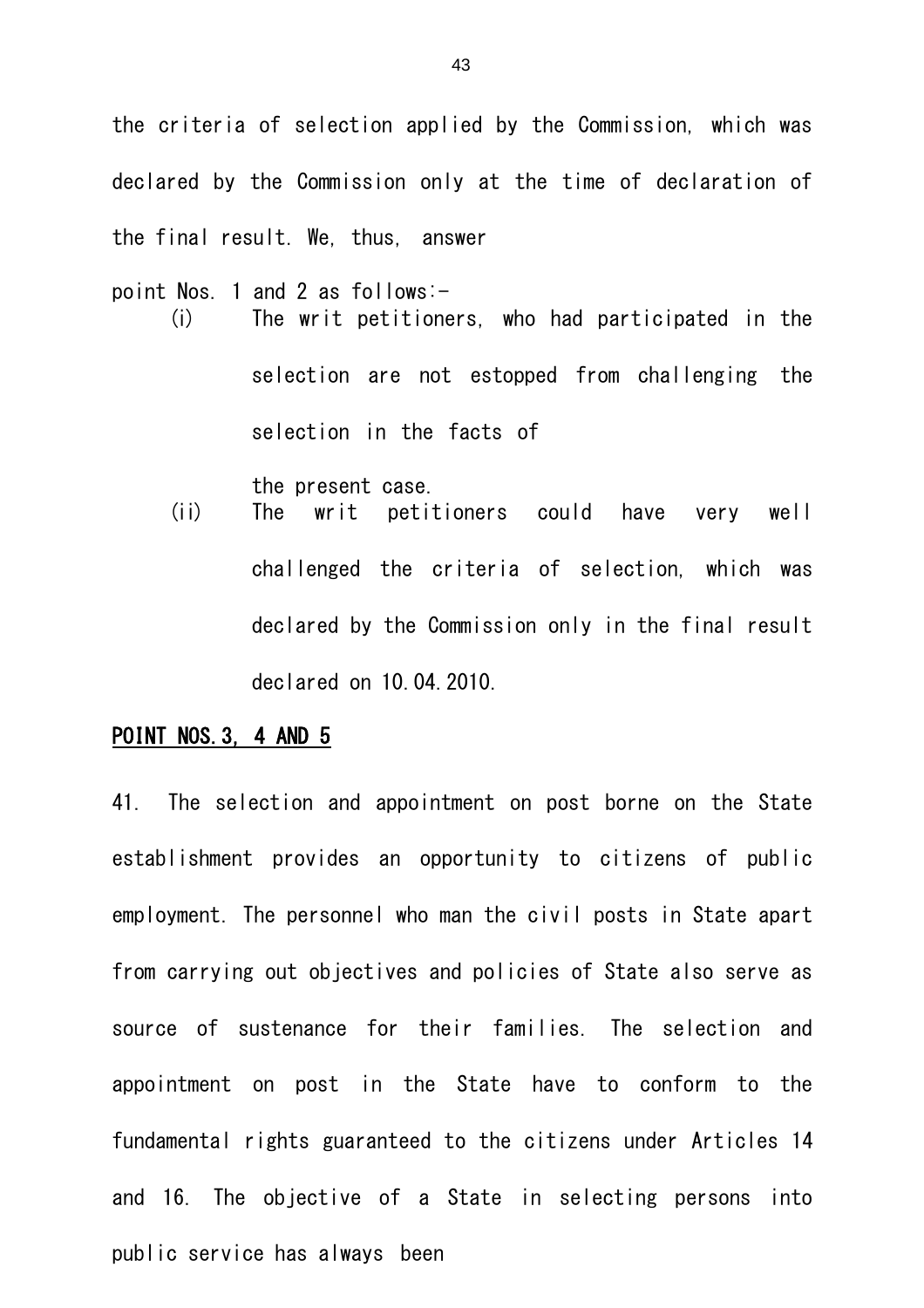the criteria of selection applied by the Commission, which was declared by the Commission only at the time of declaration of the final result. We, thus, answer

- point Nos. 1 and 2 as follows:- (i) The writ petitioners, who had participated in the selection are not estopped from challenging the selection in the facts of
	- the present case. (ii) The writ petitioners could have very well challenged the criteria of selection, which was declared by the Commission only in the final result declared on 10.04.2010.

#### POINT NOS.3, 4 AND 5

41. The selection and appointment on post borne on the State establishment provides an opportunity to citizens of public employment. The personnel who man the civil posts in State apart from carrying out objectives and policies of State also serve as source of sustenance for their families. The selection and appointment on post in the State have to conform to the fundamental rights guaranteed to the citizens under Articles 14 and 16. The objective of a State in selecting persons into public service has always been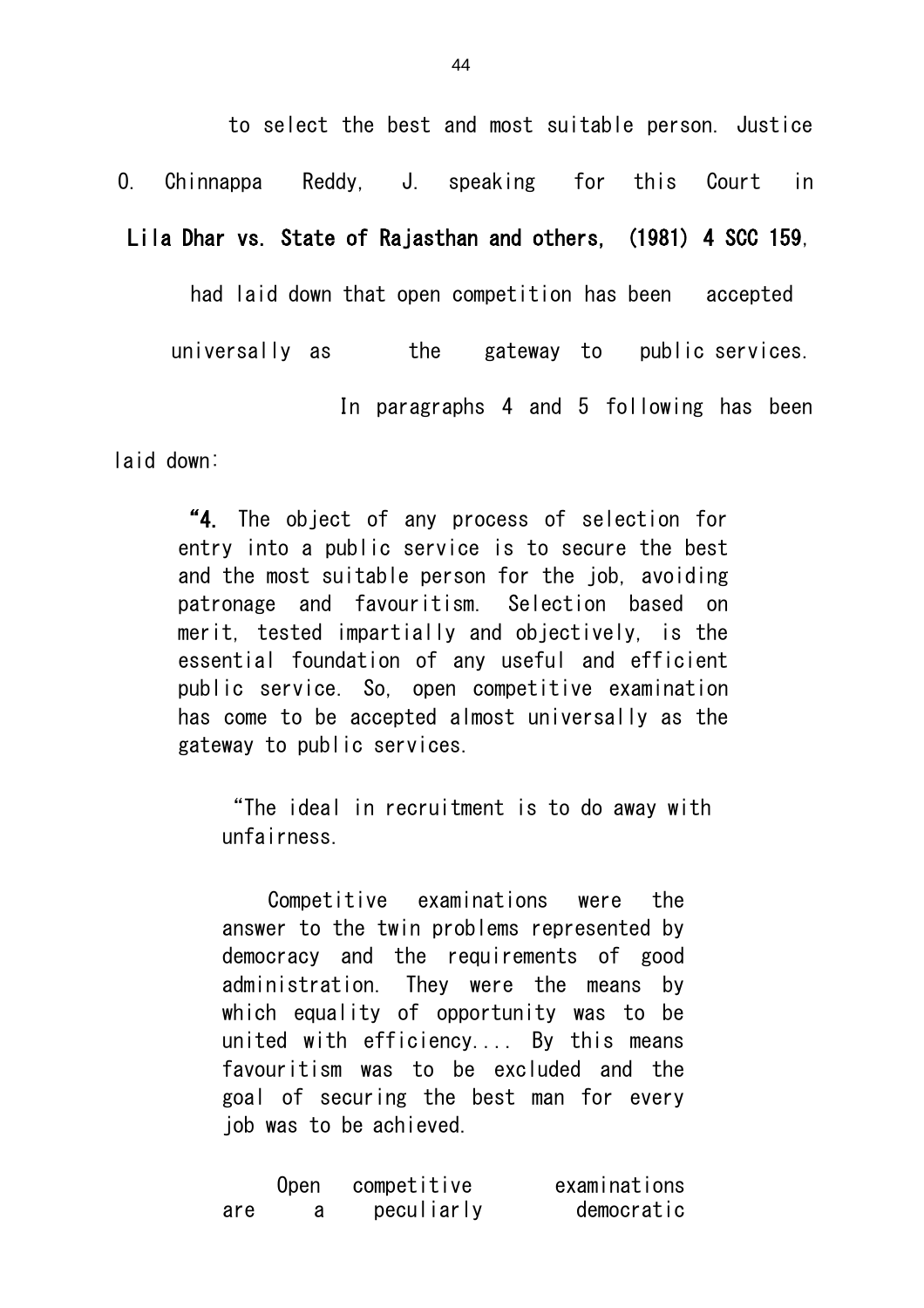to select the best and most suitable person. Justice

O. Chinnappa Reddy, J. speaking for this Court in

Lila Dhar vs. State of Rajasthan and others, (1981) 4 SCC 159,

had laid down that open competition has been accepted

universally as the gateway to public services.

In paragraphs 4 and 5 following has been

laid down:

"4. The object of any process of selection for entry into a public service is to secure the best and the most suitable person for the job, avoiding patronage and favouritism. Selection based on merit, tested impartially and objectively, is the essential foundation of any useful and efficient public service. So, open competitive examination has come to be accepted almost universally as the gateway to public services.

"The ideal in recruitment is to do away with unfairness.

Competitive examinations were the answer to the twin problems represented by democracy and the requirements of good administration. They were the means by which equality of opportunity was to be united with efficiency.... By this means favouritism was to be excluded and the goal of securing the best man for every job was to be achieved.

|     | Open | competitive | examinations |
|-----|------|-------------|--------------|
| are |      | peculiarly  | democratic   |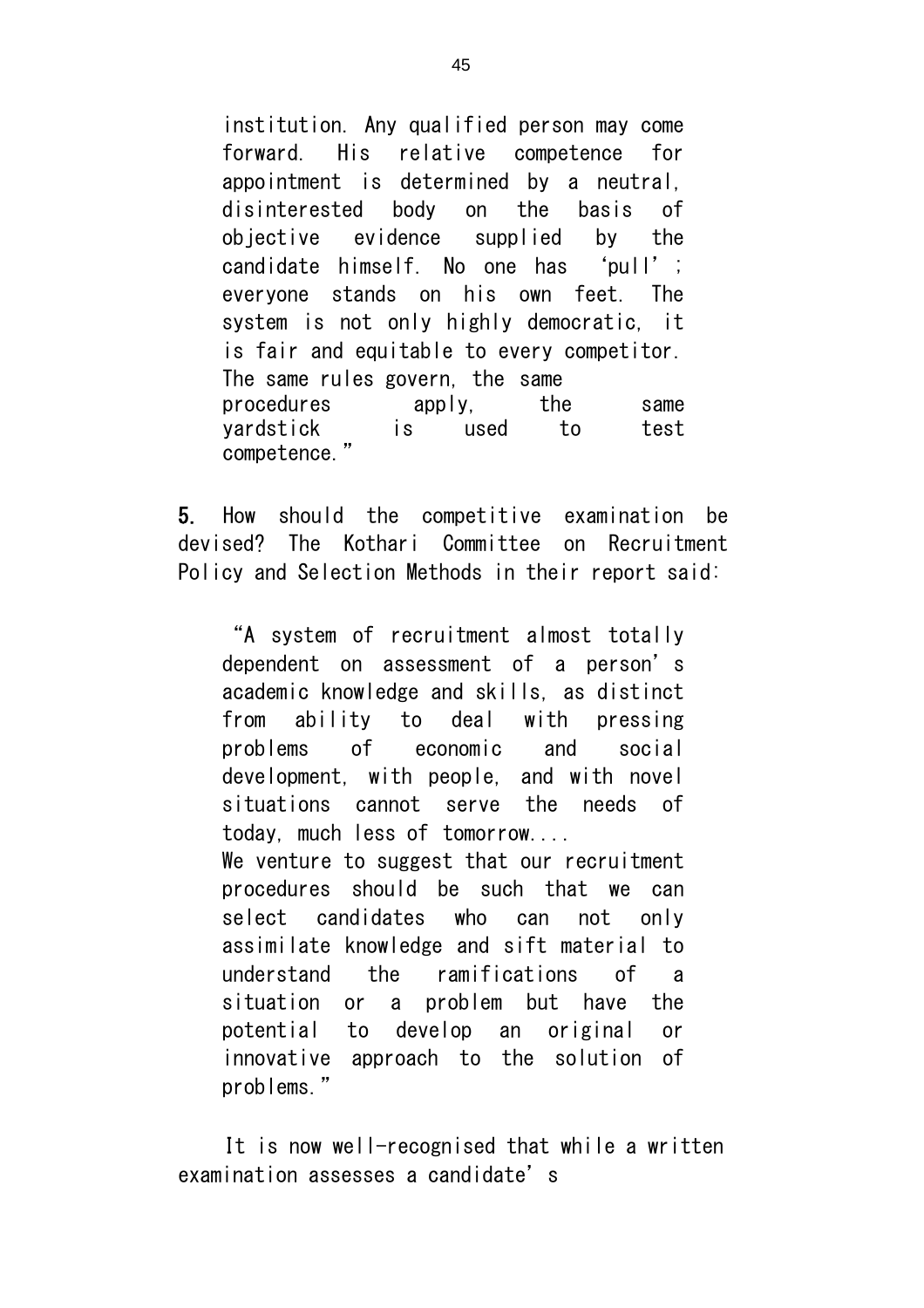institution. Any qualified person may come forward. His relative competence for appointment is determined by a neutral, disinterested body on the basis of objective evidence supplied by the candidate himself. No one has 'pull'; everyone stands on his own feet. The system is not only highly democratic, it is fair and equitable to every competitor. The same rules govern, the same procedures apply, the same yardstick is used to test competence."

5. How should the competitive examination be devised? The Kothari Committee on Recruitment Policy and Selection Methods in their report said:

"A system of recruitment almost totally dependent on assessment of a person's academic knowledge and skills, as distinct from ability to deal with pressing problems of economic and social development, with people, and with novel situations cannot serve the needs of today, much less of tomorrow.... We venture to suggest that our recruitment procedures should be such that we can select candidates who can not only assimilate knowledge and sift material to understand the ramifications of a situation or a problem but have the potential to develop an original or innovative approach to the solution of problems."

It is now well-recognised that while a written examination assesses a candidate's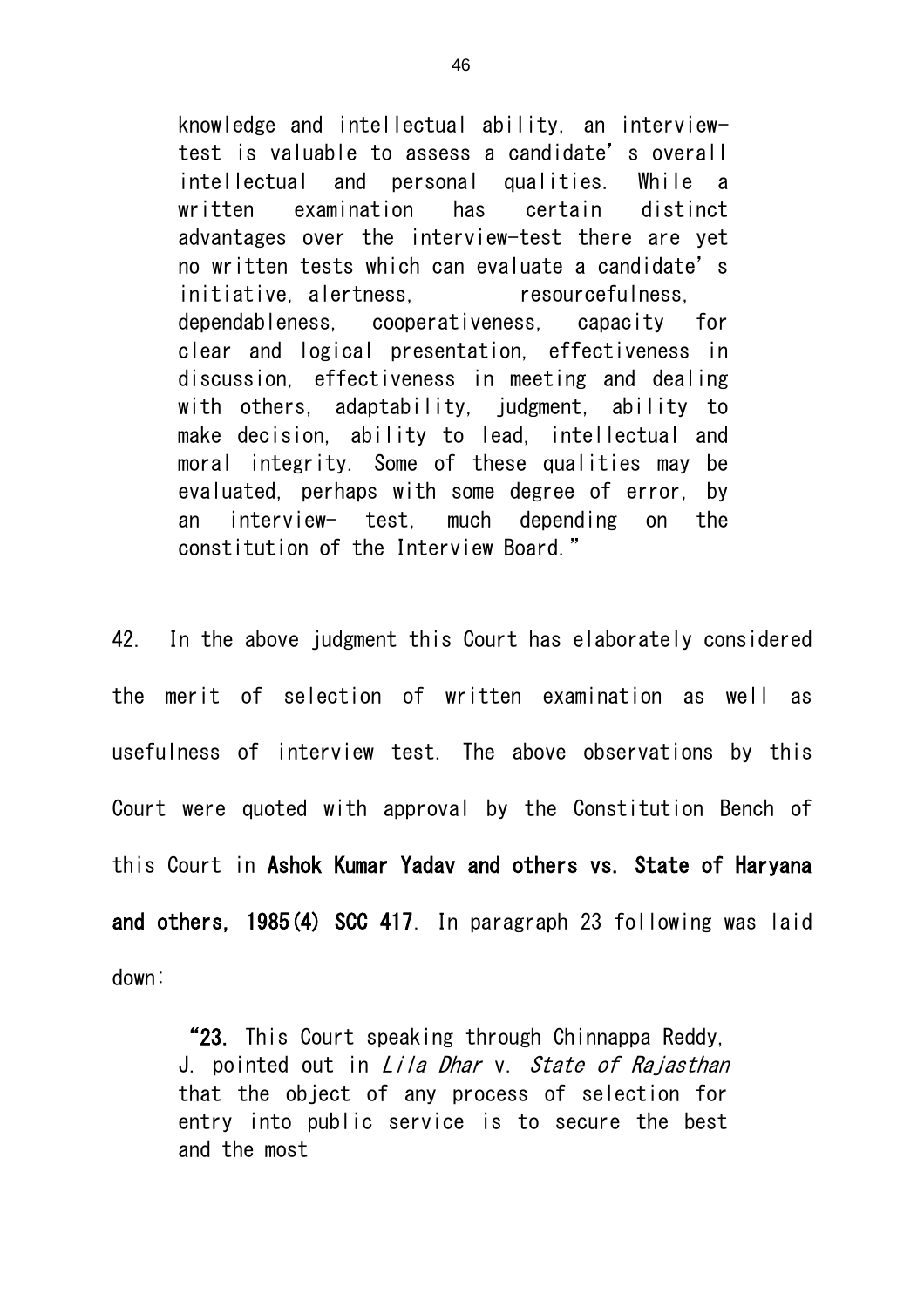knowledge and intellectual ability, an interviewtest is valuable to assess a candidate's overall intellectual and personal qualities. While a written examination has certain distinct advantages over the interview-test there are yet no written tests which can evaluate a candidate's initiative, alertness, expression resourcefulness, dependableness, cooperativeness, capacity for clear and logical presentation, effectiveness in discussion, effectiveness in meeting and dealing with others, adaptability, judgment, ability to make decision, ability to lead, intellectual and moral integrity. Some of these qualities may be evaluated, perhaps with some degree of error, by an interview- test, much depending on the constitution of the Interview Board."

42. In the above judgment this Court has elaborately considered the merit of selection of written examination as well as usefulness of interview test. The above observations by this Court were quoted with approval by the Constitution Bench of this Court in Ashok Kumar Yadav and others vs. State of Haryana and others, 1985(4) SCC 417. In paragraph 23 following was laid down:

"23. This Court speaking through Chinnappa Reddy, J. pointed out in *Lila Dhar* y. *State of Rajasthan* that the object of any process of selection for entry into public service is to secure the best and the most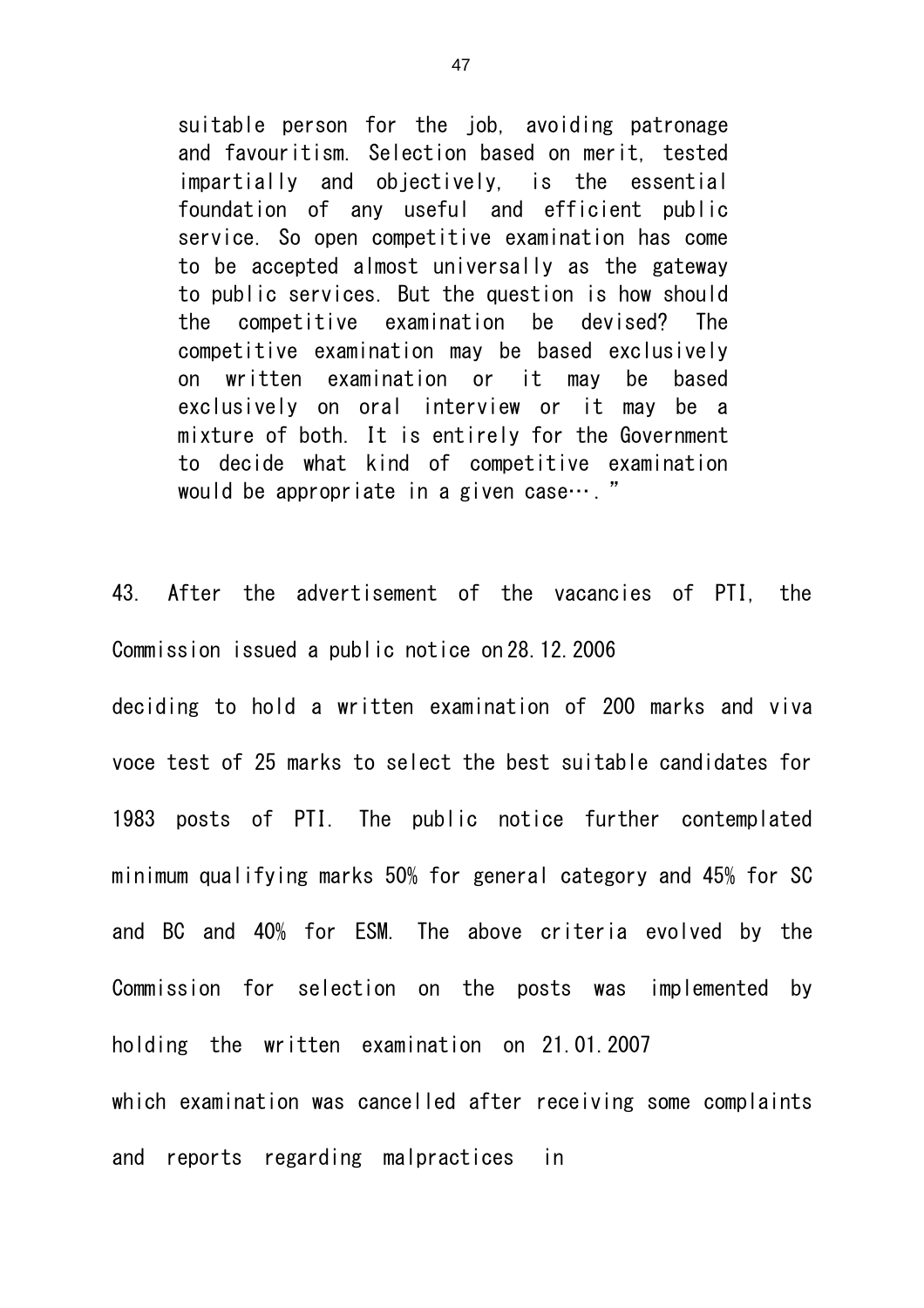suitable person for the job, avoiding patronage and favouritism. Selection based on merit, tested impartially and objectively, is the essential foundation of any useful and efficient public service. So open competitive examination has come to be accepted almost universally as the gateway to public services. But the question is how should the competitive examination be devised? The competitive examination may be based exclusively on written examination or it may be based exclusively on oral interview or it may be a mixture of both. It is entirely for the Government to decide what kind of competitive examination would be appropriate in a given case… . "

43. After the advertisement of the vacancies of PTI, the Commission issued a public notice on 28.12.2006

deciding to hold a written examination of 200 marks and viva voce test of 25 marks to select the best suitable candidates for 1983 posts of PTI. The public notice further contemplated minimum qualifying marks 50% for general category and 45% for SC and BC and 40% for ESM. The above criteria evolved by the Commission for selection on the posts was implemented by holding the written examination on 21.01.2007 which examination was cancelled after receiving some complaints and reports regarding malpractices in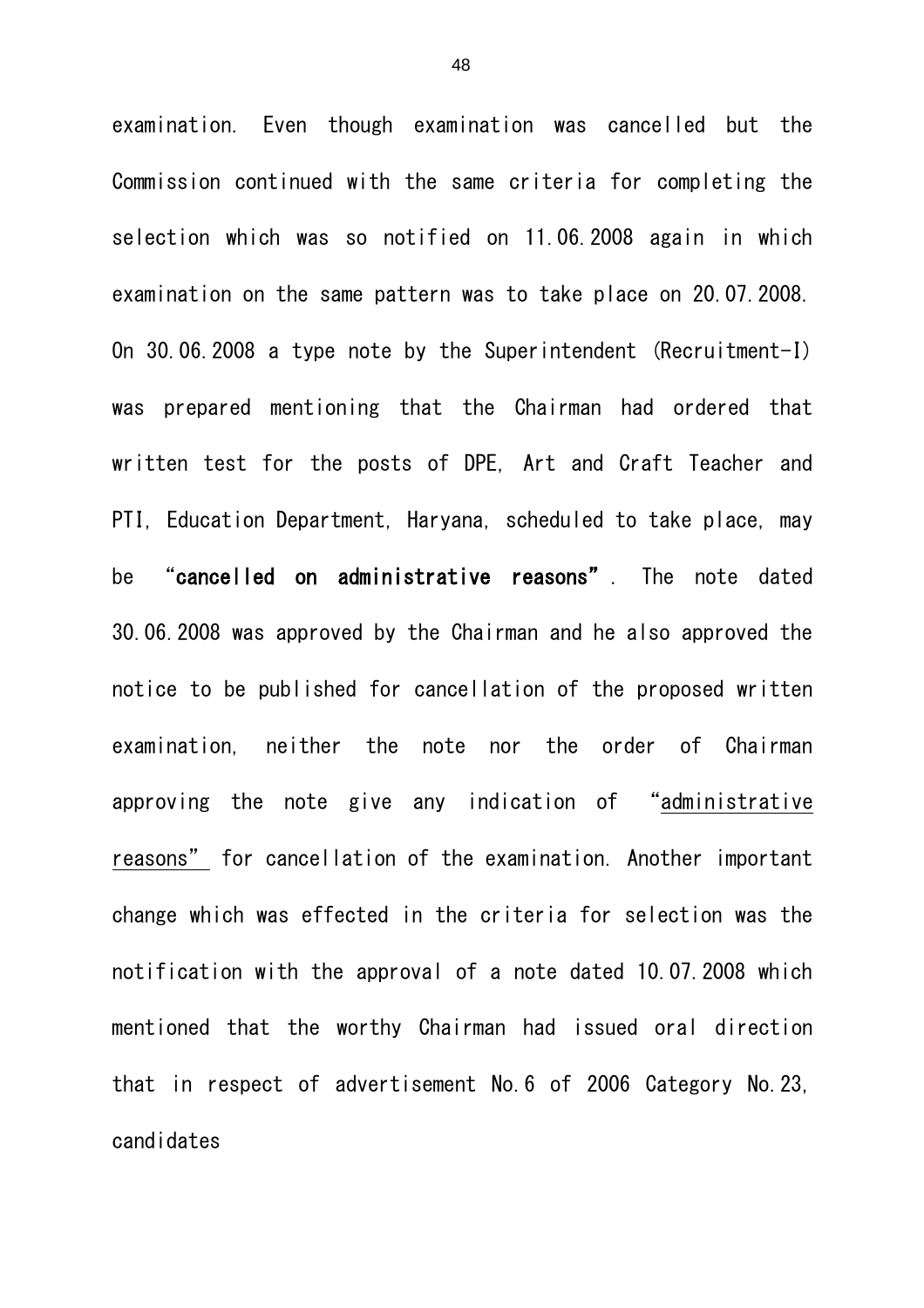examination. Even though examination was cancelled but the Commission continued with the same criteria for completing the selection which was so notified on 11.06.2008 again in which examination on the same pattern was to take place on 20.07.2008. On 30.06.2008 a type note by the Superintendent (Recruitment-I) was prepared mentioning that the Chairman had ordered that written test for the posts of DPE, Art and Craft Teacher and PTI, Education Department, Haryana, scheduled to take place, may be "cancelled on administrative reasons". The note dated 30.06.2008 was approved by the Chairman and he also approved the notice to be published for cancellation of the proposed written examination, neither the note nor the order of Chairman approving the note give any indication of "administrative reasons" for cancellation of the examination. Another important change which was effected in the criteria for selection was the notification with the approval of a note dated 10.07.2008 which mentioned that the worthy Chairman had issued oral direction that in respect of advertisement No.6 of 2006 Category No.23, candidates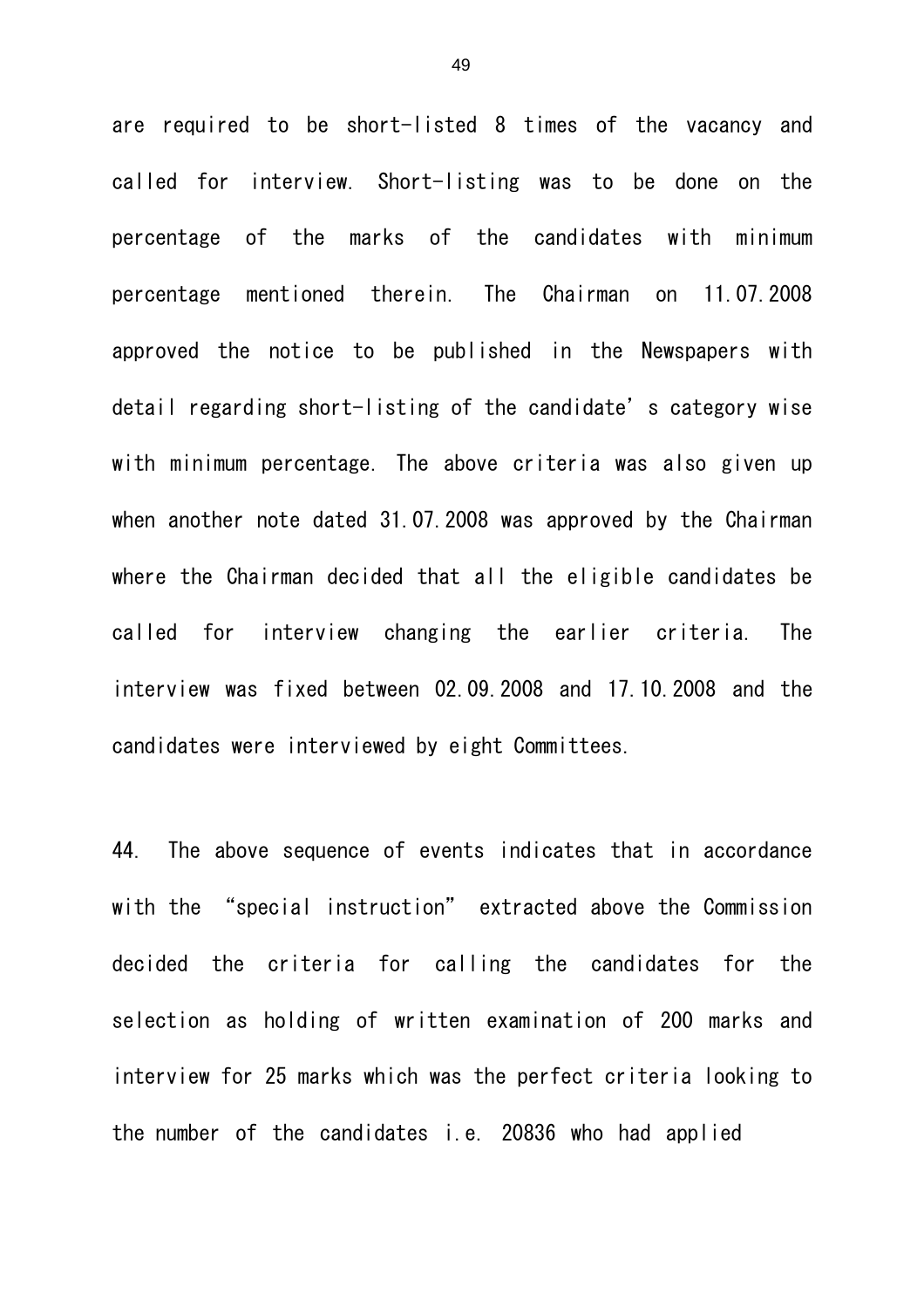are required to be short-listed 8 times of the vacancy and called for interview. Short-listing was to be done on the percentage of the marks of the candidates with minimum percentage mentioned therein. The Chairman on 11.07.2008 approved the notice to be published in the Newspapers with detail regarding short-listing of the candidate's category wise with minimum percentage. The above criteria was also given up when another note dated 31.07.2008 was approved by the Chairman where the Chairman decided that all the eligible candidates be called for interview changing the earlier criteria. The interview was fixed between 02.09.2008 and 17.10.2008 and the candidates were interviewed by eight Committees.

44. The above sequence of events indicates that in accordance with the "special instruction" extracted above the Commission decided the criteria for calling the candidates for the selection as holding of written examination of 200 marks and interview for 25 marks which was the perfect criteria looking to the number of the candidates i.e. 20836 who had applied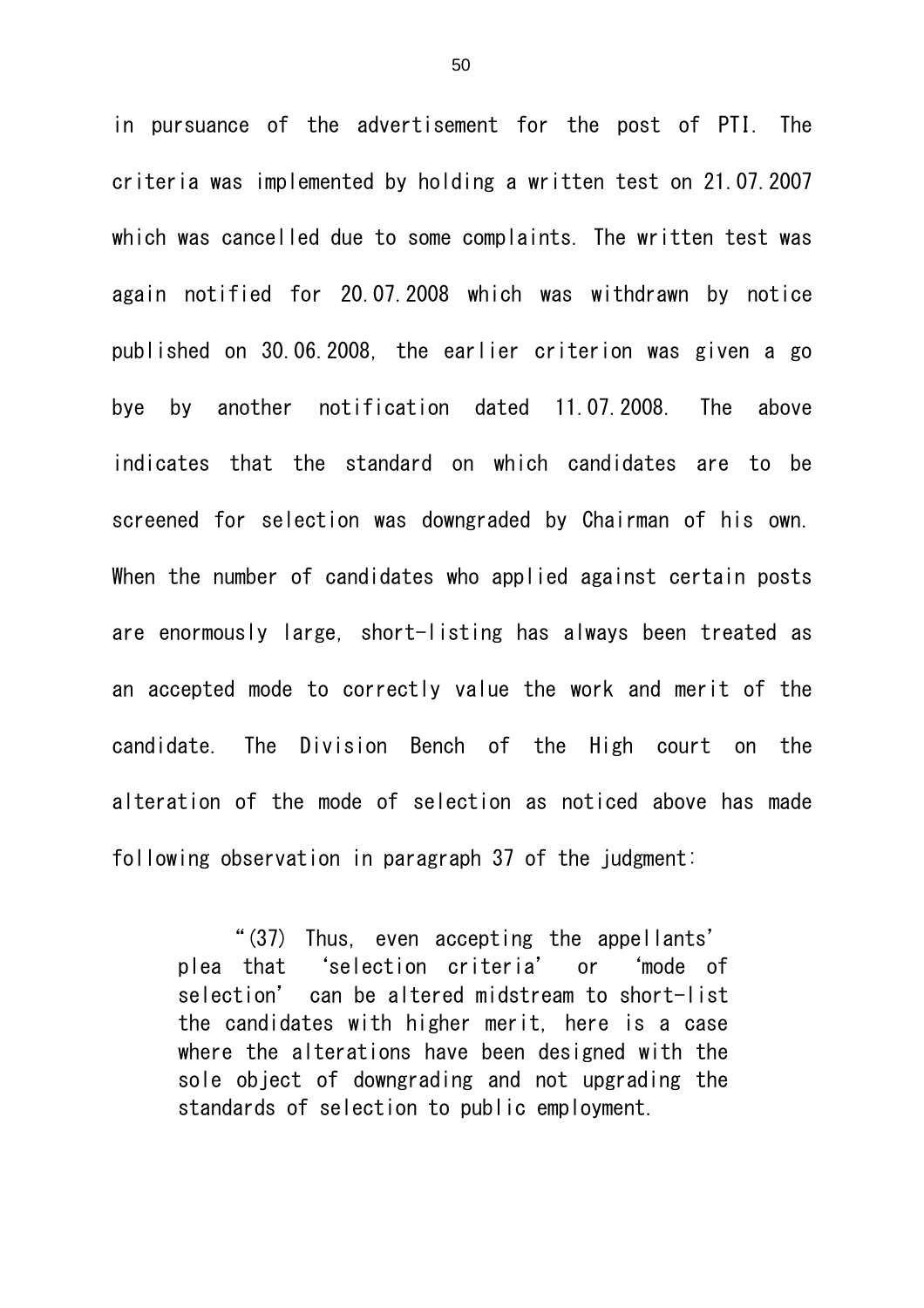in pursuance of the advertisement for the post of PTI. The criteria was implemented by holding a written test on 21.07.2007 which was cancelled due to some complaints. The written test was again notified for 20.07.2008 which was withdrawn by notice published on 30.06.2008, the earlier criterion was given a go bye by another notification dated 11.07.2008. The above indicates that the standard on which candidates are to be screened for selection was downgraded by Chairman of his own. When the number of candidates who applied against certain posts are enormously large, short-listing has always been treated as an accepted mode to correctly value the work and merit of the candidate. The Division Bench of the High court on the alteration of the mode of selection as noticed above has made following observation in paragraph 37 of the judgment:

"(37) Thus, even accepting the appellants' plea that 'selection criteria' or 'mode of selection' can be altered midstream to short-list the candidates with higher merit, here is a case where the alterations have been designed with the sole object of downgrading and not upgrading the standards of selection to public employment.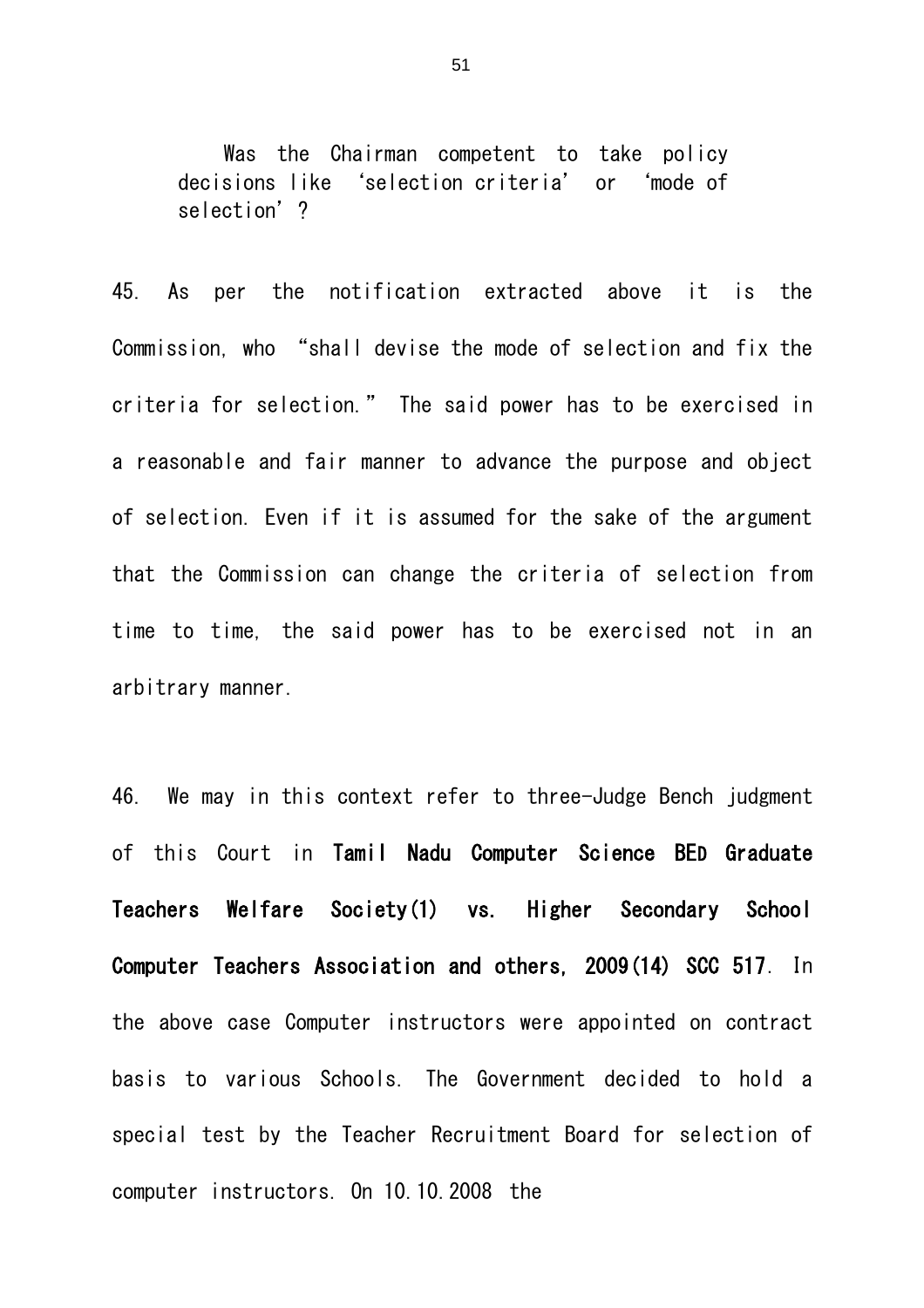Was the Chairman competent to take policy decisions like 'selection criteria' or 'mode of selection' ?

45. As per the notification extracted above it is the Commission, who "shall devise the mode of selection and fix the criteria for selection." The said power has to be exercised in a reasonable and fair manner to advance the purpose and object of selection. Even if it is assumed for the sake of the argument that the Commission can change the criteria of selection from time to time, the said power has to be exercised not in an arbitrary manner.

46. We may in this context refer to three-Judge Bench judgment of this Court in Tamil Nadu Computer Science BED Graduate Teachers Welfare Society(1) vs. Higher Secondary School Computer Teachers Association and others, 2009(14) SCC 517. In the above case Computer instructors were appointed on contract basis to various Schools. The Government decided to hold a special test by the Teacher Recruitment Board for selection of computer instructors. On 10.10.2008 the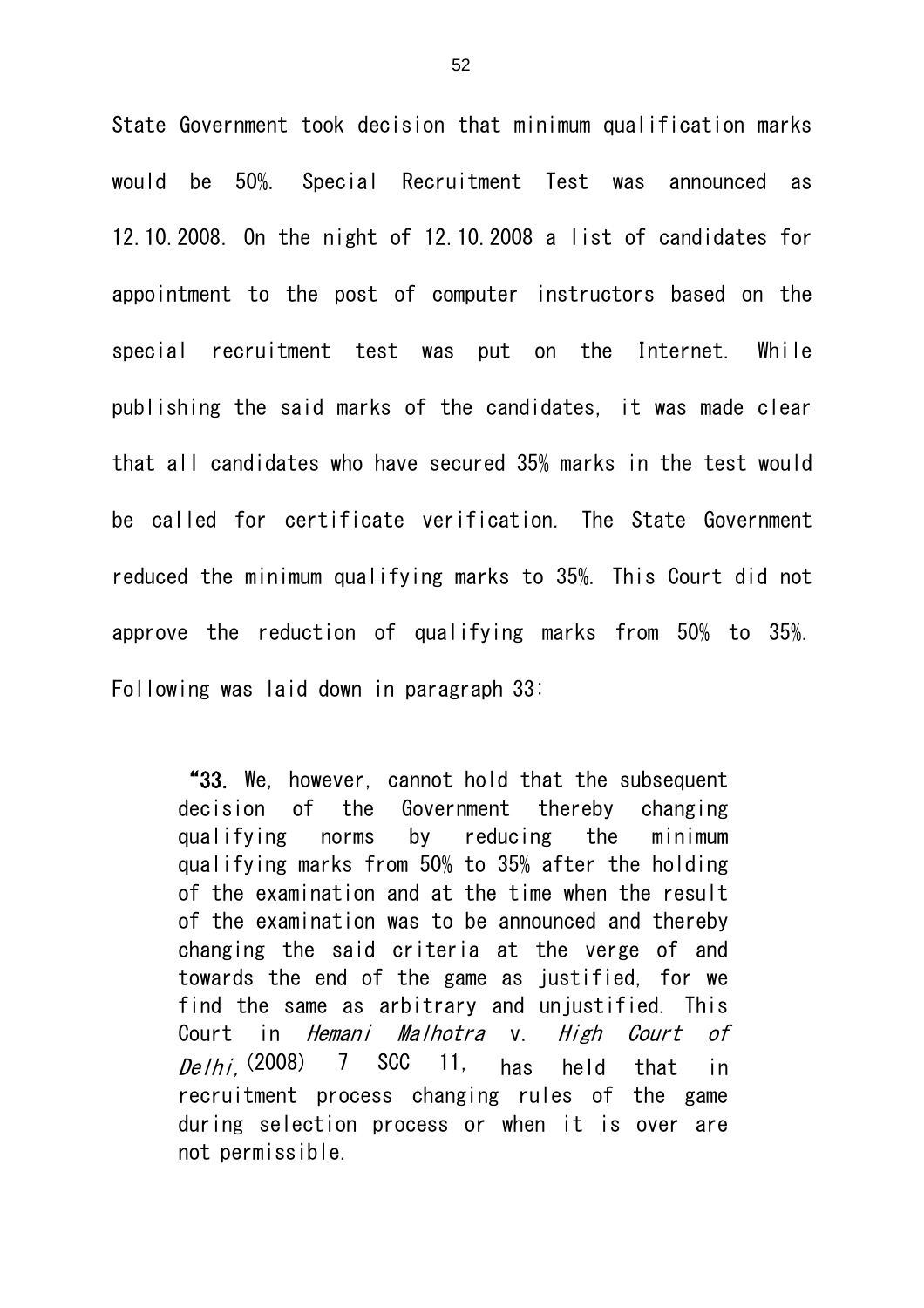State Government took decision that minimum qualification marks would be 50%. Special Recruitment Test was announced as 12.10.2008. On the night of 12.10.2008 a list of candidates for appointment to the post of computer instructors based on the special recruitment test was put on the Internet. While publishing the said marks of the candidates, it was made clear that all candidates who have secured 35% marks in the test would be called for certificate verification. The State Government reduced the minimum qualifying marks to 35%. This Court did not approve the reduction of qualifying marks from 50% to 35%. Following was laid down in paragraph 33:

"33. We, however, cannot hold that the subsequent decision of the Government thereby changing qualifying norms by reducing the minimum qualifying marks from 50% to 35% after the holding of the examination and at the time when the result of the examination was to be announced and thereby changing the said criteria at the verge of and towards the end of the game as justified, for we find the same as arbitrary and unjustified. This Court in Hemani Malhotra v. High Court of  $De/hi$ , (2008) 7 SCC 11, has held that in recruitment process changing rules of the game during selection process or when it is over are not permissible.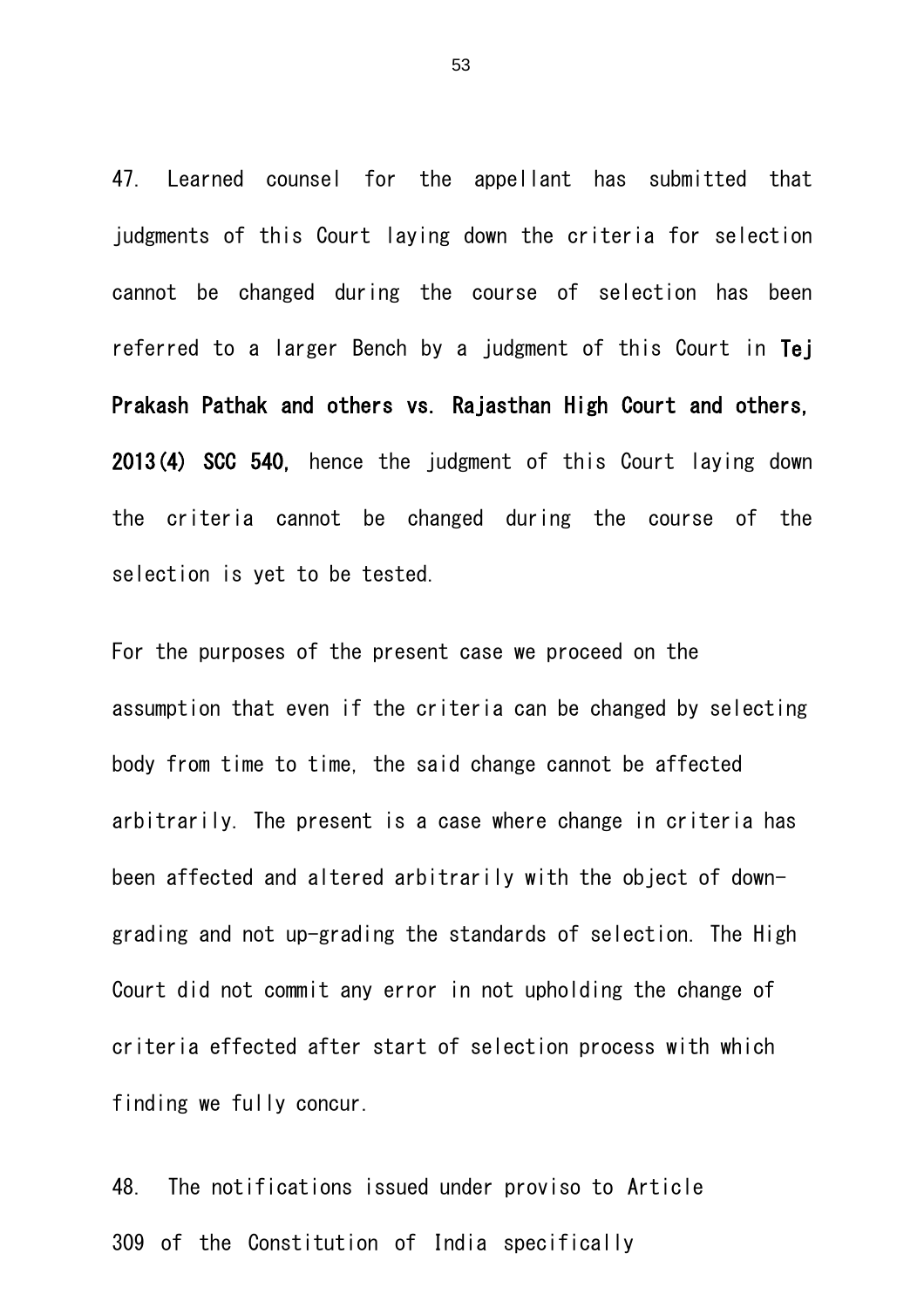47. Learned counsel for the appellant has submitted that judgments of this Court laying down the criteria for selection cannot be changed during the course of selection has been referred to a larger Bench by a judgment of this Court in Tej Prakash Pathak and others vs. Rajasthan High Court and others, 2013(4) SCC 540, hence the judgment of this Court laying down the criteria cannot be changed during the course of the selection is yet to be tested.

For the purposes of the present case we proceed on the assumption that even if the criteria can be changed by selecting body from time to time, the said change cannot be affected arbitrarily. The present is a case where change in criteria has been affected and altered arbitrarily with the object of downgrading and not up-grading the standards of selection. The High Court did not commit any error in not upholding the change of criteria effected after start of selection process with which finding we fully concur.

48. The notifications issued under proviso to Article 309 of the Constitution of India specifically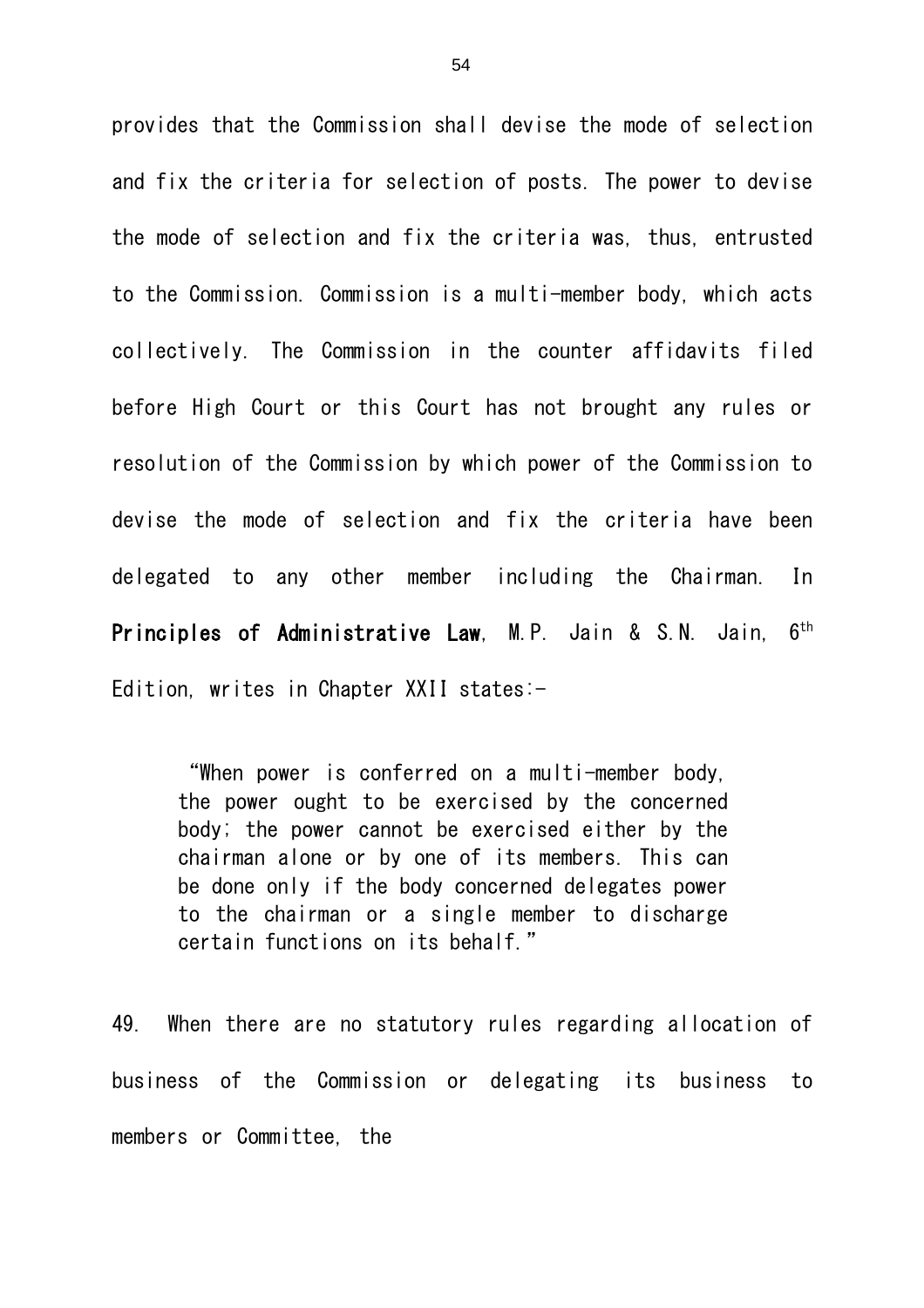provides that the Commission shall devise the mode of selection and fix the criteria for selection of posts. The power to devise the mode of selection and fix the criteria was, thus, entrusted to the Commission. Commission is a multi-member body, which acts collectively. The Commission in the counter affidavits filed before High Court or this Court has not brought any rules or resolution of the Commission by which power of the Commission to devise the mode of selection and fix the criteria have been delegated to any other member including the Chairman. In Principles of Administrative Law, M.P. Jain & S.N. Jain, 6<sup>th</sup> Edition, writes in Chapter XXII states:-

"When power is conferred on a multi-member body, the power ought to be exercised by the concerned body; the power cannot be exercised either by the chairman alone or by one of its members. This can be done only if the body concerned delegates power to the chairman or a single member to discharge certain functions on its behalf."

49. When there are no statutory rules regarding allocation of business of the Commission or delegating its business to members or Committee, the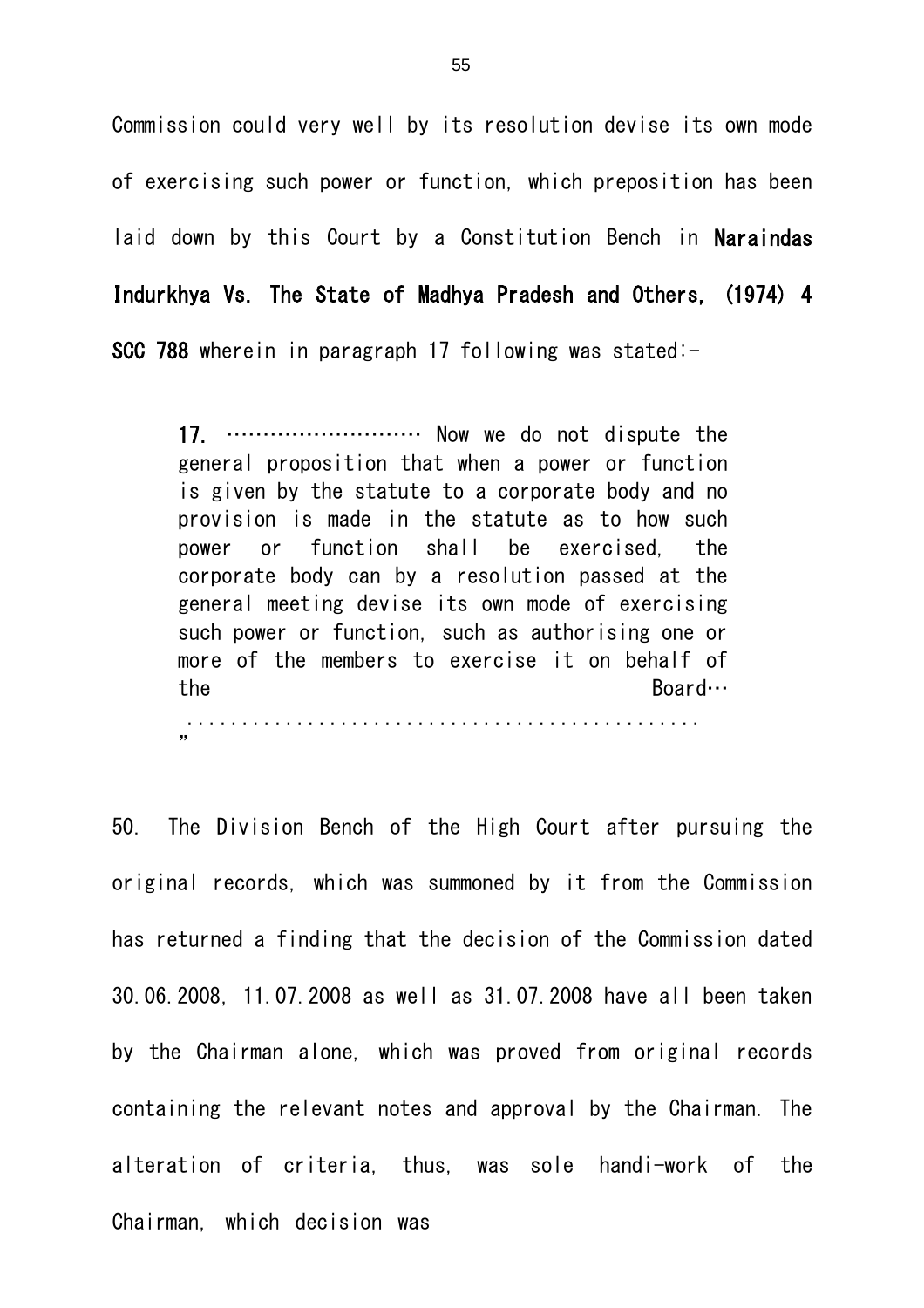Commission could very well by its resolution devise its own mode of exercising such power or function, which preposition has been laid down by this Court by a Constitution Bench in Naraindas Indurkhya Vs. The State of Madhya Pradesh and Others, (1974) 4 SCC 788 wherein in paragraph 17 following was stated:-

17. ……………………… Now we do not dispute the general proposition that when a power or function is given by the statute to a corporate body and no provision is made in the statute as to how such power or function shall be exercised, the corporate body can by a resolution passed at the general meeting devise its own mode of exercising such power or function, such as authorising one or more of the members to exercise it on behalf of the Board… ...............................................

"

50. The Division Bench of the High Court after pursuing the original records, which was summoned by it from the Commission has returned a finding that the decision of the Commission dated 30.06.2008, 11.07.2008 as well as 31.07.2008 have all been taken by the Chairman alone, which was proved from original records containing the relevant notes and approval by the Chairman. The alteration of criteria, thus, was sole handi-work of the Chairman, which decision was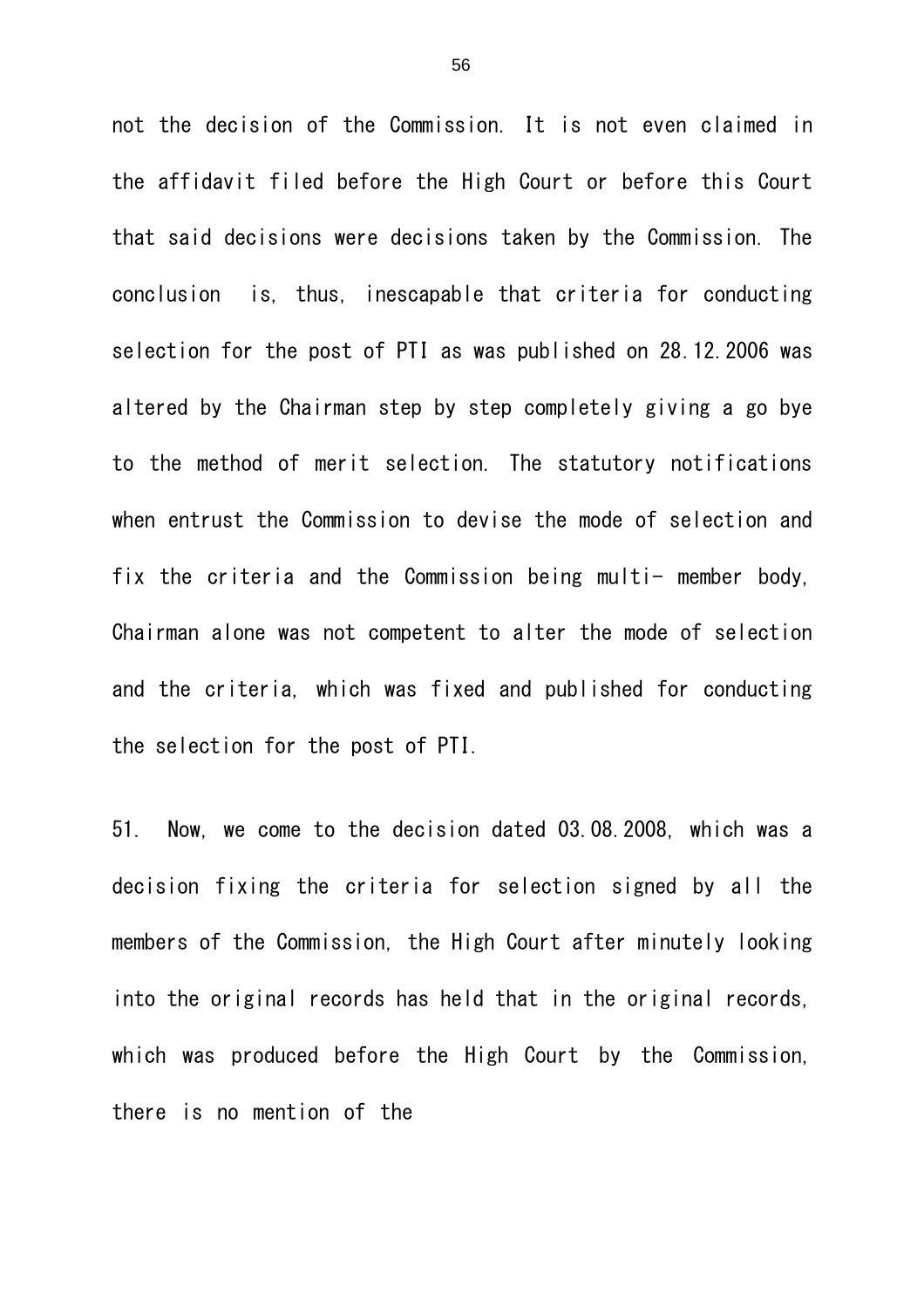not the decision of the Commission. It is not even claimed in the affidavit filed before the High Court or before this Court that said decisions were decisions taken by the Commission. The conclusion is, thus, inescapable that criteria for conducting selection for the post of PTI as was published on 28.12.2006 was altered by the Chairman step by step completely giving a go bye to the method of merit selection. The statutory notifications when entrust the Commission to devise the mode of selection and fix the criteria and the Commission being multi- member body, Chairman alone was not competent to alter the mode of selection and the criteria, which was fixed and published for conducting the selection for the post of PTI.

51. Now, we come to the decision dated 03.08.2008, which was a decision fixing the criteria for selection signed by all the members of the Commission, the High Court after minutely looking into the original records has held that in the original records, which was produced before the High Court by the Commission, there is no mention of the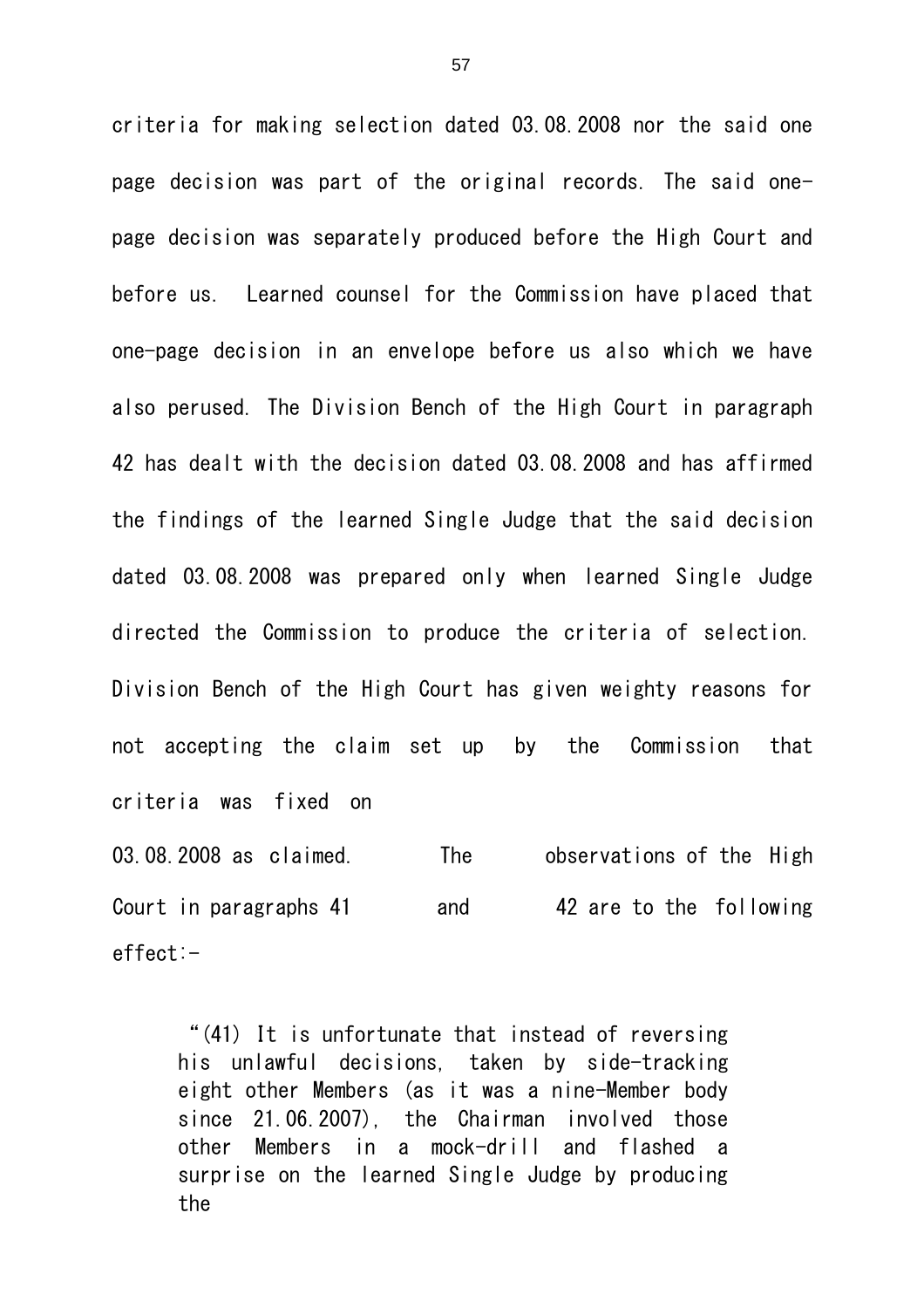criteria for making selection dated 03.08.2008 nor the said one page decision was part of the original records. The said onepage decision was separately produced before the High Court and before us. Learned counsel for the Commission have placed that one-page decision in an envelope before us also which we have also perused. The Division Bench of the High Court in paragraph 42 has dealt with the decision dated 03.08.2008 and has affirmed the findings of the learned Single Judge that the said decision dated 03.08.2008 was prepared only when learned Single Judge directed the Commission to produce the criteria of selection. Division Bench of the High Court has given weighty reasons for not accepting the claim set up by the Commission that criteria was fixed on 03.08.2008 as claimed. The observations of the High

Court in paragraphs 41 and 42 are to the following effect:-

"(41) It is unfortunate that instead of reversing his unlawful decisions, taken by side-tracking eight other Members (as it was a nine-Member body since 21.06.2007), the Chairman involved those other Members in a mock-drill and flashed a surprise on the learned Single Judge by producing the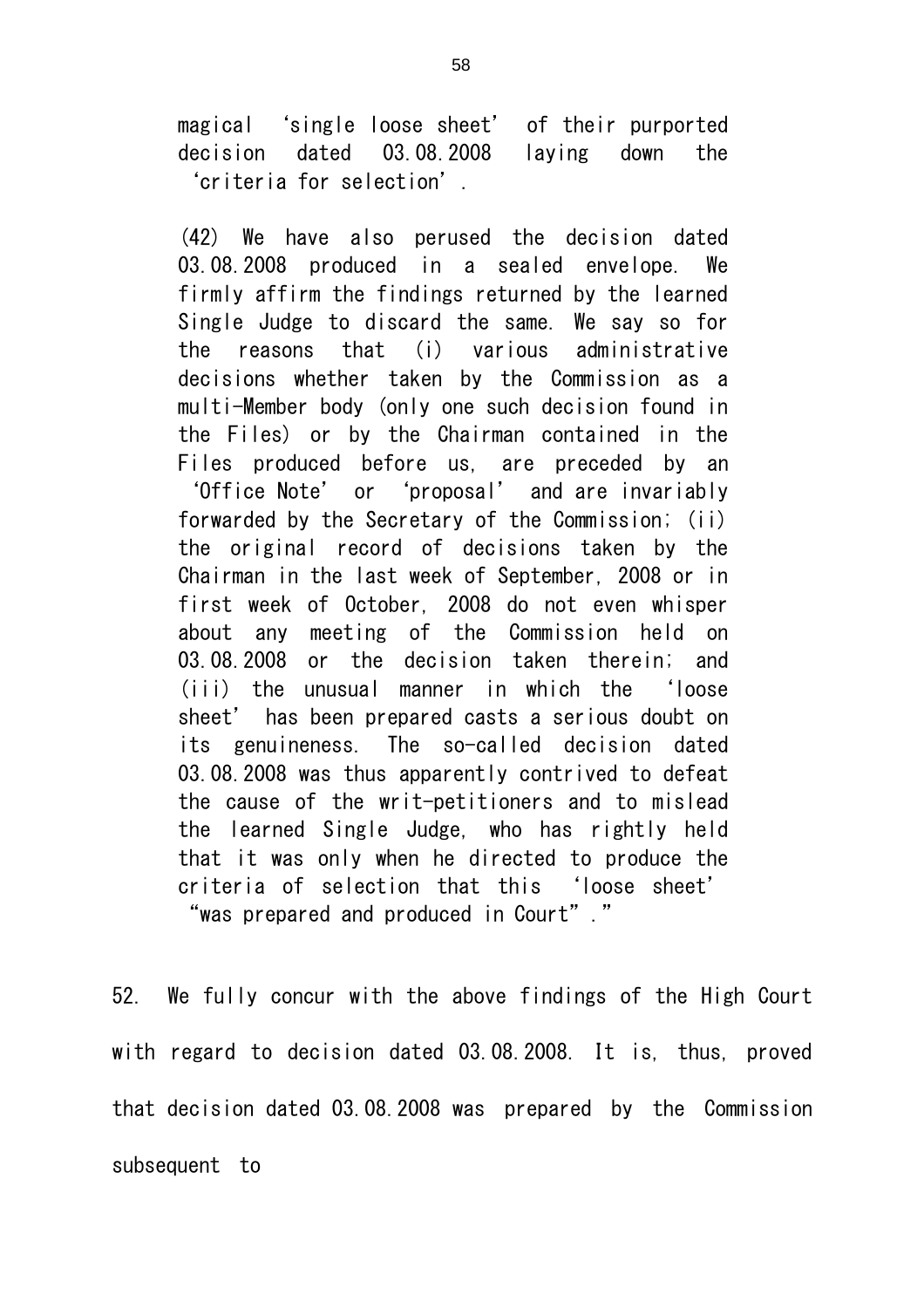magical 'single loose sheet' of their purported decision dated 03.08.2008 laying down the 'criteria for selection'.

(42) We have also perused the decision dated 03.08.2008 produced in a sealed envelope. We firmly affirm the findings returned by the learned Single Judge to discard the same. We say so for the reasons that (i) various administrative decisions whether taken by the Commission as a multi-Member body (only one such decision found in the Files) or by the Chairman contained in the Files produced before us, are preceded by an 'Office Note' or 'proposal' and are invariably forwarded by the Secretary of the Commission; (ii) the original record of decisions taken by the Chairman in the last week of September, 2008 or in first week of October, 2008 do not even whisper about any meeting of the Commission held on 03.08.2008 or the decision taken therein; and (iii) the unusual manner in which the 'loose sheet' has been prepared casts a serious doubt on its genuineness. The so-called decision dated 03.08.2008 was thus apparently contrived to defeat the cause of the writ-petitioners and to mislead the learned Single Judge, who has rightly held that it was only when he directed to produce the criteria of selection that this 'loose sheet' "was prepared and produced in Court"."

52. We fully concur with the above findings of the High Court with regard to decision dated 03.08.2008. It is, thus, proved that decision dated 03.08.2008 was prepared by the Commission subsequent to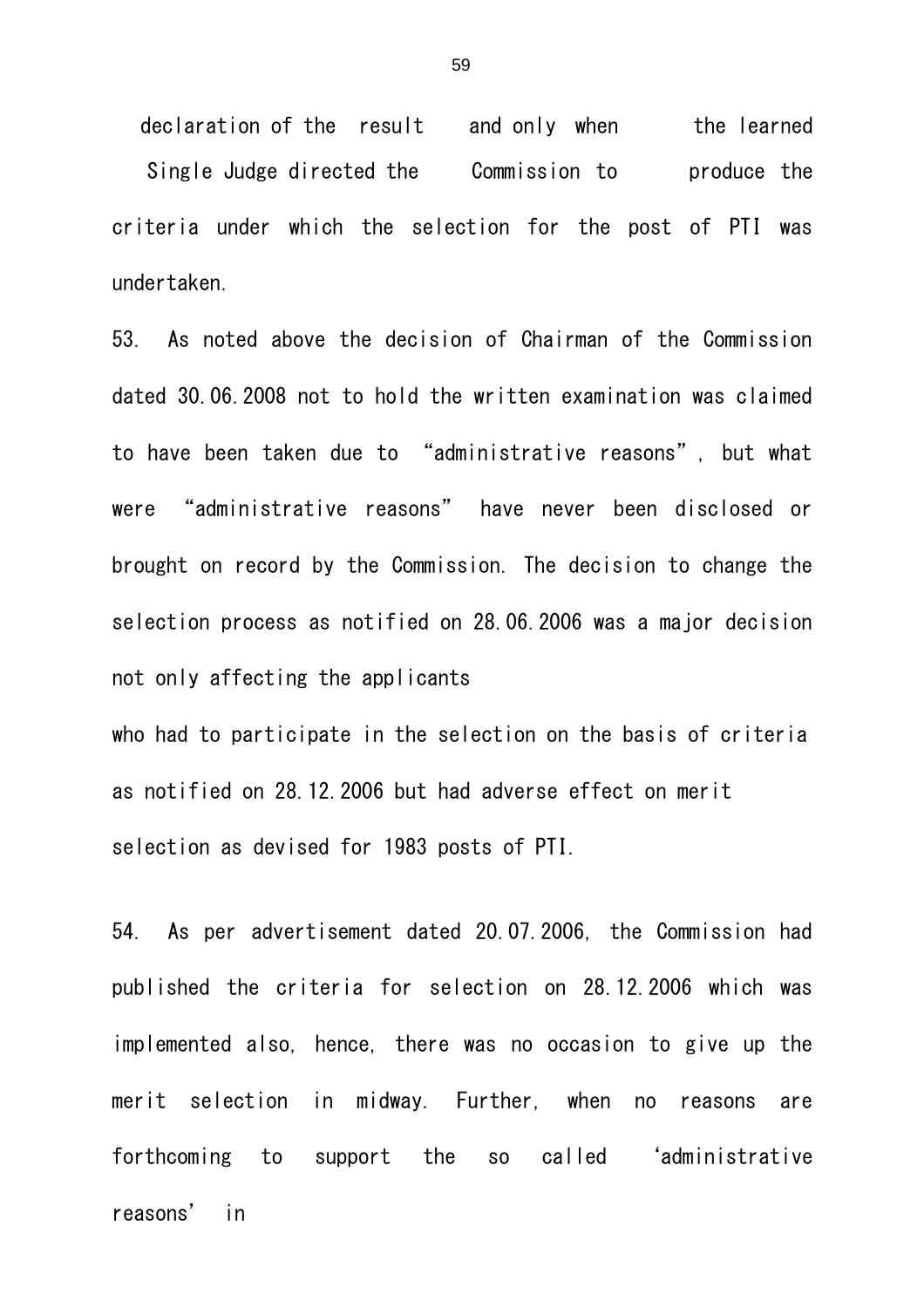declaration of the result and only when the learned Single Judge directed the Commission to produce the criteria under which the selection for the post of PTI was undertaken.

53. As noted above the decision of Chairman of the Commission dated 30.06.2008 not to hold the written examination was claimed to have been taken due to "administrative reasons", but what were "administrative reasons" have never been disclosed or brought on record by the Commission. The decision to change the selection process as notified on 28.06.2006 was a major decision not only affecting the applicants

who had to participate in the selection on the basis of criteria as notified on 28.12.2006 but had adverse effect on merit selection as devised for 1983 posts of PTI.

54. As per advertisement dated 20.07.2006, the Commission had published the criteria for selection on 28.12.2006 which was implemented also, hence, there was no occasion to give up the merit selection in midway. Further, when no reasons are forthcoming to support the so called 'administrative reasons' in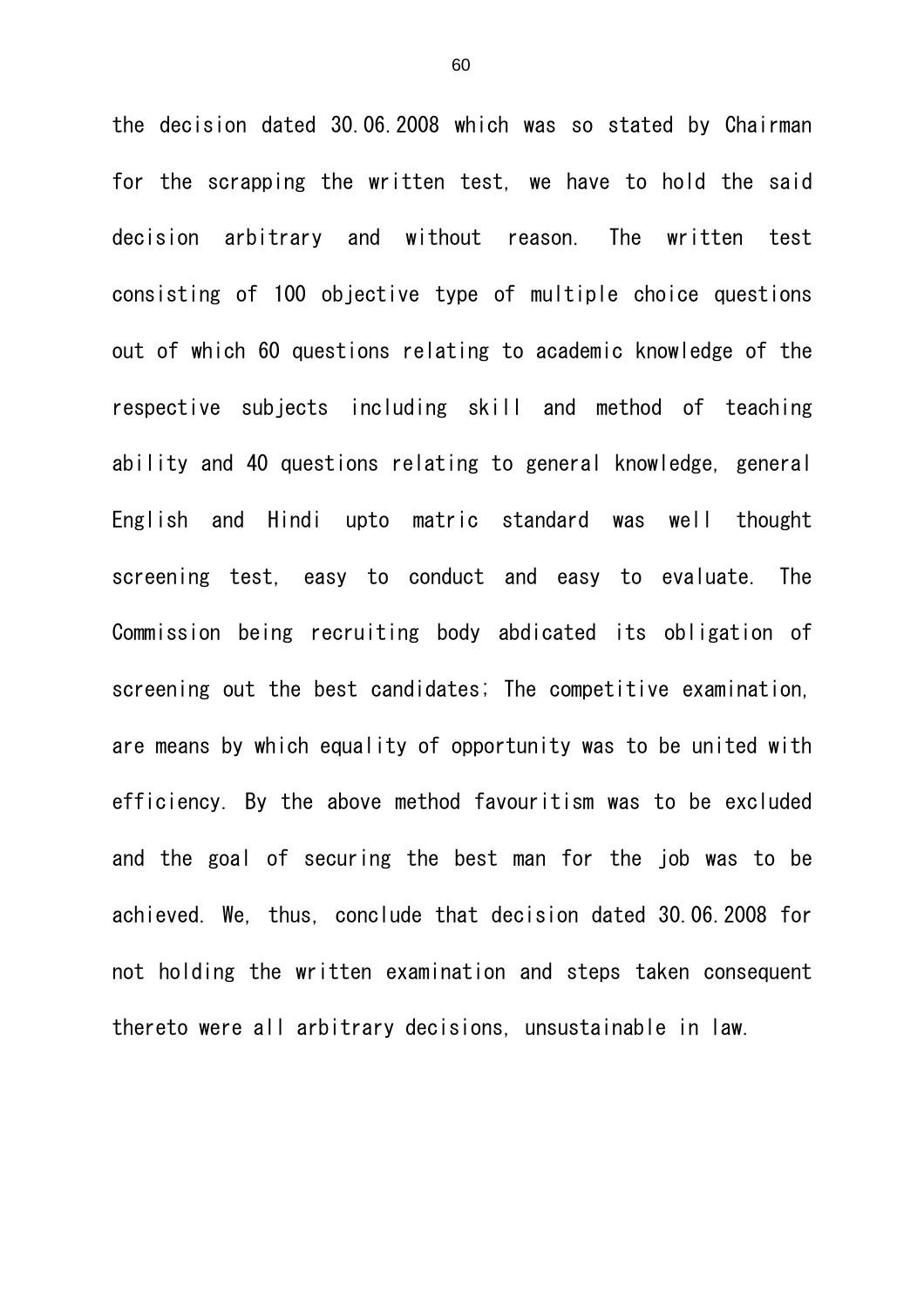the decision dated 30.06.2008 which was so stated by Chairman for the scrapping the written test, we have to hold the said decision arbitrary and without reason. The written test consisting of 100 objective type of multiple choice questions out of which 60 questions relating to academic knowledge of the respective subjects including skill and method of teaching ability and 40 questions relating to general knowledge, general English and Hindi upto matric standard was well thought screening test, easy to conduct and easy to evaluate. The Commission being recruiting body abdicated its obligation of screening out the best candidates; The competitive examination, are means by which equality of opportunity was to be united with efficiency. By the above method favouritism was to be excluded and the goal of securing the best man for the job was to be achieved. We, thus, conclude that decision dated 30.06.2008 for not holding the written examination and steps taken consequent thereto were all arbitrary decisions, unsustainable in law.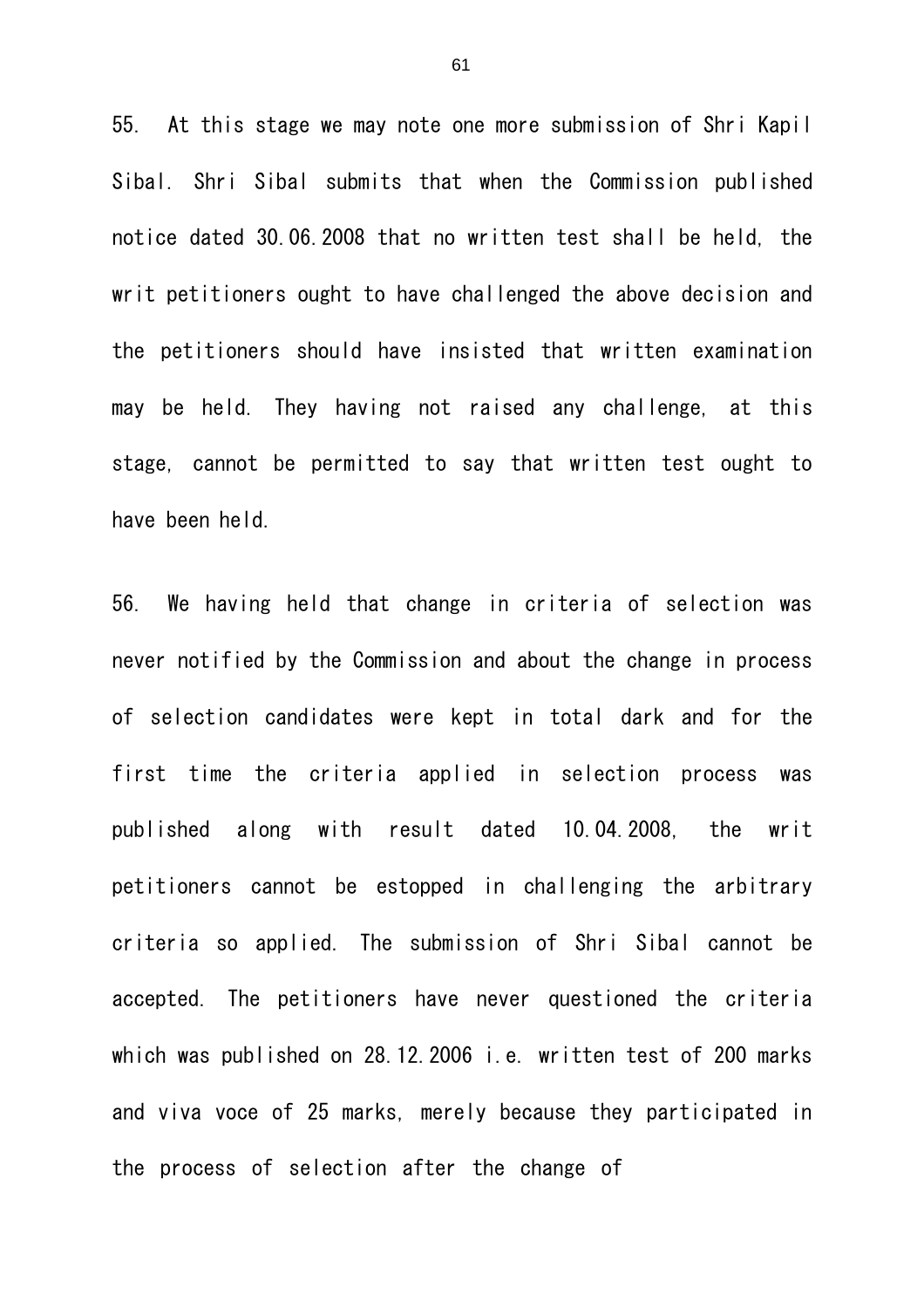55. At this stage we may note one more submission of Shri Kapil Sibal. Shri Sibal submits that when the Commission published notice dated 30.06.2008 that no written test shall be held, the writ petitioners ought to have challenged the above decision and the petitioners should have insisted that written examination may be held. They having not raised any challenge, at this stage, cannot be permitted to say that written test ought to have been held.

56. We having held that change in criteria of selection was never notified by the Commission and about the change in process of selection candidates were kept in total dark and for the first time the criteria applied in selection process was published along with result dated 10.04.2008, the writ petitioners cannot be estopped in challenging the arbitrary criteria so applied. The submission of Shri Sibal cannot be accepted. The petitioners have never questioned the criteria which was published on 28.12.2006 i.e. written test of 200 marks and viva voce of 25 marks, merely because they participated in the process of selection after the change of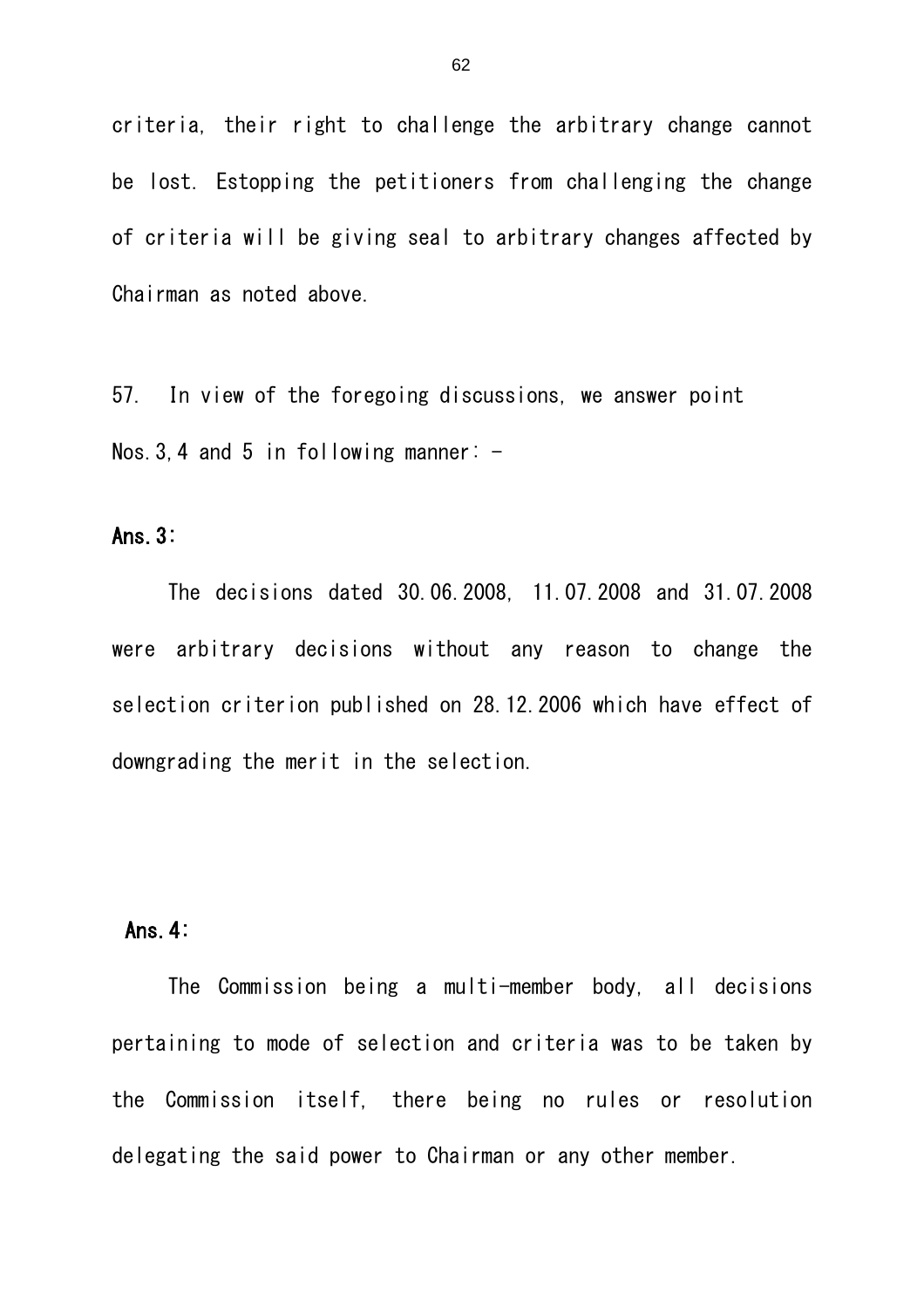criteria, their right to challenge the arbitrary change cannot be lost. Estopping the petitioners from challenging the change of criteria will be giving seal to arbitrary changes affected by Chairman as noted above.

57. In view of the foregoing discussions, we answer point Nos. 3, 4 and 5 in following manner:  $-$ 

#### Ans.3:

The decisions dated 30.06.2008, 11.07.2008 and 31.07.2008 were arbitrary decisions without any reason to change the selection criterion published on 28.12.2006 which have effect of downgrading the merit in the selection.

# Ans.4:

The Commission being a multi-member body, all decisions pertaining to mode of selection and criteria was to be taken by the Commission itself, there being no rules or resolution delegating the said power to Chairman or any other member.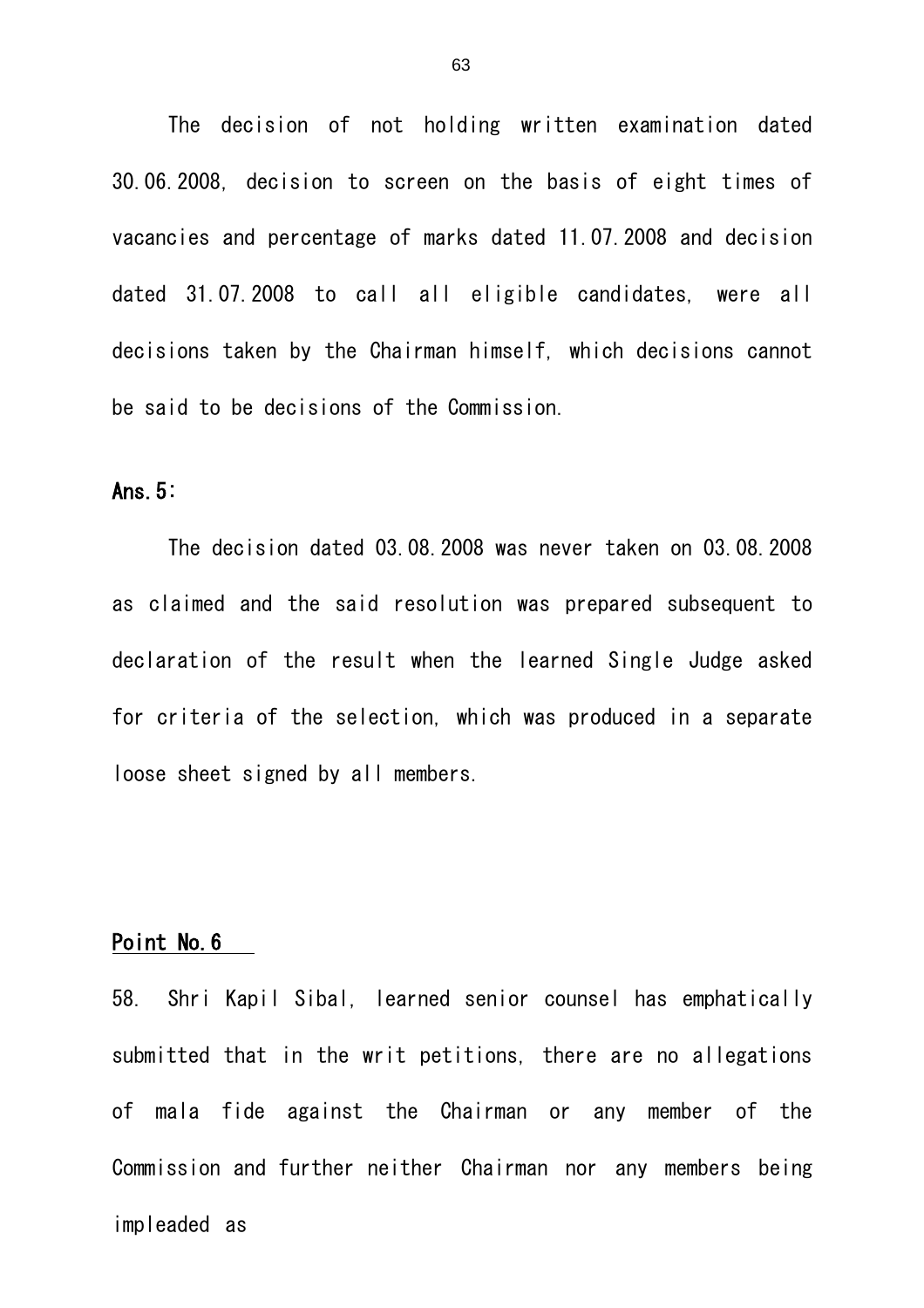The decision of not holding written examination dated 30.06.2008, decision to screen on the basis of eight times of vacancies and percentage of marks dated 11.07.2008 and decision dated 31.07.2008 to call all eligible candidates, were all decisions taken by the Chairman himself, which decisions cannot be said to be decisions of the Commission.

### Ans.5:

The decision dated 03.08.2008 was never taken on 03.08.2008 as claimed and the said resolution was prepared subsequent to declaration of the result when the learned Single Judge asked for criteria of the selection, which was produced in a separate loose sheet signed by all members.

# Point No.6

58. Shri Kapil Sibal, learned senior counsel has emphatically submitted that in the writ petitions, there are no allegations of mala fide against the Chairman or any member of the Commission and further neither Chairman nor any members being impleaded as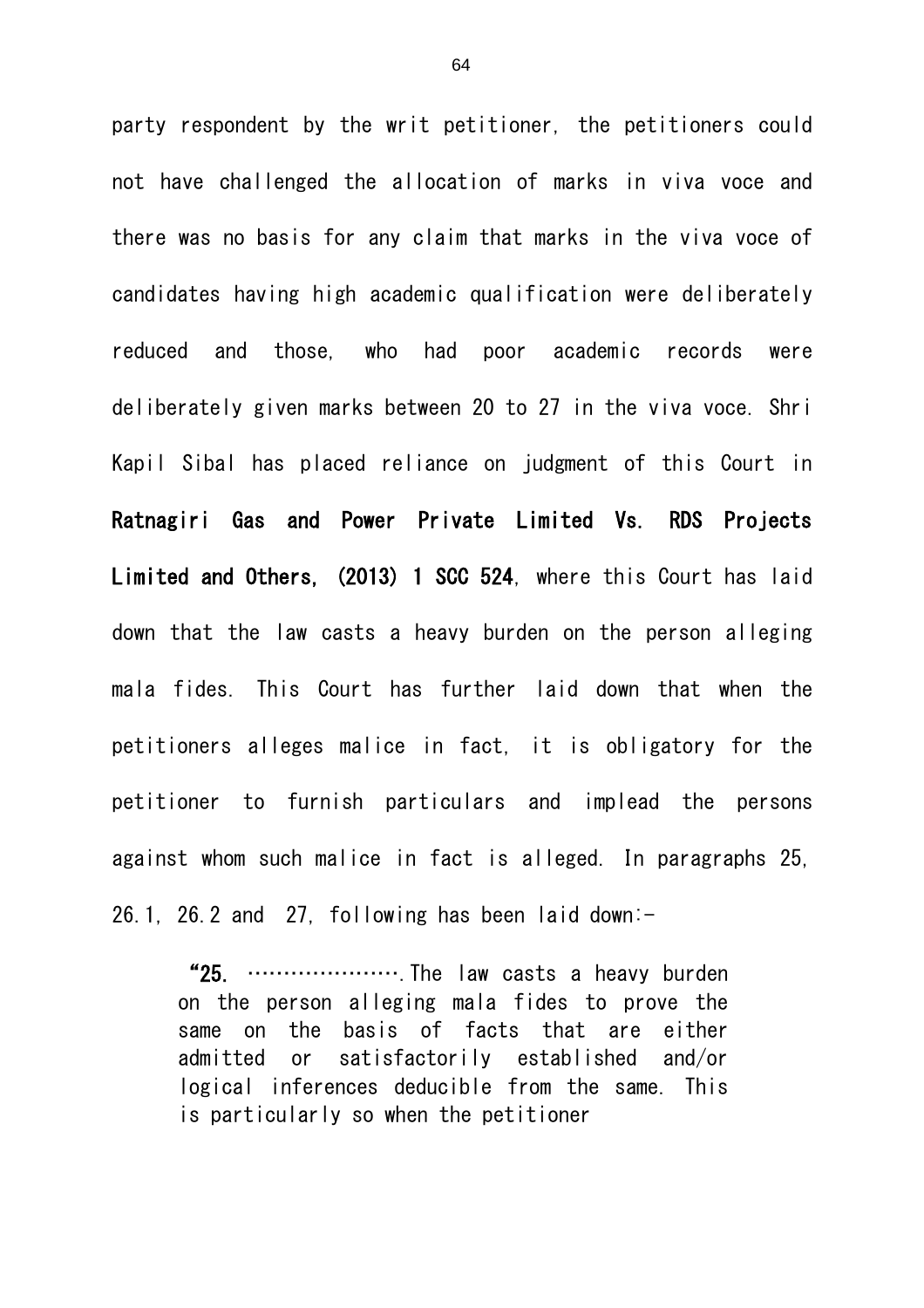party respondent by the writ petitioner, the petitioners could not have challenged the allocation of marks in viva voce and there was no basis for any claim that marks in the viva voce of candidates having high academic qualification were deliberately reduced and those, who had poor academic records were deliberately given marks between 20 to 27 in the viva voce. Shri Kapil Sibal has placed reliance on judgment of this Court in Ratnagiri Gas and Power Private Limited Vs. RDS Projects Limited and Others, (2013) 1 SCC 524, where this Court has laid down that the law casts a heavy burden on the person alleging mala fides. This Court has further laid down that when the petitioners alleges malice in fact, it is obligatory for the petitioner to furnish particulars and implead the persons against whom such malice in fact is alleged. In paragraphs 25, 26.1, 26.2 and 27, following has been laid down: $-$ 

"25. ………………….The law casts a heavy burden on the person alleging mala fides to prove the same on the basis of facts that are either admitted or satisfactorily established and/or logical inferences deducible from the same. This is particularly so when the petitioner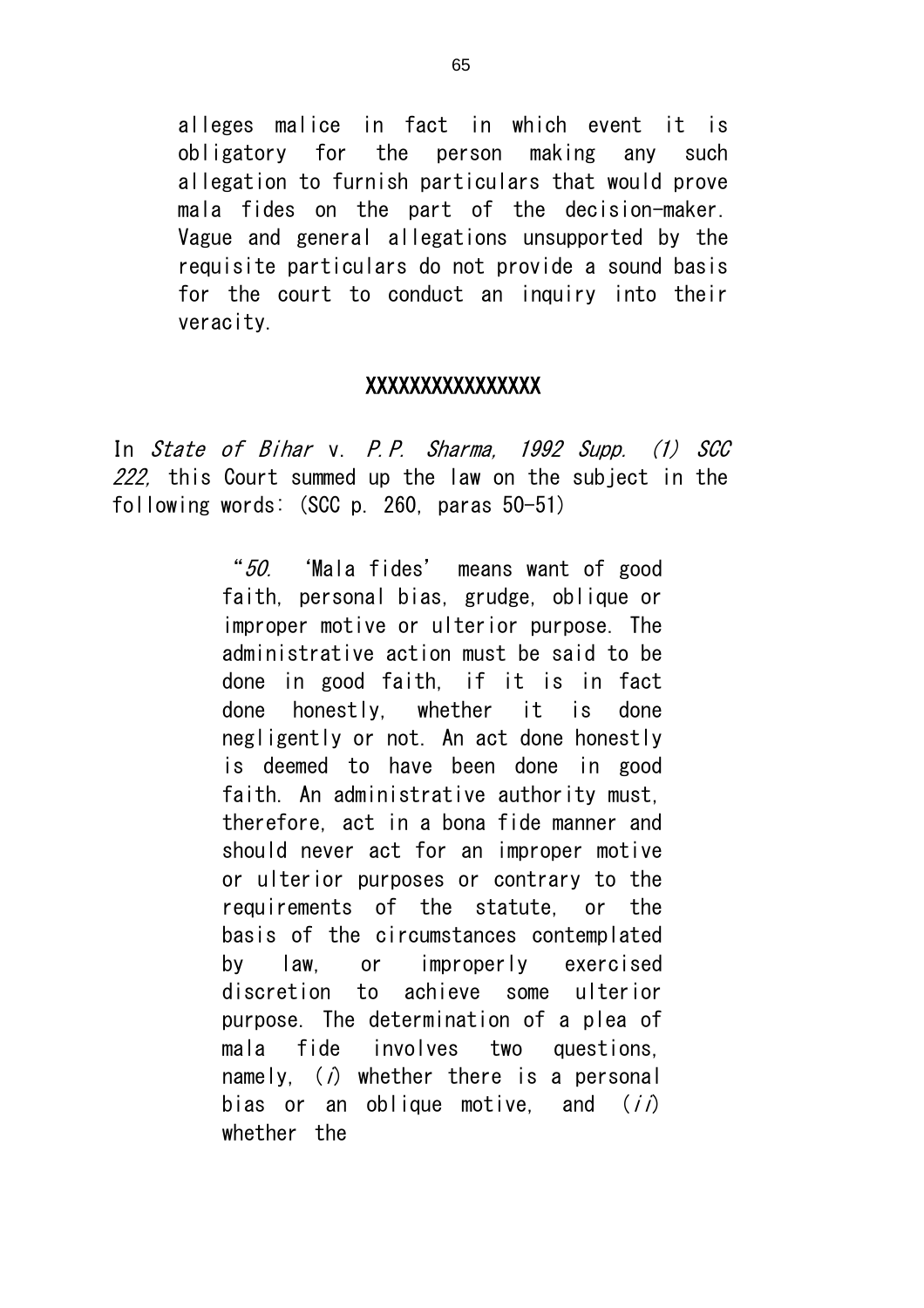alleges malice in fact in which event it is obligatory for the person making any such allegation to furnish particulars that would prove mala fides on the part of the decision-maker. Vague and general allegations unsupported by the requisite particulars do not provide a sound basis for the court to conduct an inquiry into their veracity.

#### XXXXXXXXXXXXXXXX

In State of Bihar v. P.P. Sharma, 1992 Supp. (1) SCC 222, this Court summed up the law on the subject in the following words: (SCC p. 260, paras 50-51)

> "50. 'Mala fides' means want of good faith, personal bias, grudge, oblique or improper motive or ulterior purpose. The administrative action must be said to be done in good faith, if it is in fact done honestly, whether it is done negligently or not. An act done honestly is deemed to have been done in good faith. An administrative authority must, therefore, act in a bona fide manner and should never act for an improper motive or ulterior purposes or contrary to the requirements of the statute, or the basis of the circumstances contemplated by law, or improperly exercised discretion to achieve some ulterior purpose. The determination of a plea of mala fide involves two questions, namely,  $(i)$  whether there is a personal bias or an oblique motive, and  $(i)$ whether the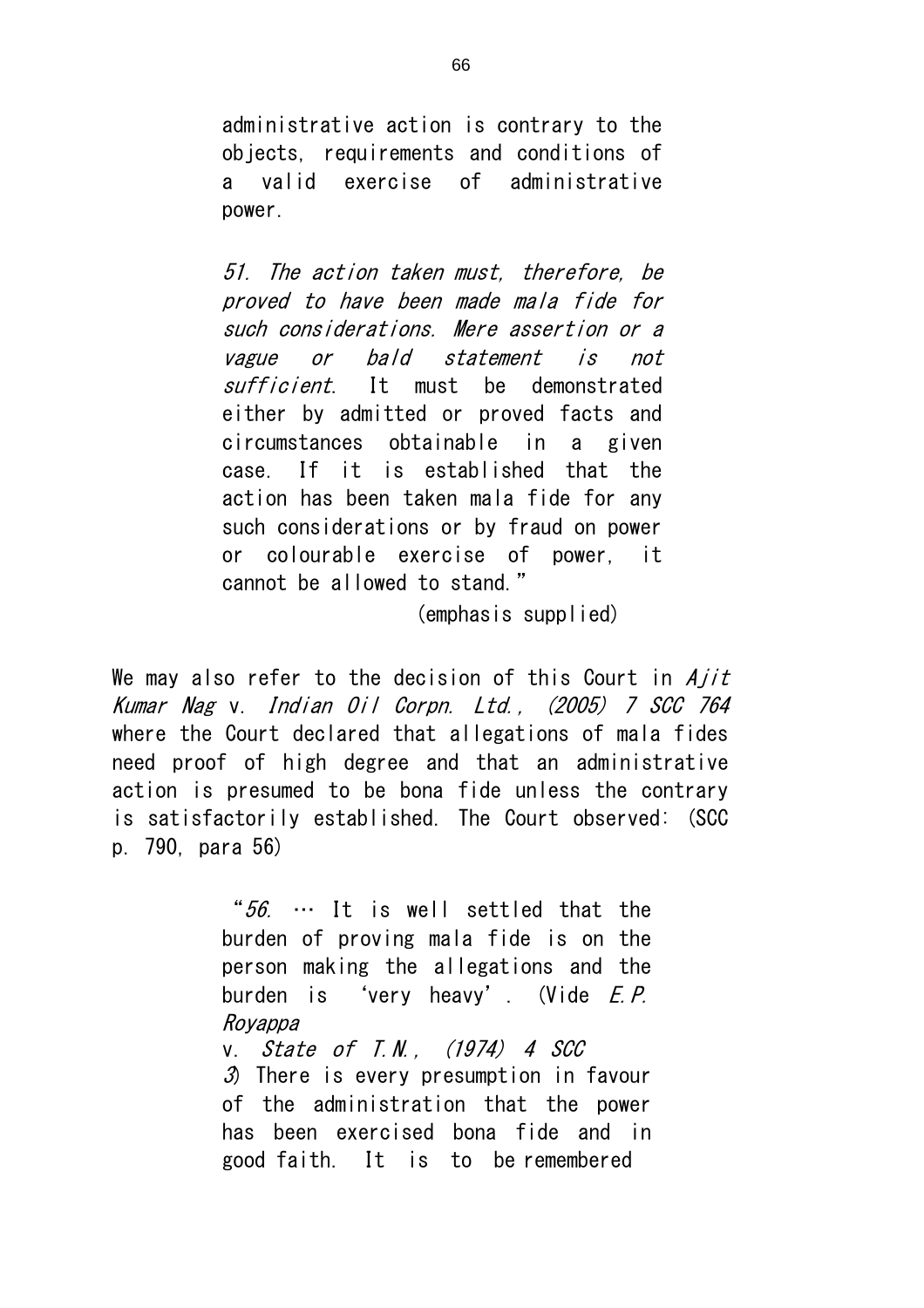administrative action is contrary to the objects, requirements and conditions of a valid exercise of administrative power.

51. The action taken must, therefore, be proved to have been made mala fide for such considerations. Mere assertion or a vague or bald statement is not sufficient. It must be demonstrated either by admitted or proved facts and circumstances obtainable in a given case. If it is established that the action has been taken mala fide for any such considerations or by fraud on power or colourable exercise of power, it cannot be allowed to stand."

(emphasis supplied)

We may also refer to the decision of this Court in  $A$ jit Kumar Nag v. Indian Oil Corpn. Ltd., (2005) 7 SCC 764 where the Court declared that allegations of mala fides need proof of high degree and that an administrative action is presumed to be bona fide unless the contrary is satisfactorily established. The Court observed: (SCC p. 790, para 56)

> " $56. \cdots$  It is well settled that the burden of proving mala fide is on the person making the allegations and the burden is 'very heavy'. (Vide E.P. Royappa v. State of T.N., (1974) 4 SCC

 $\mathcal{S}$  There is every presumption in favour of the administration that the power has been exercised bona fide and in good faith. It is to be remembered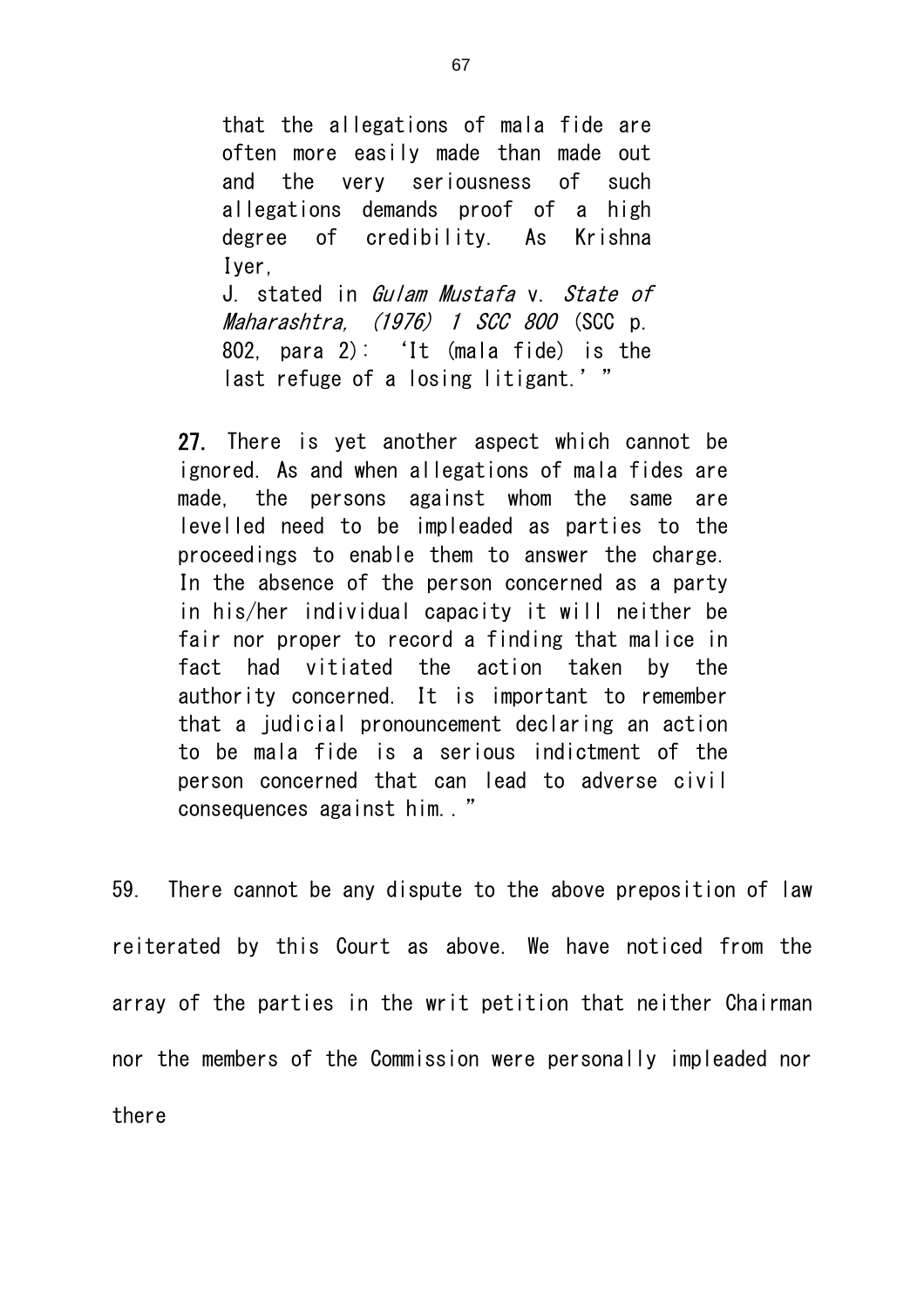that the allegations of mala fide are often more easily made than made out and the very seriousness of such allegations demands proof of a high degree of credibility. As Krishna Iyer, J. stated in Gulam Mustafa v. State of Maharashtra, (1976) 1 SCC 800 (SCC p. 802, para 2): 'It (mala fide) is the last refuge of a losing litigant.'"

27. There is yet another aspect which cannot be ignored. As and when allegations of mala fides are made, the persons against whom the same are levelled need to be impleaded as parties to the proceedings to enable them to answer the charge. In the absence of the person concerned as a party in his/her individual capacity it will neither be fair nor proper to record a finding that malice in fact had vitiated the action taken by the authority concerned. It is important to remember that a judicial pronouncement declaring an action to be mala fide is a serious indictment of the person concerned that can lead to adverse civil consequences against him.."

59. There cannot be any dispute to the above preposition of law reiterated by this Court as above. We have noticed from the array of the parties in the writ petition that neither Chairman nor the members of the Commission were personally impleaded nor there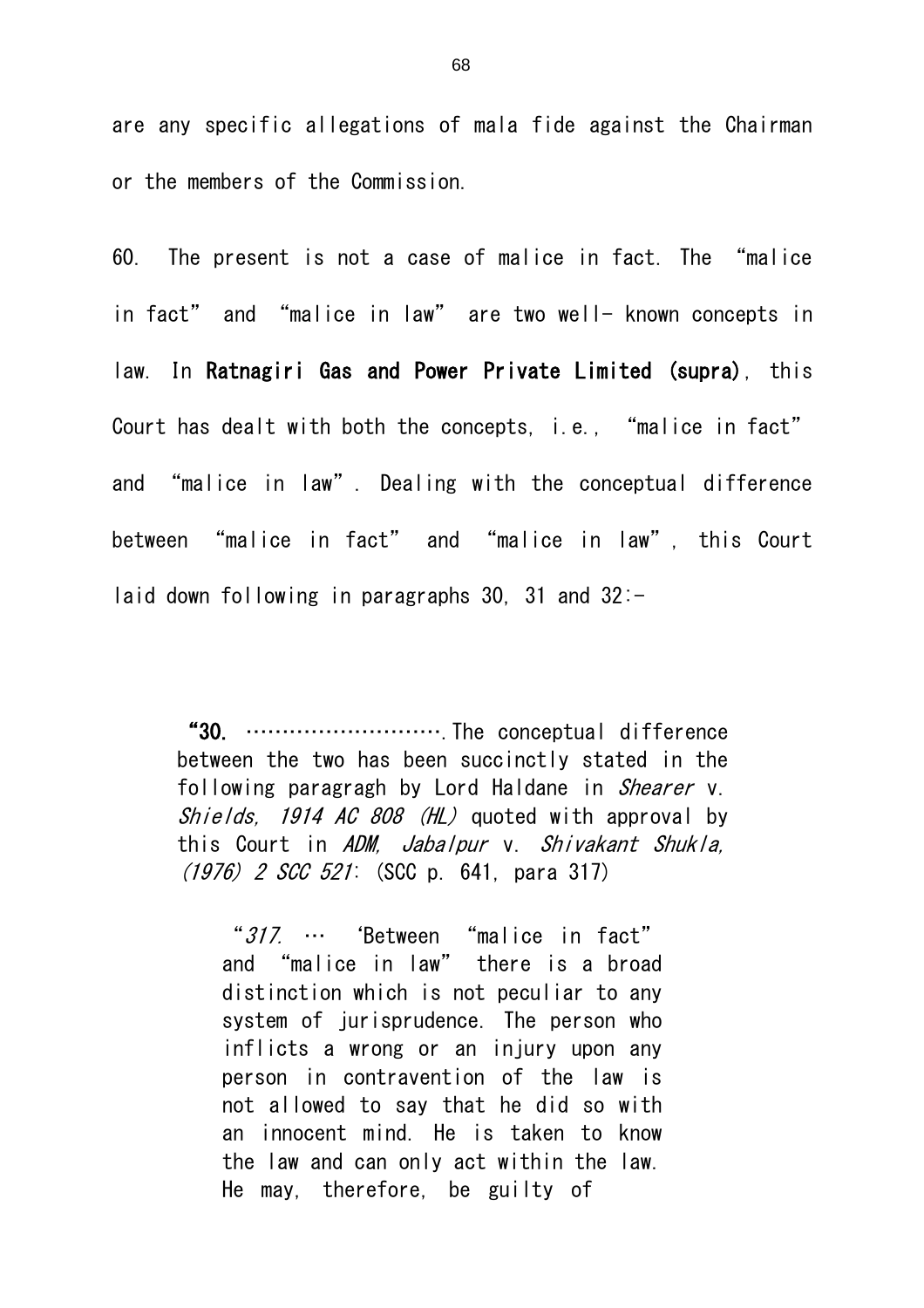are any specific allegations of mala fide against the Chairman or the members of the Commission.

60. The present is not a case of malice in fact. The "malice in fact" and "malice in law" are two well- known concepts in law. In Ratnagiri Gas and Power Private Limited (supra), this Court has dealt with both the concepts, i.e., "malice in fact" and "malice in law". Dealing with the conceptual difference between "malice in fact" and "malice in law", this Court laid down following in paragraphs 30, 31 and  $32:-$ 

"30. ……………………….The conceptual difference between the two has been succinctly stated in the following paragragh by Lord Haldane in *Shearer* v. Shields, 1914 AC 808 (HL) quoted with approval by this Court in ADM, Jabalpur v. Shivakant Shukla, (1976) 2 SCC 521: (SCC p. 641, para 317)

"317. … 'Between "malice in fact" and "malice in law" there is a broad distinction which is not peculiar to any system of jurisprudence. The person who inflicts a wrong or an injury upon any person in contravention of the law is not allowed to say that he did so with an innocent mind. He is taken to know the law and can only act within the law. He may, therefore, be guilty of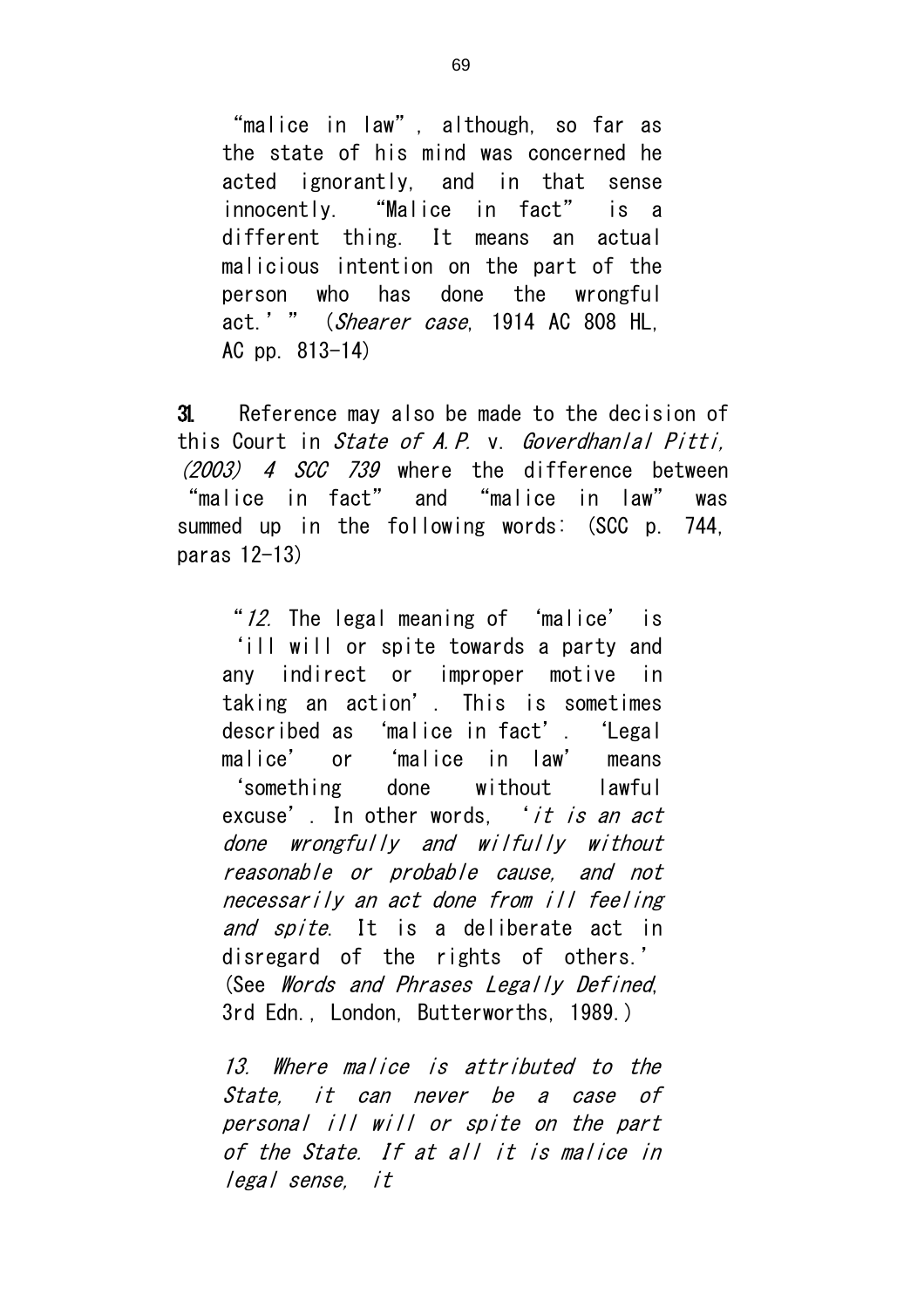"malice in law", although, so far as the state of his mind was concerned he acted ignorantly, and in that sense innocently. "Malice in fact" is a different thing. It means an actual malicious intention on the part of the person who has done the wrongful act.' " (Shearer case, 1914 AC 808 HL, AC pp. 813-14)

31. Reference may also be made to the decision of this Court in State of A.P. v. Goverdhanlal Pitti, (2003) 4 SCC 739 where the difference between "malice in fact" and "malice in law" was summed up in the following words: (SCC p. 744, paras 12-13)

"12. The legal meaning of 'malice' is 'ill will or spite towards a party and any indirect or improper motive in taking an action'. This is sometimes described as 'malice in fact'. 'Legal malice' or 'malice in law' means 'something done without lawful excuse'. In other words, *'it is an act* done wrongfully and wilfully without reasonable or probable cause, and not necessarily an act done from ill feeling and spite. It is a deliberate act in disregard of the rights of others.' (See Words and Phrases Legally Defined, 3rd Edn., London, Butterworths, 1989.)

13. Where malice is attributed to the State, it can never be a case of personal ill will or spite on the part of the State. If at all it is malice in legal sense, it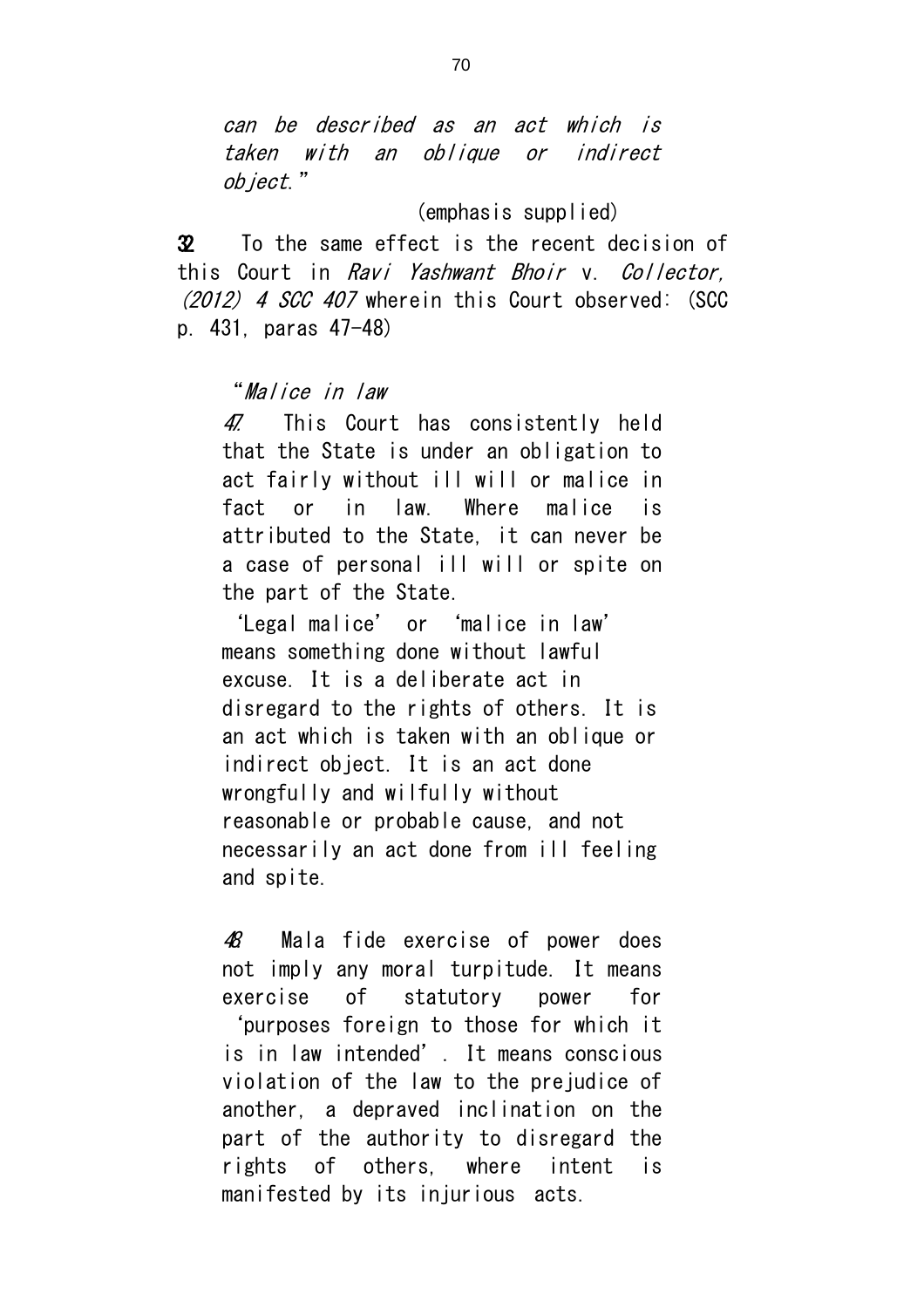can be described as an act which is taken with an oblique or indirect object."

(emphasis supplied)

32. To the same effect is the recent decision of this Court in Ravi Yashwant Bhoir v. Collector, (2012) 4 SCC 407 wherein this Court observed: (SCC p. 431, paras 47-48)

# "Malice in law

47. This Court has consistently held that the State is under an obligation to act fairly without ill will or malice in fact or in law. Where malice is attributed to the State, it can never be a case of personal ill will or spite on the part of the State.

'Legal malice' or 'malice in law' means something done without lawful excuse. It is a deliberate act in disregard to the rights of others. It is an act which is taken with an oblique or indirect object. It is an act done wrongfully and wilfully without reasonable or probable cause, and not necessarily an act done from ill feeling and spite.

48. Mala fide exercise of power does not imply any moral turpitude. It means exercise of statutory power for 'purposes foreign to those for which it is in law intended'. It means conscious violation of the law to the prejudice of another, a depraved inclination on the part of the authority to disregard the rights of others, where intent is manifested by its injurious acts.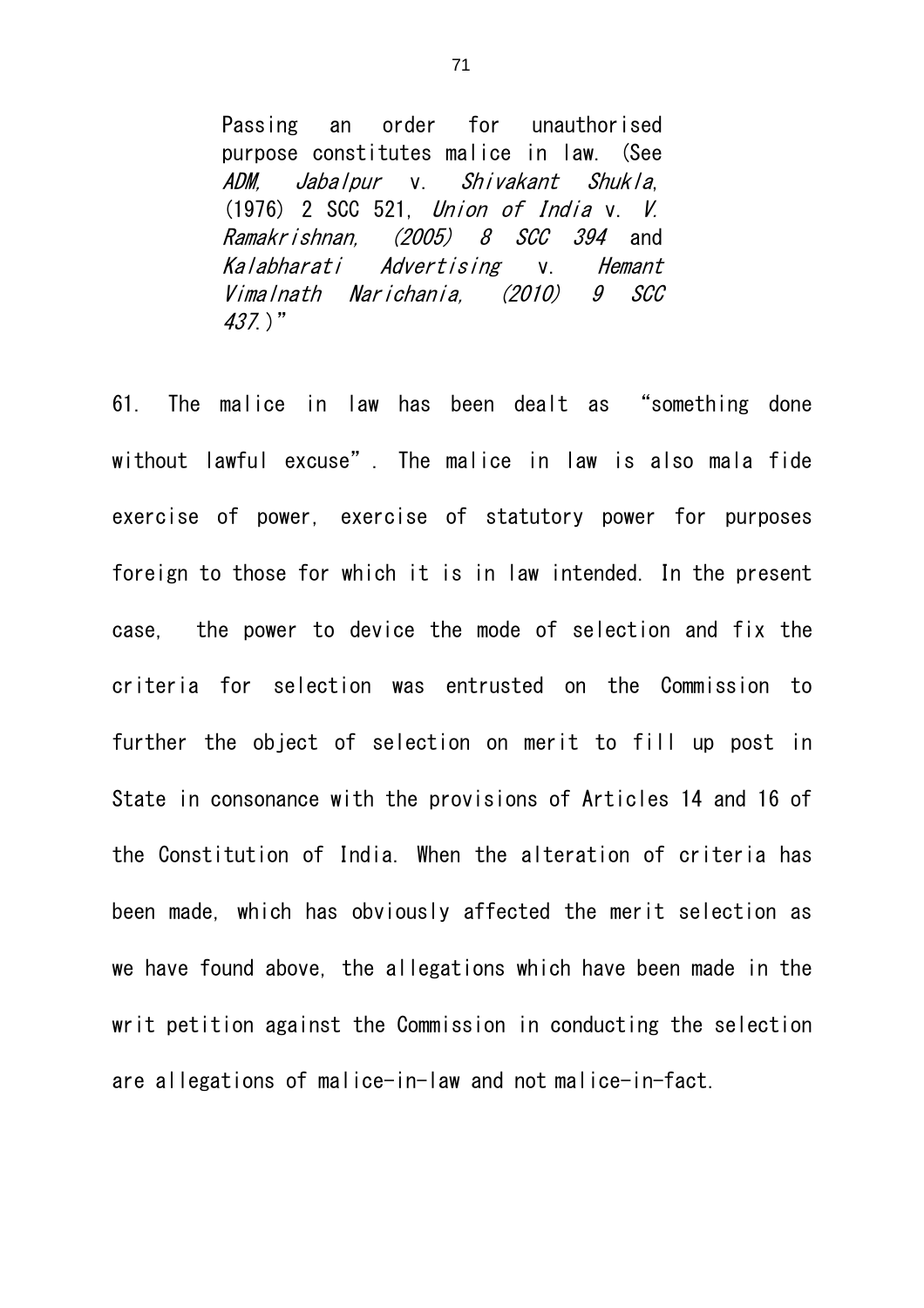Passing an order for unauthorised purpose constitutes malice in law. (See ADM, Jabalpur v. Shivakant Shukla, (1976) 2 SCC 521, Union of India v. V. Ramakrishnan, (2005) 8 SCC 394 and Kalabharati Advertising v. Hemant Vimalnath Narichania, (2010) 9 SCC 437.)"

61. The malice in law has been dealt as "something done without lawful excuse". The malice in law is also mala fide exercise of power, exercise of statutory power for purposes foreign to those for which it is in law intended. In the present case, the power to device the mode of selection and fix the criteria for selection was entrusted on the Commission to further the object of selection on merit to fill up post in State in consonance with the provisions of Articles 14 and 16 of the Constitution of India. When the alteration of criteria has been made, which has obviously affected the merit selection as we have found above, the allegations which have been made in the writ petition against the Commission in conducting the selection are allegations of malice-in-law and not malice-in-fact.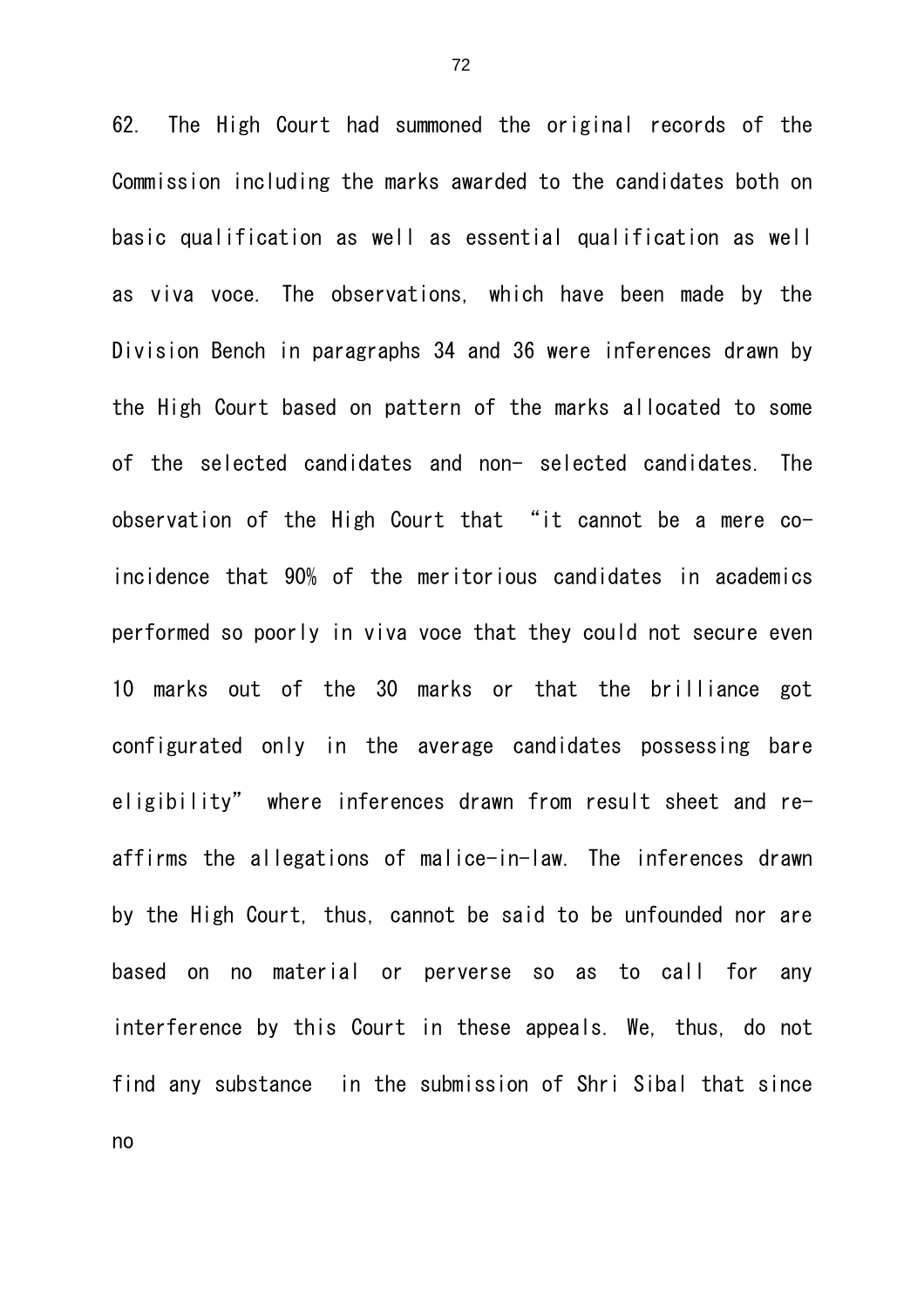62. The High Court had summoned the original records of the Commission including the marks awarded to the candidates both on basic qualification as well as essential qualification as well as viva voce. The observations, which have been made by the Division Bench in paragraphs 34 and 36 were inferences drawn by the High Court based on pattern of the marks allocated to some of the selected candidates and non- selected candidates. The observation of the High Court that "it cannot be a mere coincidence that 90% of the meritorious candidates in academics performed so poorly in viva voce that they could not secure even 10 marks out of the 30 marks or that the brilliance got configurated only in the average candidates possessing bare eligibility" where inferences drawn from result sheet and reaffirms the allegations of malice-in-law. The inferences drawn by the High Court, thus, cannot be said to be unfounded nor are based on no material or perverse so as to call for any interference by this Court in these appeals. We, thus, do not find any substance in the submission of Shri Sibal that since no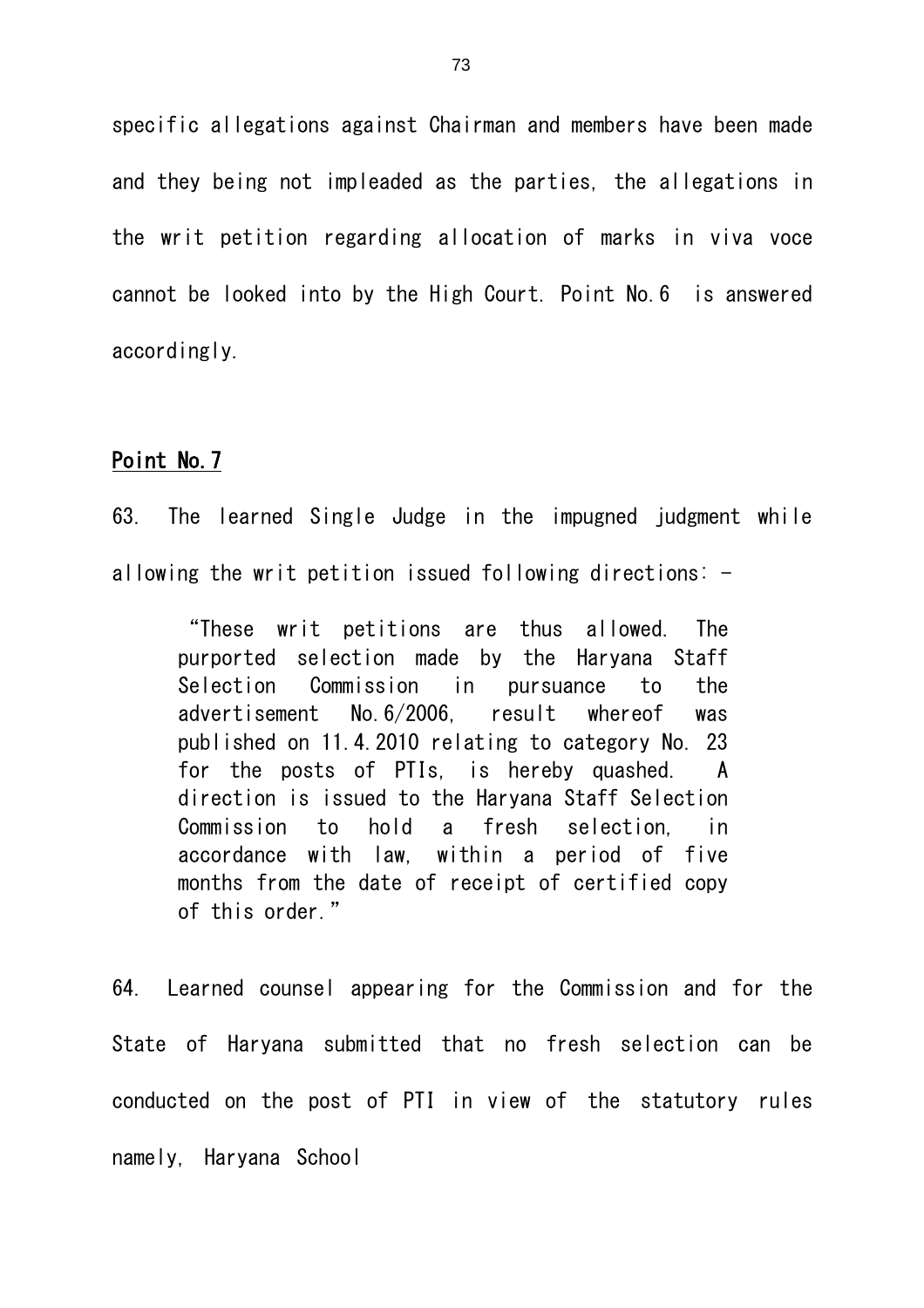specific allegations against Chairman and members have been made and they being not impleaded as the parties, the allegations in the writ petition regarding allocation of marks in viva voce cannot be looked into by the High Court. Point No.6 is answered accordingly.

## Point No.7

63. The learned Single Judge in the impugned judgment while allowing the writ petition issued following directions:  $-$ 

"These writ petitions are thus allowed. The purported selection made by the Haryana Staff Selection Commission in pursuance to the advertisement No.6/2006, result whereof was published on 11.4.2010 relating to category No. 23 for the posts of PTIs, is hereby quashed. A direction is issued to the Haryana Staff Selection Commission to hold a fresh selection, in accordance with law, within a period of five months from the date of receipt of certified copy of this order."

64. Learned counsel appearing for the Commission and for the State of Haryana submitted that no fresh selection can be conducted on the post of PTI in view of the statutory rules namely, Haryana School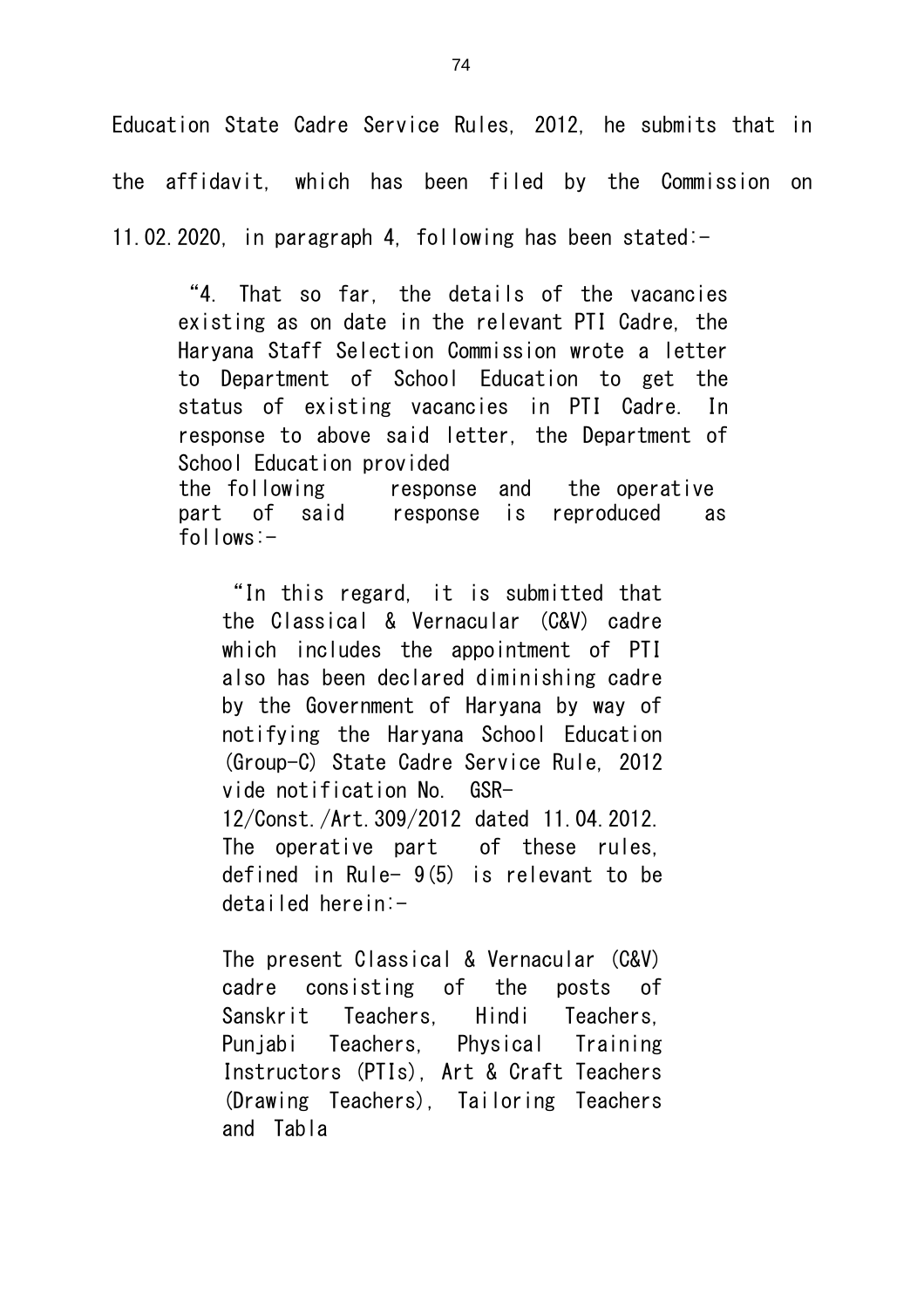Education State Cadre Service Rules, 2012, he submits that in the affidavit, which has been filed by the Commission on 11.02.2020, in paragraph 4, following has been stated:-

"4. That so far, the details of the vacancies existing as on date in the relevant PTI Cadre, the Haryana Staff Selection Commission wrote a letter to Department of School Education to get the status of existing vacancies in PTI Cadre. In response to above said letter, the Department of School Education provided the following response and the operative part of said response is reproduced as follows:-

"In this regard, it is submitted that the Classical & Vernacular (C&V) cadre which includes the appointment of PTI also has been declared diminishing cadre by the Government of Haryana by way of notifying the Haryana School Education (Group-C) State Cadre Service Rule, 2012 vide notification No. GSR-12/Const./Art.309/2012 dated 11.04.2012. The operative part of these rules, defined in Rule- 9(5) is relevant to be detailed herein:-

The present Classical & Vernacular (C&V) cadre consisting of the posts of Sanskrit Teachers, Hindi Teachers, Punjabi Teachers, Physical Training Instructors (PTIs), Art & Craft Teachers (Drawing Teachers), Tailoring Teachers and Tabla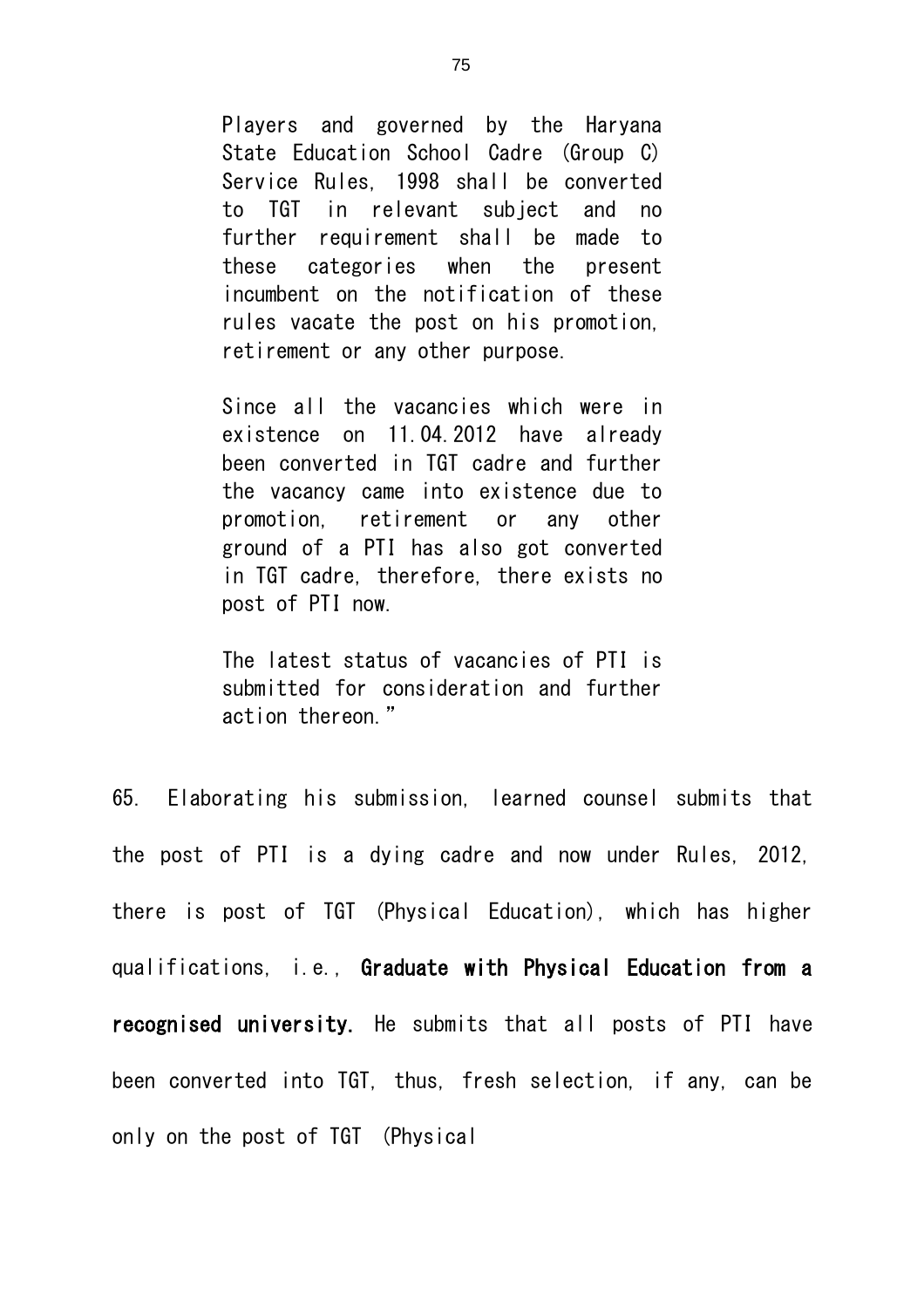Players and governed by the Haryana State Education School Cadre (Group C) Service Rules, 1998 shall be converted to TGT in relevant subject and no further requirement shall be made to these categories when the present incumbent on the notification of these rules vacate the post on his promotion, retirement or any other purpose.

Since all the vacancies which were in existence on 11.04.2012 have already been converted in TGT cadre and further the vacancy came into existence due to promotion, retirement or any other ground of a PTI has also got converted in TGT cadre, therefore, there exists no post of PTI now.

The latest status of vacancies of PTI is submitted for consideration and further action thereon."

65. Elaborating his submission, learned counsel submits that the post of PTI is a dying cadre and now under Rules, 2012, there is post of TGT (Physical Education), which has higher qualifications, i.e., Graduate with Physical Education from a recognised university. He submits that all posts of PTI have been converted into TGT, thus, fresh selection, if any, can be only on the post of TGT (Physical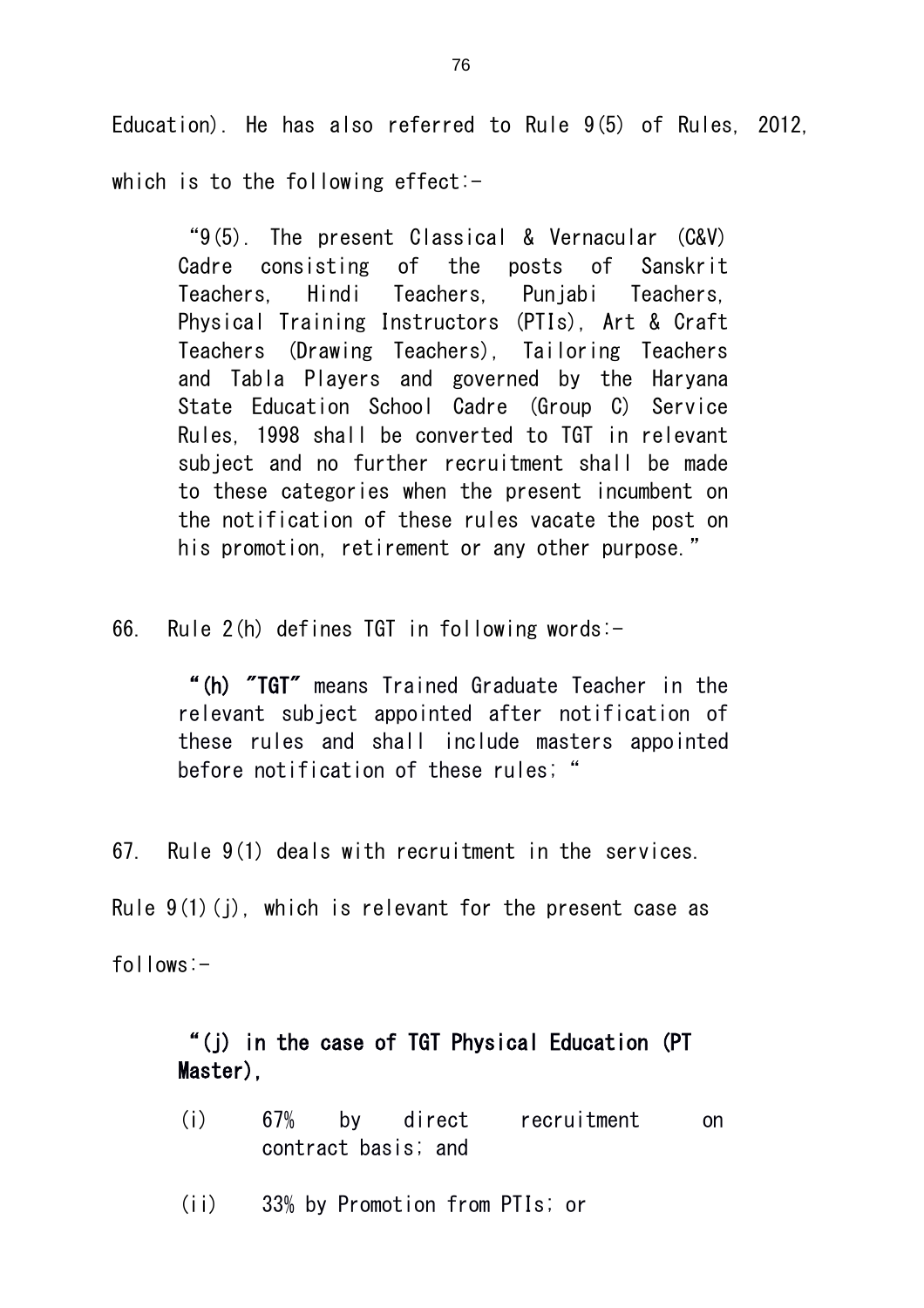Education). He has also referred to Rule 9(5) of Rules, 2012. which is to the following effect:-

"9(5). The present Classical & Vernacular (C&V) Cadre consisting of the posts of Sanskrit Teachers, Hindi Teachers, Punjabi Teachers, Physical Training Instructors (PTIs), Art & Craft Teachers (Drawing Teachers), Tailoring Teachers and Tabla Players and governed by the Haryana State Education School Cadre (Group C) Service Rules, 1998 shall be converted to TGT in relevant subject and no further recruitment shall be made to these categories when the present incumbent on the notification of these rules vacate the post on his promotion, retirement or any other purpose."

66. Rule 2(h) defines TGT in following words:-

"(h) "TGT" means Trained Graduate Teacher in the relevant subject appointed after notification of these rules and shall include masters appointed before notification of these rules; "

67. Rule 9(1) deals with recruitment in the services.

Rule  $9(1)(i)$ , which is relevant for the present case as

follows:-

## "(j) in the case of TGT Physical Education (PT Master),

- (i) 67% by direct recruitment on contract basis; and
- (ii) 33% by Promotion from PTIs; or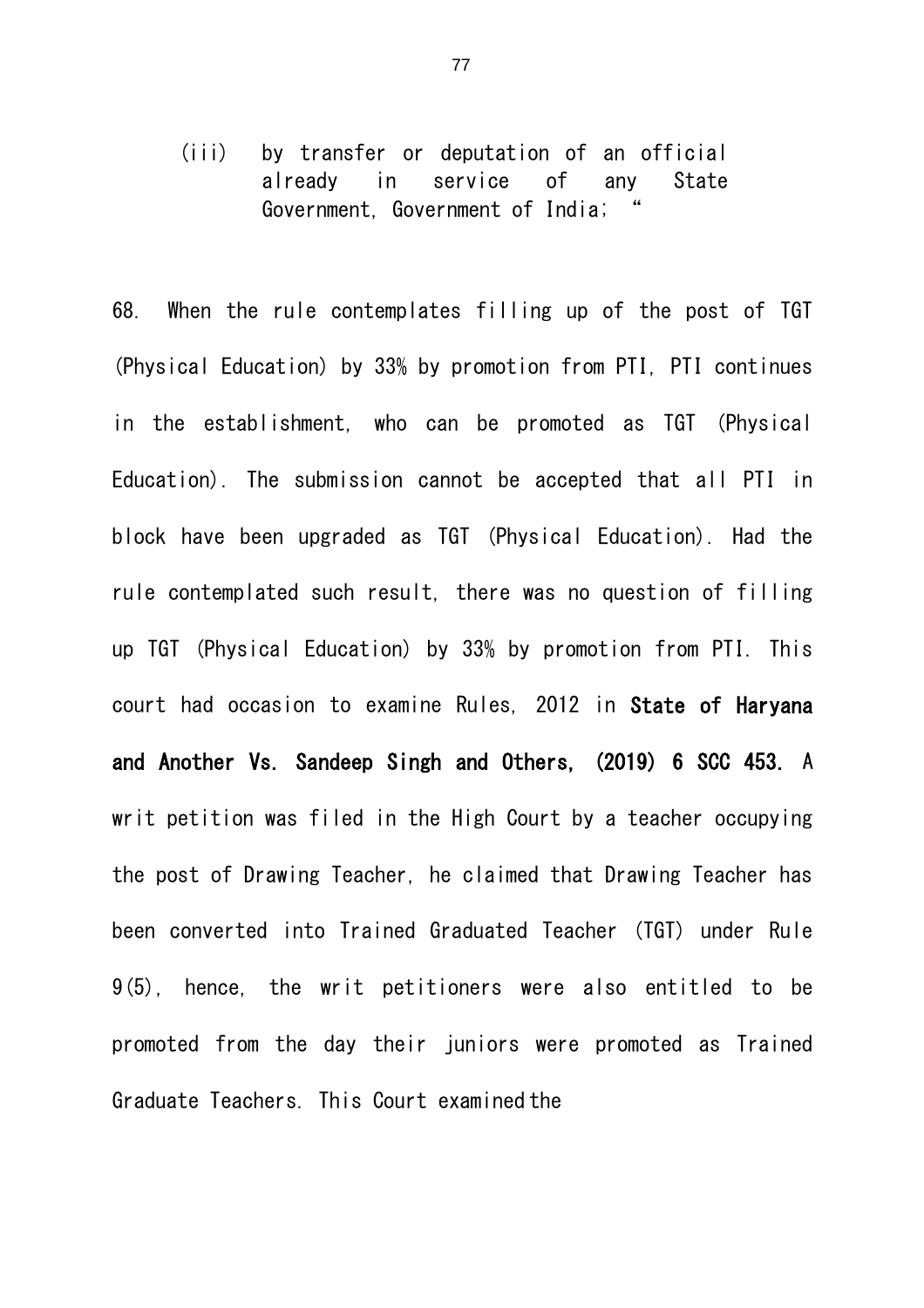(iii) by transfer or deputation of an official already in service of any State Government, Government of India;

68. When the rule contemplates filling up of the post of TGT (Physical Education) by 33% by promotion from PTI, PTI continues in the establishment, who can be promoted as TGT (Physical Education). The submission cannot be accepted that all PTI in block have been upgraded as TGT (Physical Education). Had the rule contemplated such result, there was no question of filling up TGT (Physical Education) by 33% by promotion from PTI. This court had occasion to examine Rules, 2012 in State of Haryana and Another Vs. Sandeep Singh and Others, (2019) 6 SCC 453. A writ petition was filed in the High Court by a teacher occupying the post of Drawing Teacher, he claimed that Drawing Teacher has been converted into Trained Graduated Teacher (TGT) under Rule 9(5), hence, the writ petitioners were also entitled to be promoted from the day their juniors were promoted as Trained Graduate Teachers. This Court examined the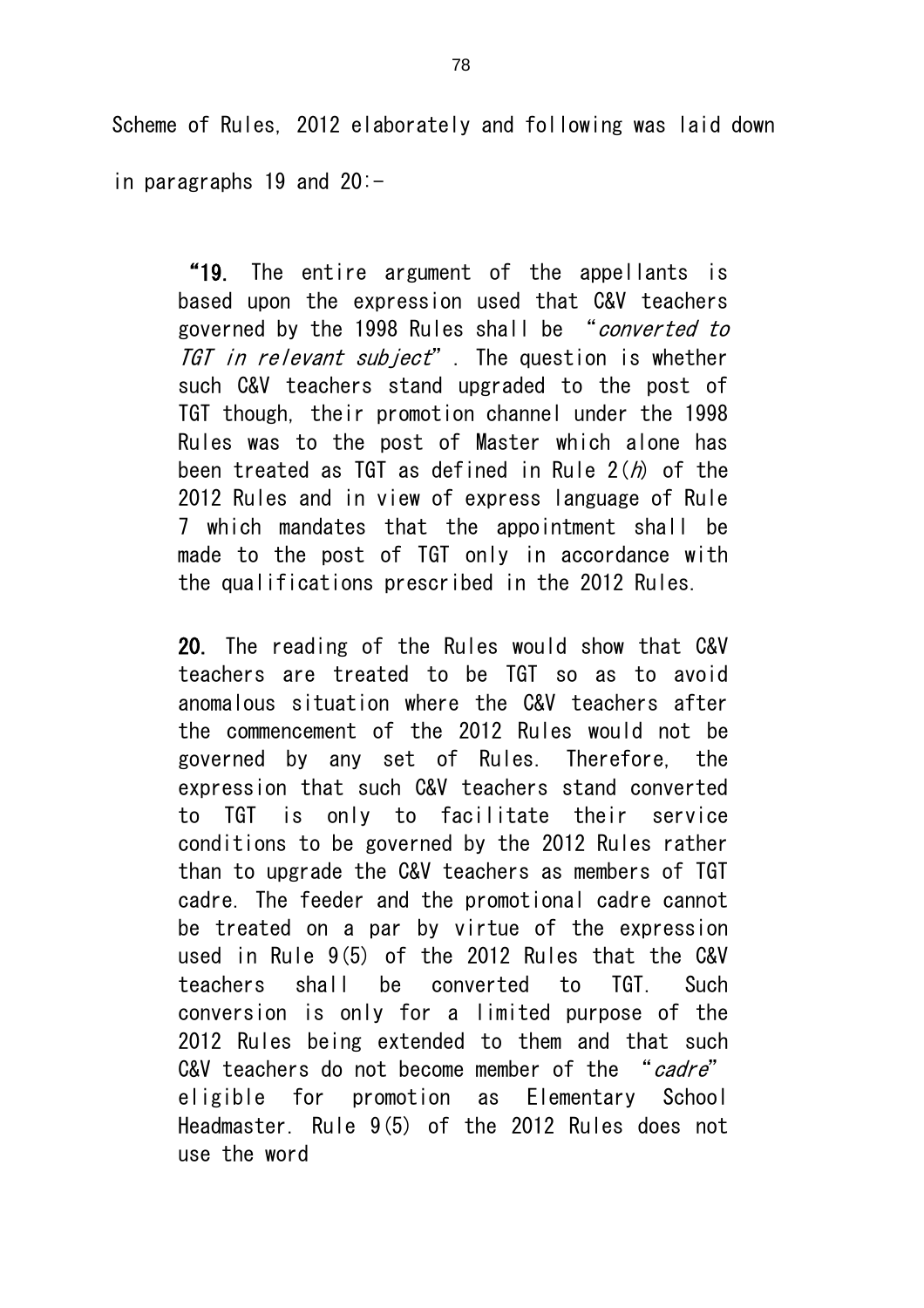Scheme of Rules, 2012 elaborately and following was laid down

in paragraphs 19 and 20:-

"19. The entire argument of the appellants is based upon the expression used that C&V teachers governed by the 1998 Rules shall be "converted to TGT in relevant subject". The question is whether such C&V teachers stand upgraded to the post of TGT though, their promotion channel under the 1998 Rules was to the post of Master which alone has been treated as TGT as defined in Rule  $2(h)$  of the 2012 Rules and in view of express language of Rule 7 which mandates that the appointment shall be made to the post of TGT only in accordance with the qualifications prescribed in the 2012 Rules.

20. The reading of the Rules would show that C&V teachers are treated to be TGT so as to avoid anomalous situation where the C&V teachers after the commencement of the 2012 Rules would not be governed by any set of Rules. Therefore, the expression that such C&V teachers stand converted to TGT is only to facilitate their service conditions to be governed by the 2012 Rules rather than to upgrade the C&V teachers as members of TGT cadre. The feeder and the promotional cadre cannot be treated on a par by virtue of the expression used in Rule 9(5) of the 2012 Rules that the C&V teachers shall be converted to TGT. Such conversion is only for a limited purpose of the 2012 Rules being extended to them and that such C&V teachers do not become member of the "cadre" eligible for promotion as Elementary School Headmaster. Rule 9(5) of the 2012 Rules does not use the word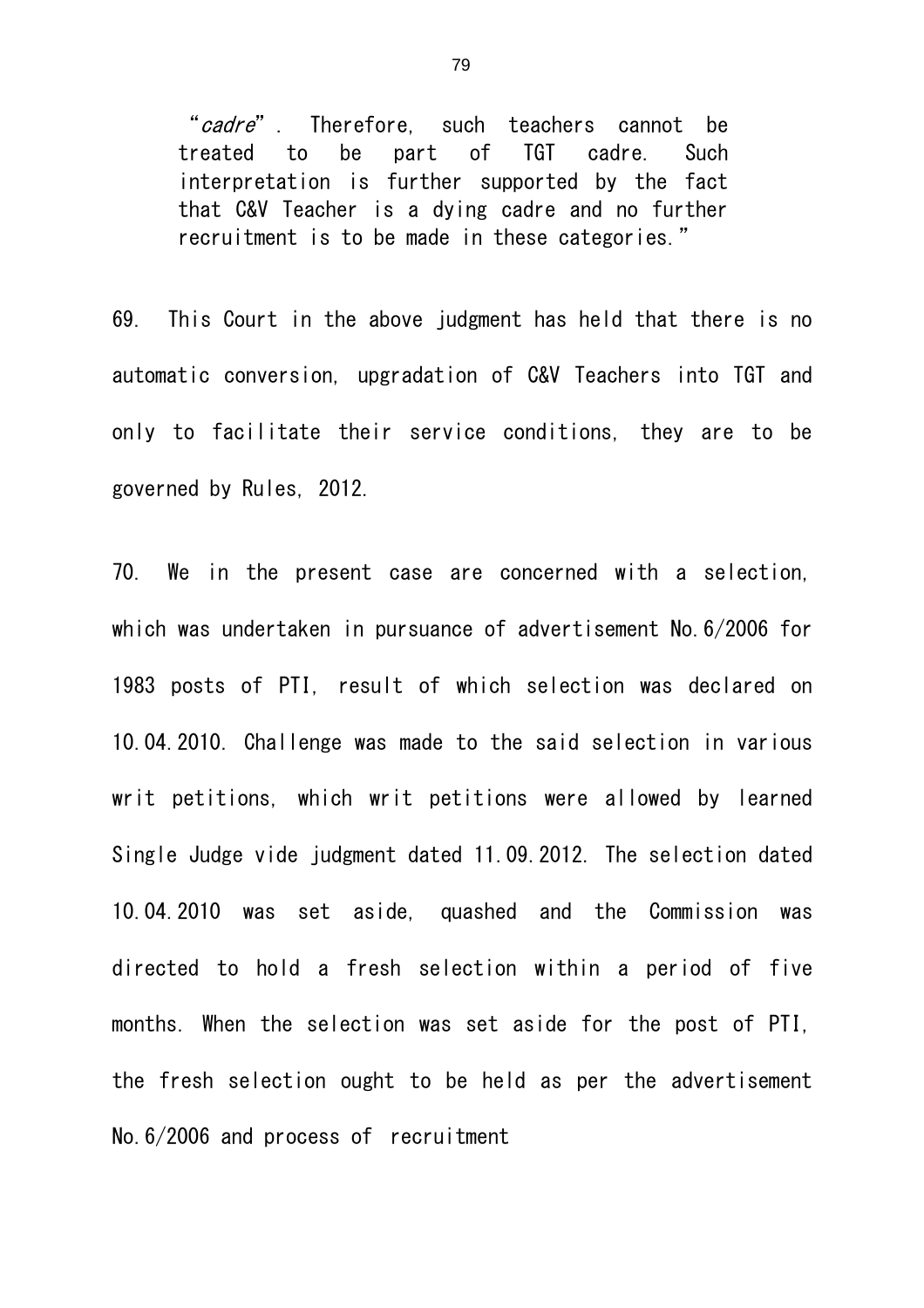"cadre". Therefore, such teachers cannot be treated to be part of TGT cadre. Such interpretation is further supported by the fact that C&V Teacher is a dying cadre and no further recruitment is to be made in these categories."

69. This Court in the above judgment has held that there is no automatic conversion, upgradation of C&V Teachers into TGT and only to facilitate their service conditions, they are to be governed by Rules, 2012.

70. We in the present case are concerned with a selection, which was undertaken in pursuance of advertisement No.6/2006 for 1983 posts of PTI, result of which selection was declared on 10.04.2010. Challenge was made to the said selection in various writ petitions, which writ petitions were allowed by learned Single Judge vide judgment dated 11.09.2012. The selection dated 10.04.2010 was set aside, quashed and the Commission was directed to hold a fresh selection within a period of five months. When the selection was set aside for the post of PTI, the fresh selection ought to be held as per the advertisement No.6/2006 and process of recruitment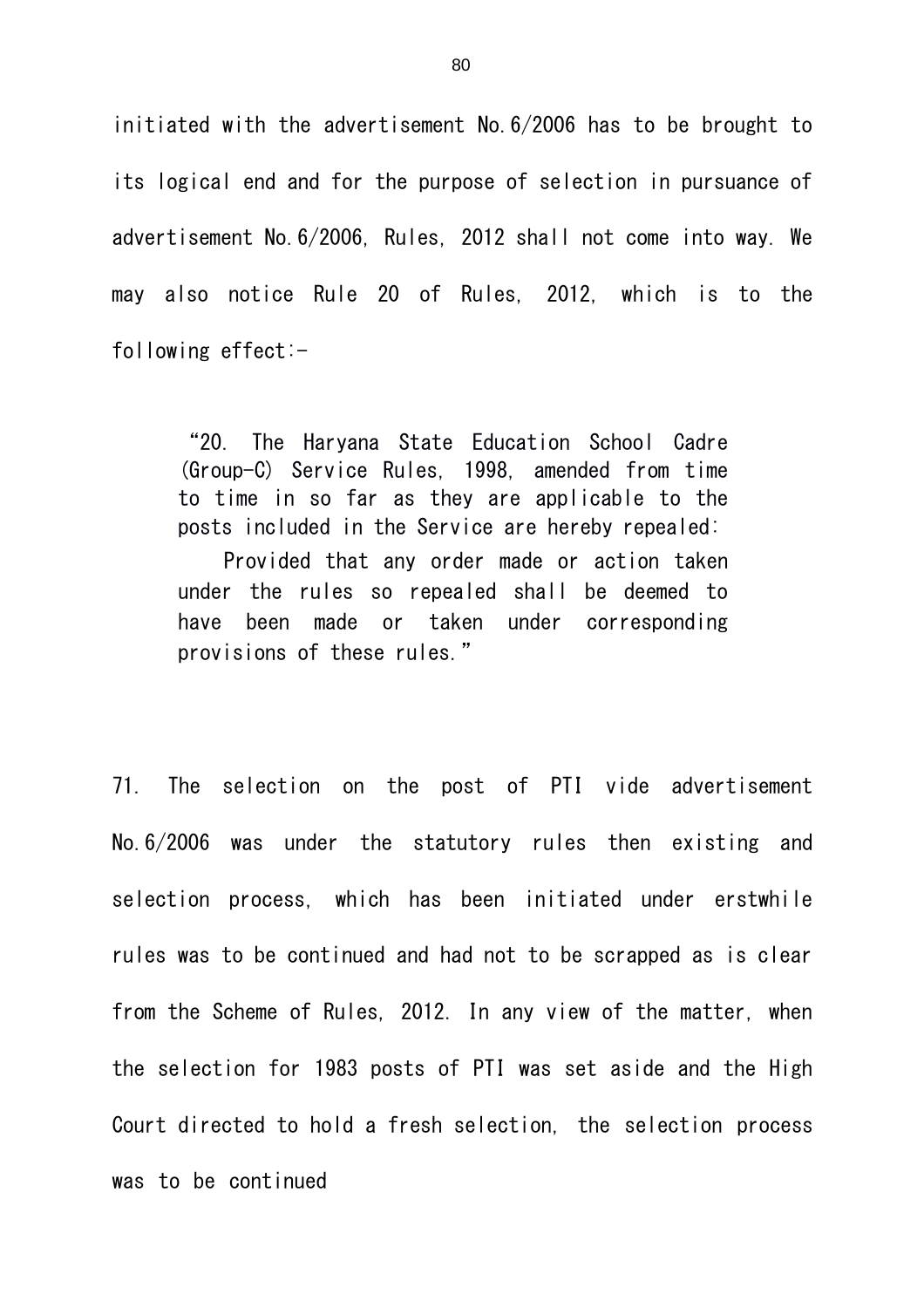initiated with the advertisement No.6/2006 has to be brought to its logical end and for the purpose of selection in pursuance of advertisement No.6/2006, Rules, 2012 shall not come into way. We may also notice Rule 20 of Rules, 2012, which is to the following effect:-

"20. The Haryana State Education School Cadre (Group-C) Service Rules, 1998, amended from time to time in so far as they are applicable to the posts included in the Service are hereby repealed:

Provided that any order made or action taken under the rules so repealed shall be deemed to have been made or taken under corresponding provisions of these rules."

71. The selection on the post of PTI vide advertisement No.6/2006 was under the statutory rules then existing and selection process, which has been initiated under erstwhile rules was to be continued and had not to be scrapped as is clear from the Scheme of Rules, 2012. In any view of the matter, when the selection for 1983 posts of PTI was set aside and the High Court directed to hold a fresh selection, the selection process was to be continued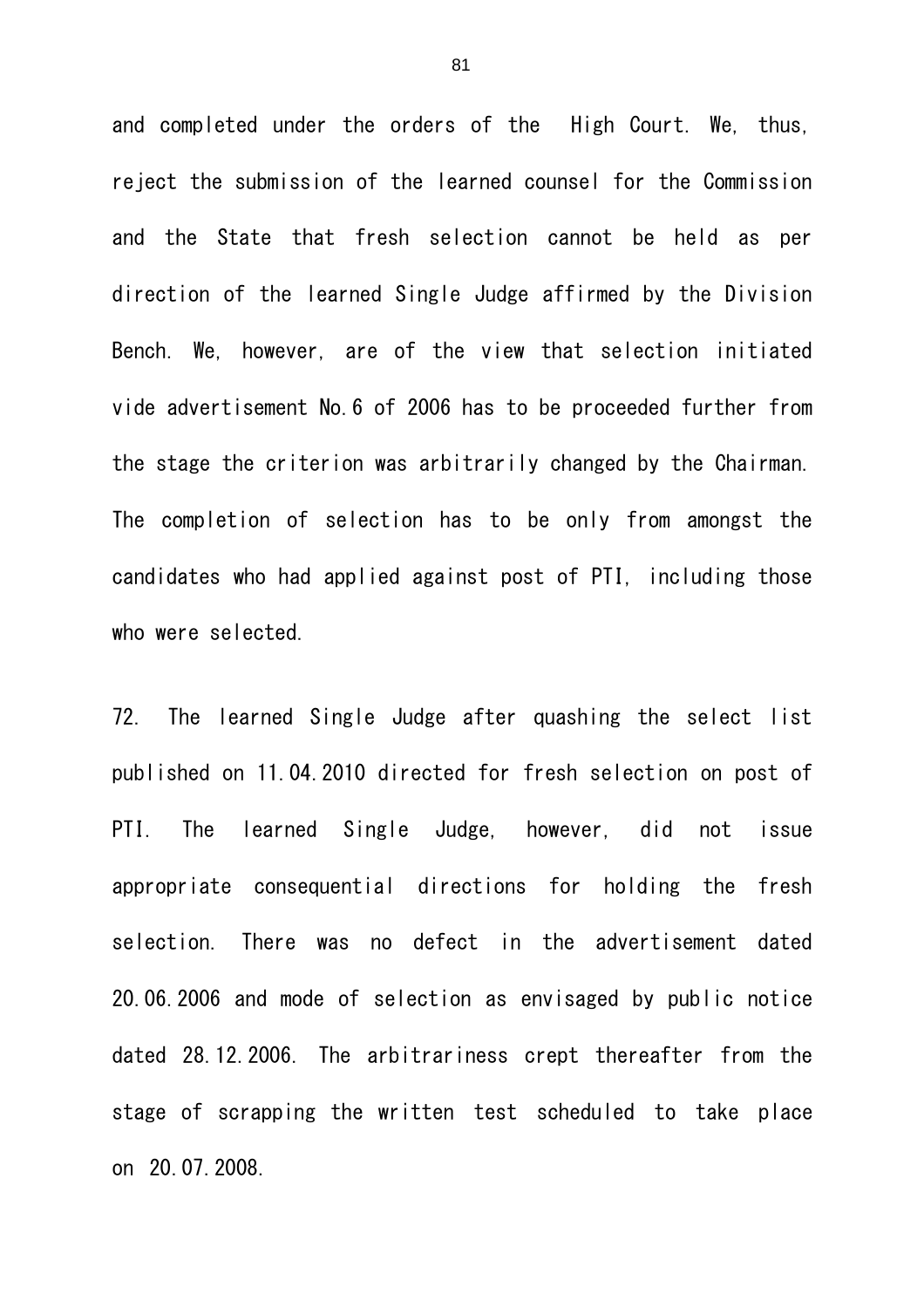and completed under the orders of the High Court. We, thus, reject the submission of the learned counsel for the Commission and the State that fresh selection cannot be held as per direction of the learned Single Judge affirmed by the Division Bench. We, however, are of the view that selection initiated vide advertisement No.6 of 2006 has to be proceeded further from the stage the criterion was arbitrarily changed by the Chairman. The completion of selection has to be only from amongst the candidates who had applied against post of PTI, including those who were selected.

72. The learned Single Judge after quashing the select list published on 11.04.2010 directed for fresh selection on post of PTI. The learned Single Judge, however, did not issue appropriate consequential directions for holding the fresh selection. There was no defect in the advertisement dated 20.06.2006 and mode of selection as envisaged by public notice dated 28.12.2006. The arbitrariness crept thereafter from the stage of scrapping the written test scheduled to take place on 20.07.2008.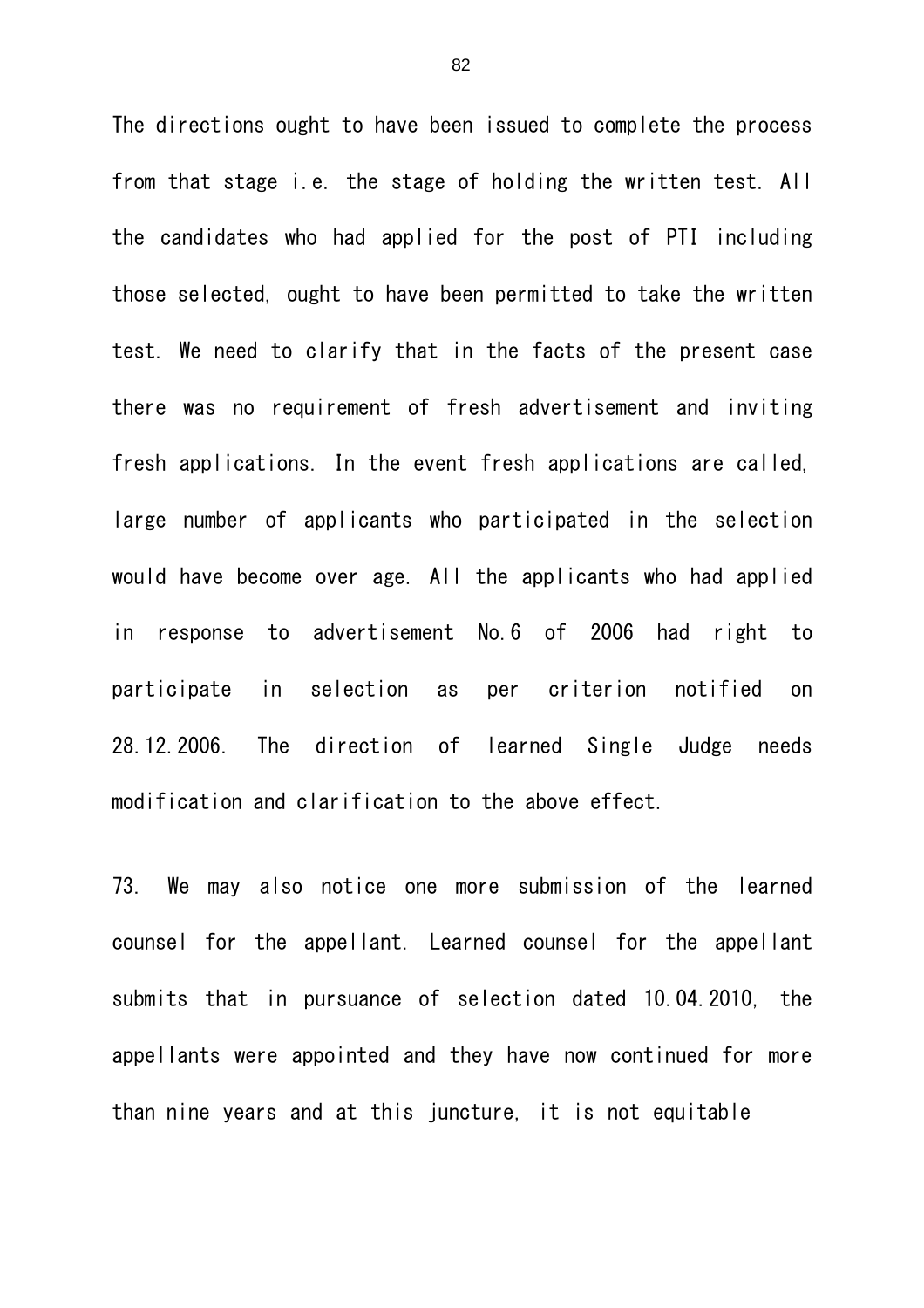The directions ought to have been issued to complete the process from that stage i.e. the stage of holding the written test. All the candidates who had applied for the post of PTI including those selected, ought to have been permitted to take the written test. We need to clarify that in the facts of the present case there was no requirement of fresh advertisement and inviting fresh applications. In the event fresh applications are called, large number of applicants who participated in the selection would have become over age. All the applicants who had applied in response to advertisement No.6 of 2006 had right to participate in selection as per criterion notified on 28.12.2006. The direction of learned Single Judge needs modification and clarification to the above effect.

73. We may also notice one more submission of the learned counsel for the appellant. Learned counsel for the appellant submits that in pursuance of selection dated 10.04.2010, the appellants were appointed and they have now continued for more than nine years and at this juncture, it is not equitable

82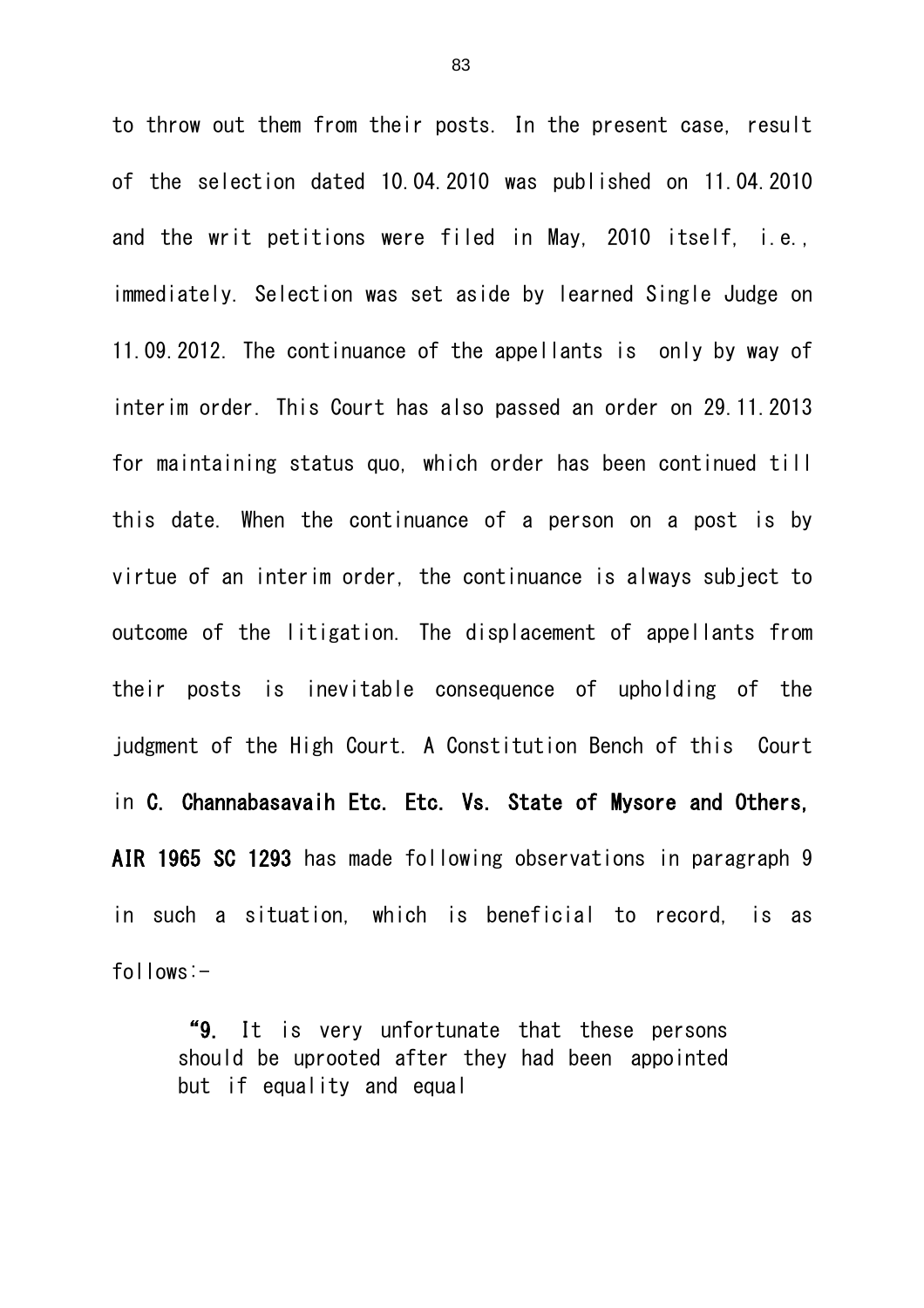to throw out them from their posts. In the present case, result of the selection dated 10.04.2010 was published on 11.04.2010 and the writ petitions were filed in May, 2010 itself, i.e., immediately. Selection was set aside by learned Single Judge on 11.09.2012. The continuance of the appellants is only by way of interim order. This Court has also passed an order on 29.11.2013 for maintaining status quo, which order has been continued till this date. When the continuance of a person on a post is by virtue of an interim order, the continuance is always subject to outcome of the litigation. The displacement of appellants from their posts is inevitable consequence of upholding of the judgment of the High Court. A Constitution Bench of this Court in C. Channabasavaih Etc. Etc. Vs. State of Mysore and Others, AIR 1965 SC 1293 has made following observations in paragraph 9 in such a situation, which is beneficial to record, is as follows:-

"9. It is very unfortunate that these persons should be uprooted after they had been appointed but if equality and equal

83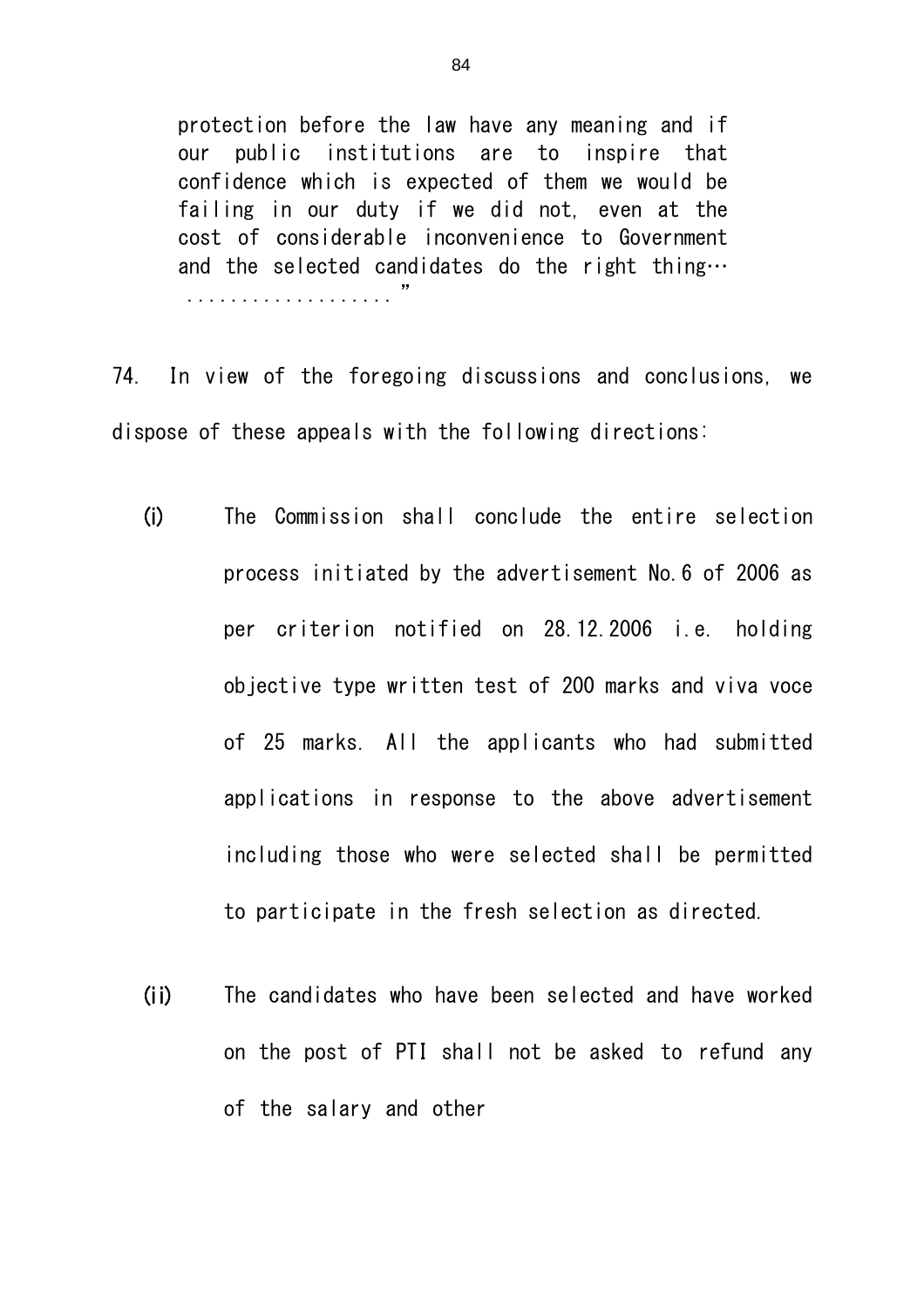protection before the law have any meaning and if our public institutions are to inspire that confidence which is expected of them we would be failing in our duty if we did not, even at the cost of considerable inconvenience to Government and the selected candidates do the right thing… ................... "

74. In view of the foregoing discussions and conclusions, we dispose of these appeals with the following directions:

- (i) The Commission shall conclude the entire selection process initiated by the advertisement No.6 of 2006 as per criterion notified on 28.12.2006 i.e. holding objective type written test of 200 marks and viva voce of 25 marks. All the applicants who had submitted applications in response to the above advertisement including those who were selected shall be permitted to participate in the fresh selection as directed.
- (ii) The candidates who have been selected and have worked on the post of PTI shall not be asked to refund any of the salary and other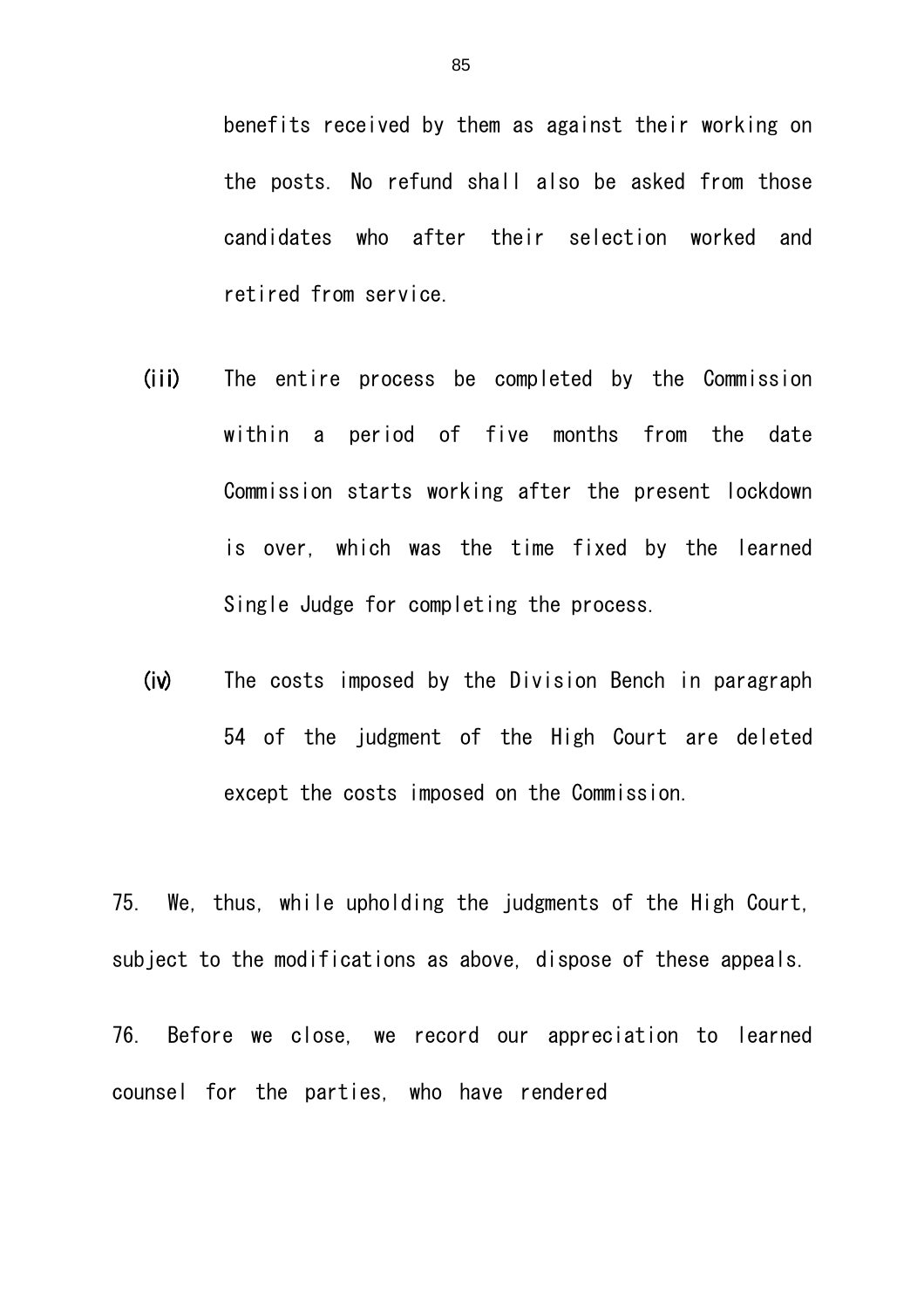benefits received by them as against their working on the posts. No refund shall also be asked from those candidates who after their selection worked and retired from service.

- (iii) The entire process be completed by the Commission within a period of five months from the date Commission starts working after the present lockdown is over, which was the time fixed by the learned Single Judge for completing the process.
- (iv) The costs imposed by the Division Bench in paragraph 54 of the judgment of the High Court are deleted except the costs imposed on the Commission.

75. We, thus, while upholding the judgments of the High Court, subject to the modifications as above, dispose of these appeals.

76. Before we close, we record our appreciation to learned counsel for the parties, who have rendered